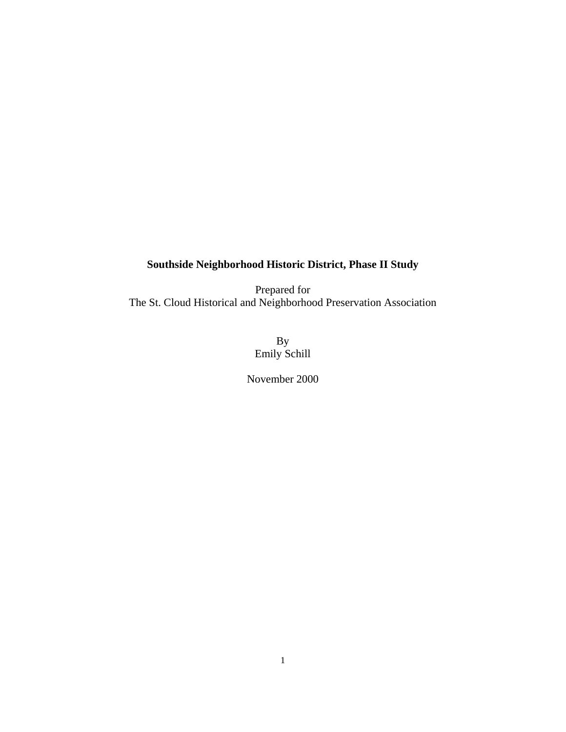# **Southside Neighborhood Historic District, Phase II Study**

Prepared for The St. Cloud Historical and Neighborhood Preservation Association

> By Emily Schill

November 2000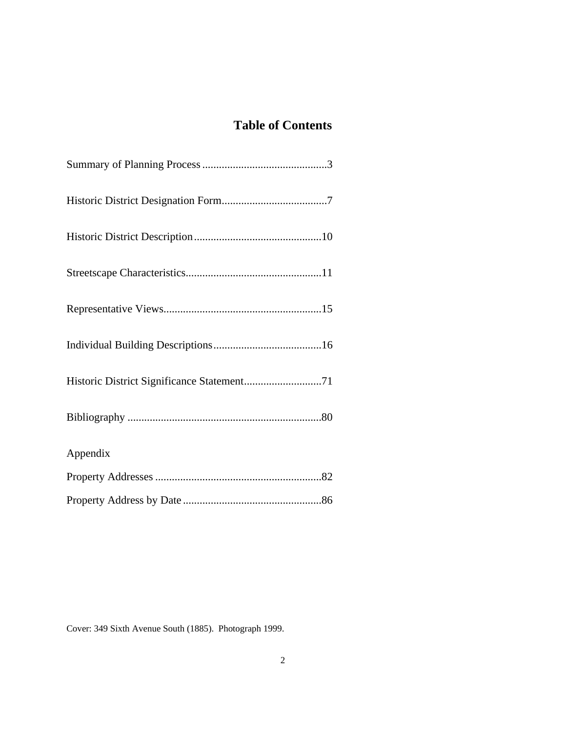# **Table of Contents**

| Appendix |  |
|----------|--|
|          |  |
|          |  |

Cover: 349 Sixth Avenue South (1885). Photograph 1999.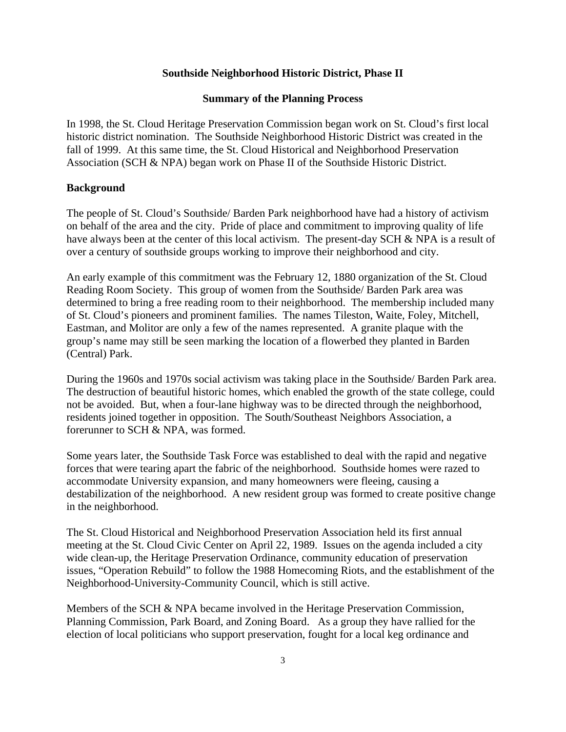### **Southside Neighborhood Historic District, Phase II**

#### **Summary of the Planning Process**

In 1998, the St. Cloud Heritage Preservation Commission began work on St. Cloud's first local historic district nomination. The Southside Neighborhood Historic District was created in the fall of 1999. At this same time, the St. Cloud Historical and Neighborhood Preservation Association (SCH & NPA) began work on Phase II of the Southside Historic District.

### **Background**

The people of St. Cloud's Southside/ Barden Park neighborhood have had a history of activism on behalf of the area and the city. Pride of place and commitment to improving quality of life have always been at the center of this local activism. The present-day SCH & NPA is a result of over a century of southside groups working to improve their neighborhood and city.

An early example of this commitment was the February 12, 1880 organization of the St. Cloud Reading Room Society. This group of women from the Southside/ Barden Park area was determined to bring a free reading room to their neighborhood. The membership included many of St. Cloud's pioneers and prominent families. The names Tileston, Waite, Foley, Mitchell, Eastman, and Molitor are only a few of the names represented. A granite plaque with the group's name may still be seen marking the location of a flowerbed they planted in Barden (Central) Park.

During the 1960s and 1970s social activism was taking place in the Southside/ Barden Park area. The destruction of beautiful historic homes, which enabled the growth of the state college, could not be avoided. But, when a four-lane highway was to be directed through the neighborhood, residents joined together in opposition. The South/Southeast Neighbors Association, a forerunner to SCH & NPA, was formed.

Some years later, the Southside Task Force was established to deal with the rapid and negative forces that were tearing apart the fabric of the neighborhood. Southside homes were razed to accommodate University expansion, and many homeowners were fleeing, causing a destabilization of the neighborhood. A new resident group was formed to create positive change in the neighborhood.

The St. Cloud Historical and Neighborhood Preservation Association held its first annual meeting at the St. Cloud Civic Center on April 22, 1989. Issues on the agenda included a city wide clean-up, the Heritage Preservation Ordinance, community education of preservation issues, "Operation Rebuild" to follow the 1988 Homecoming Riots, and the establishment of the Neighborhood-University-Community Council, which is still active.

Members of the SCH & NPA became involved in the Heritage Preservation Commission, Planning Commission, Park Board, and Zoning Board. As a group they have rallied for the election of local politicians who support preservation, fought for a local keg ordinance and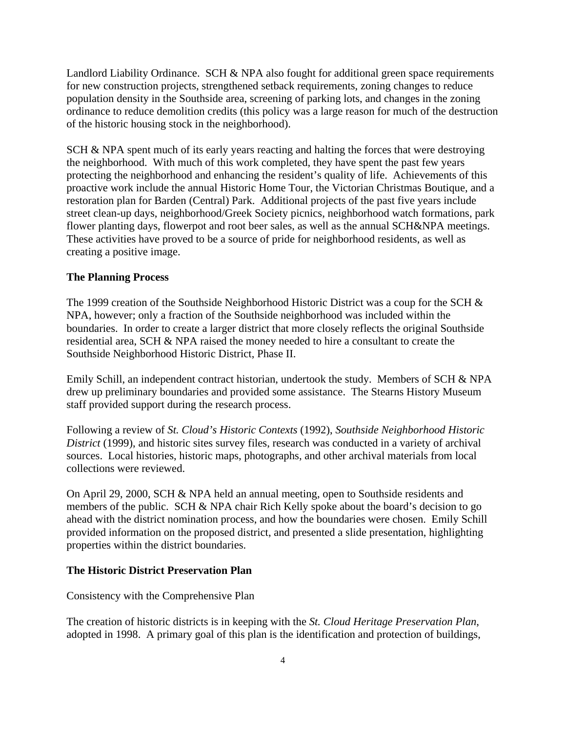Landlord Liability Ordinance. SCH & NPA also fought for additional green space requirements for new construction projects, strengthened setback requirements, zoning changes to reduce population density in the Southside area, screening of parking lots, and changes in the zoning ordinance to reduce demolition credits (this policy was a large reason for much of the destruction of the historic housing stock in the neighborhood).

SCH & NPA spent much of its early years reacting and halting the forces that were destroying the neighborhood. With much of this work completed, they have spent the past few years protecting the neighborhood and enhancing the resident's quality of life. Achievements of this proactive work include the annual Historic Home Tour, the Victorian Christmas Boutique, and a restoration plan for Barden (Central) Park. Additional projects of the past five years include street clean-up days, neighborhood/Greek Society picnics, neighborhood watch formations, park flower planting days, flowerpot and root beer sales, as well as the annual SCH&NPA meetings. These activities have proved to be a source of pride for neighborhood residents, as well as creating a positive image.

### **The Planning Process**

The 1999 creation of the Southside Neighborhood Historic District was a coup for the SCH  $\&$ NPA, however; only a fraction of the Southside neighborhood was included within the boundaries. In order to create a larger district that more closely reflects the original Southside residential area, SCH & NPA raised the money needed to hire a consultant to create the Southside Neighborhood Historic District, Phase II.

Emily Schill, an independent contract historian, undertook the study. Members of SCH & NPA drew up preliminary boundaries and provided some assistance. The Stearns History Museum staff provided support during the research process.

Following a review of *St. Cloud's Historic Contexts* (1992), *Southside Neighborhood Historic District* (1999), and historic sites survey files, research was conducted in a variety of archival sources. Local histories, historic maps, photographs, and other archival materials from local collections were reviewed.

On April 29, 2000, SCH & NPA held an annual meeting, open to Southside residents and members of the public. SCH & NPA chair Rich Kelly spoke about the board's decision to go ahead with the district nomination process, and how the boundaries were chosen. Emily Schill provided information on the proposed district, and presented a slide presentation, highlighting properties within the district boundaries.

### **The Historic District Preservation Plan**

Consistency with the Comprehensive Plan

The creation of historic districts is in keeping with the *St. Cloud Heritage Preservation Plan*, adopted in 1998. A primary goal of this plan is the identification and protection of buildings,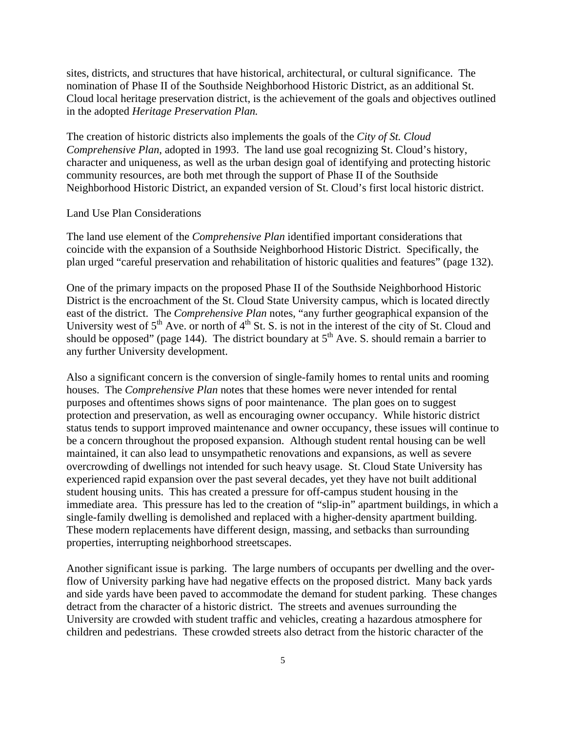sites, districts, and structures that have historical, architectural, or cultural significance. The nomination of Phase II of the Southside Neighborhood Historic District, as an additional St. Cloud local heritage preservation district, is the achievement of the goals and objectives outlined in the adopted *Heritage Preservation Plan.*

The creation of historic districts also implements the goals of the *City of St. Cloud Comprehensive Plan*, adopted in 1993. The land use goal recognizing St. Cloud's history, character and uniqueness, as well as the urban design goal of identifying and protecting historic community resources, are both met through the support of Phase II of the Southside Neighborhood Historic District, an expanded version of St. Cloud's first local historic district.

### Land Use Plan Considerations

The land use element of the *Comprehensive Plan* identified important considerations that coincide with the expansion of a Southside Neighborhood Historic District. Specifically, the plan urged "careful preservation and rehabilitation of historic qualities and features" (page 132).

One of the primary impacts on the proposed Phase II of the Southside Neighborhood Historic District is the encroachment of the St. Cloud State University campus, which is located directly east of the district. The *Comprehensive Plan* notes, "any further geographical expansion of the University west of  $5<sup>th</sup>$  Ave. or north of  $4<sup>th</sup>$  St. S. is not in the interest of the city of St. Cloud and should be opposed" (page 144). The district boundary at  $5<sup>th</sup>$  Ave. S. should remain a barrier to any further University development.

Also a significant concern is the conversion of single-family homes to rental units and rooming houses. The *Comprehensive Plan* notes that these homes were never intended for rental purposes and oftentimes shows signs of poor maintenance. The plan goes on to suggest protection and preservation, as well as encouraging owner occupancy. While historic district status tends to support improved maintenance and owner occupancy, these issues will continue to be a concern throughout the proposed expansion. Although student rental housing can be well maintained, it can also lead to unsympathetic renovations and expansions, as well as severe overcrowding of dwellings not intended for such heavy usage. St. Cloud State University has experienced rapid expansion over the past several decades, yet they have not built additional student housing units. This has created a pressure for off-campus student housing in the immediate area. This pressure has led to the creation of "slip-in" apartment buildings, in which a single-family dwelling is demolished and replaced with a higher-density apartment building. These modern replacements have different design, massing, and setbacks than surrounding properties, interrupting neighborhood streetscapes.

Another significant issue is parking. The large numbers of occupants per dwelling and the overflow of University parking have had negative effects on the proposed district. Many back yards and side yards have been paved to accommodate the demand for student parking. These changes detract from the character of a historic district. The streets and avenues surrounding the University are crowded with student traffic and vehicles, creating a hazardous atmosphere for children and pedestrians. These crowded streets also detract from the historic character of the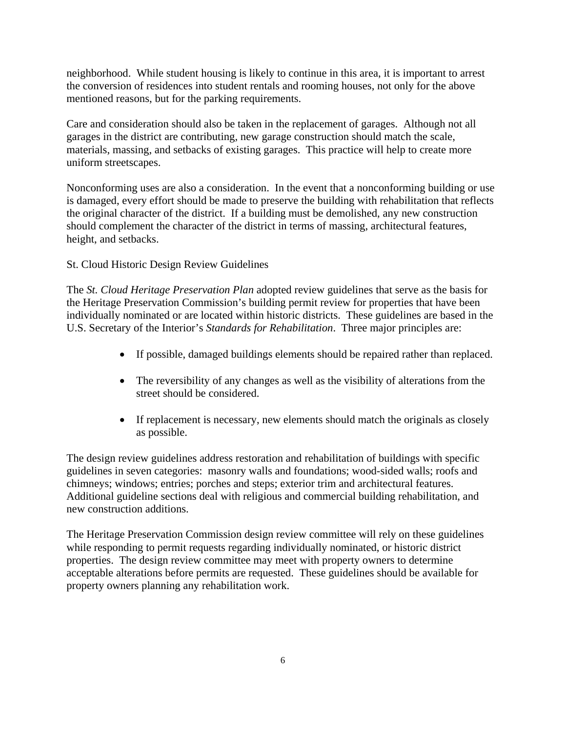neighborhood. While student housing is likely to continue in this area, it is important to arrest the conversion of residences into student rentals and rooming houses, not only for the above mentioned reasons, but for the parking requirements.

Care and consideration should also be taken in the replacement of garages. Although not all garages in the district are contributing, new garage construction should match the scale, materials, massing, and setbacks of existing garages. This practice will help to create more uniform streetscapes.

Nonconforming uses are also a consideration. In the event that a nonconforming building or use is damaged, every effort should be made to preserve the building with rehabilitation that reflects the original character of the district. If a building must be demolished, any new construction should complement the character of the district in terms of massing, architectural features, height, and setbacks.

St. Cloud Historic Design Review Guidelines

The *St. Cloud Heritage Preservation Plan* adopted review guidelines that serve as the basis for the Heritage Preservation Commission's building permit review for properties that have been individually nominated or are located within historic districts. These guidelines are based in the U.S. Secretary of the Interior's *Standards for Rehabilitation*. Three major principles are:

- If possible, damaged buildings elements should be repaired rather than replaced.
- The reversibility of any changes as well as the visibility of alterations from the street should be considered.
- If replacement is necessary, new elements should match the originals as closely as possible.

The design review guidelines address restoration and rehabilitation of buildings with specific guidelines in seven categories: masonry walls and foundations; wood-sided walls; roofs and chimneys; windows; entries; porches and steps; exterior trim and architectural features. Additional guideline sections deal with religious and commercial building rehabilitation, and new construction additions.

The Heritage Preservation Commission design review committee will rely on these guidelines while responding to permit requests regarding individually nominated, or historic district properties. The design review committee may meet with property owners to determine acceptable alterations before permits are requested. These guidelines should be available for property owners planning any rehabilitation work.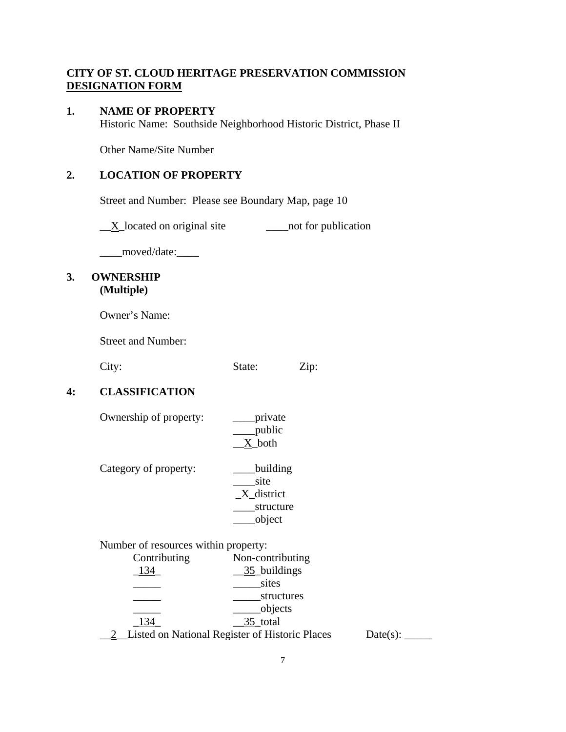# **CITY OF ST. CLOUD HERITAGE PRESERVATION COMMISSION DESIGNATION FORM**

### **1. NAME OF PROPERTY**

Historic Name: Southside Neighborhood Historic District, Phase II

Other Name/Site Number

# **2. LOCATION OF PROPERTY**

Street and Number: Please see Boundary Map, page 10

 $\underline{X}$  located on original site  $\underline{X}$  not for publication

\_\_\_\_moved/date:\_\_\_\_

# **3. OWNERSHIP (Multiple)**

Owner's Name:

Street and Number:

City: State: Zip:

# **4: CLASSIFICATION**

| Ownership of property:               | private<br>public<br>X both                           |  |  |  |
|--------------------------------------|-------------------------------------------------------|--|--|--|
| Category of property:                | building<br>site<br>X district<br>structure<br>object |  |  |  |
| Number of resources within property: |                                                       |  |  |  |
| Contributing                         | Non-contributing                                      |  |  |  |

| Contributing | Non-contributing                                      |          |
|--------------|-------------------------------------------------------|----------|
|              | 35_buildings                                          |          |
|              | sites                                                 |          |
|              | structures                                            |          |
|              | objects                                               |          |
| 134          | 35 total                                              |          |
|              | <b>Listed on National Register of Historic Places</b> | Date(s): |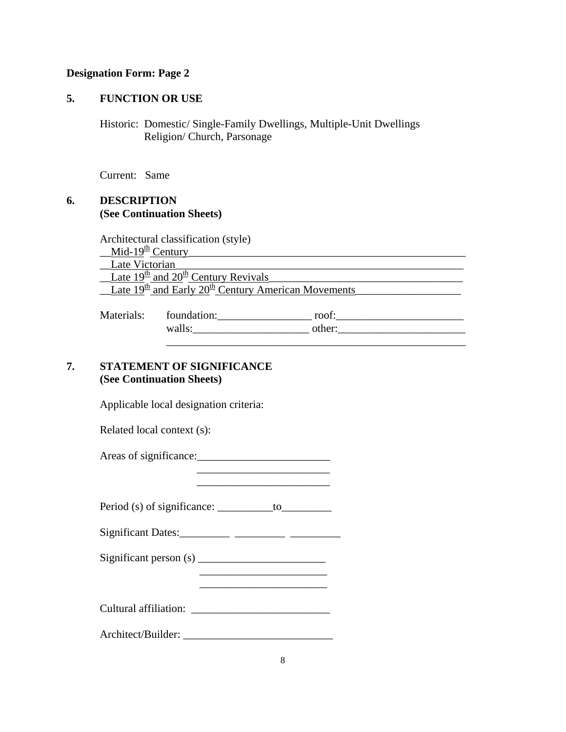### **Designation Form: Page 2**

### **5. FUNCTION OR USE**

Historic: Domestic/ Single-Family Dwellings, Multiple-Unit Dwellings Religion/ Church, Parsonage

Current: Same

# **6. DESCRIPTION (See Continuation Sheets)**

Architectural classification (style)  $\underline{\text{Mid-19}}^{\text{th}}$  Century<br>
Late Victorian Late Victorian  $\frac{\text{Rate 19th}}{\text{and 20th}}$  Century Revivals  $\perp$ Late  $19<sup>th</sup>$  and Early  $20<sup>th</sup>$  Century American Movements Materials: foundation:\_\_\_\_\_\_\_\_\_\_\_\_\_\_\_\_\_ roof:\_\_\_\_\_\_\_\_\_\_\_\_\_\_\_\_\_\_\_\_\_\_\_

| nuuvinus. | TOUTHULLOTT.            | 1001.    |  |
|-----------|-------------------------|----------|--|
|           | wal<br>ப⊶<br>,, <b></b> | .<br>unu |  |
|           |                         |          |  |
|           |                         |          |  |

# **7. STATEMENT OF SIGNIFICANCE (See Continuation Sheets)**

Applicable local designation criteria:

Related local context (s):

Areas of significance:

Period (s) of significance:  $\_\_\_\_\_$  to

Significant Dates: \_\_\_\_\_\_\_\_\_ \_\_\_\_\_\_\_\_\_\_ \_\_\_\_\_\_\_\_\_\_

Significant person (s) \_\_\_\_\_\_\_\_\_\_\_\_\_\_\_\_\_\_\_\_\_\_\_

Cultural affiliation: \_\_\_\_\_\_\_\_\_\_\_\_\_\_\_\_\_\_\_\_\_\_\_\_\_

 $\frac{1}{2}$  , and the set of the set of the set of the set of the set of the set of the set of the set of the set of the set of the set of the set of the set of the set of the set of the set of the set of the set of the set

Architect/Builder: \_\_\_\_\_\_\_\_\_\_\_\_\_\_\_\_\_\_\_\_\_\_\_\_\_\_\_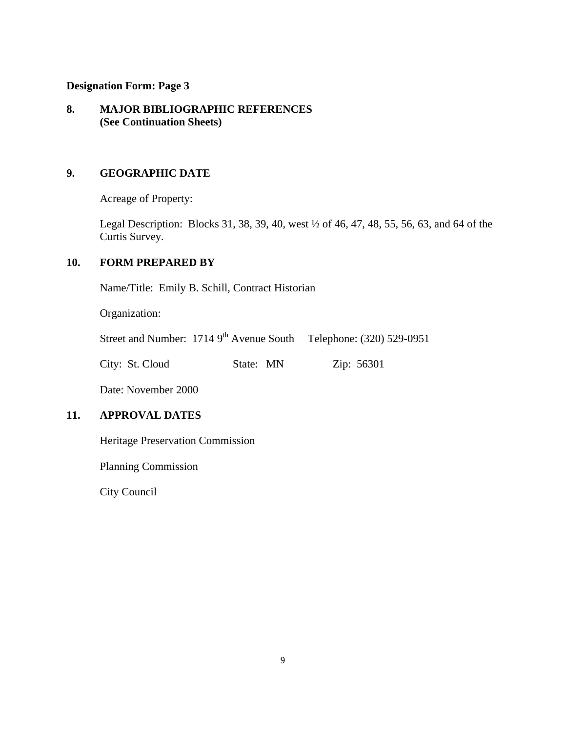### **Designation Form: Page 3**

# **8. MAJOR BIBLIOGRAPHIC REFERENCES (See Continuation Sheets)**

# **9. GEOGRAPHIC DATE**

Acreage of Property:

Legal Description: Blocks 31, 38, 39, 40, west ½ of 46, 47, 48, 55, 56, 63, and 64 of the Curtis Survey.

# **10. FORM PREPARED BY**

Name/Title: Emily B. Schill, Contract Historian

Organization:

Street and Number: 1714 9<sup>th</sup> Avenue South Telephone: (320) 529-0951

City: St. Cloud State: MN Zip: 56301

Date: November 2000

# **11. APPROVAL DATES**

Heritage Preservation Commission

Planning Commission

City Council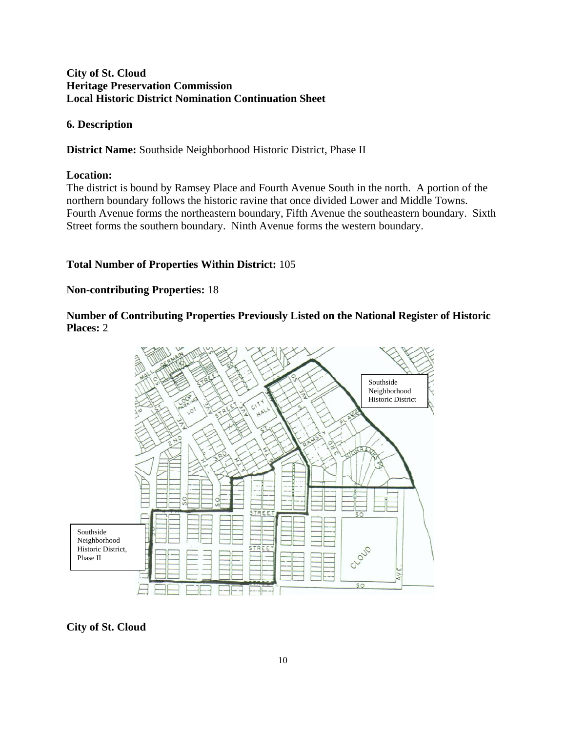# **City of St. Cloud Heritage Preservation Commission Local Historic District Nomination Continuation Sheet**

# **6. Description**

**District Name:** Southside Neighborhood Historic District, Phase II

### **Location:**

The district is bound by Ramsey Place and Fourth Avenue South in the north. A portion of the northern boundary follows the historic ravine that once divided Lower and Middle Towns. Fourth Avenue forms the northeastern boundary, Fifth Avenue the southeastern boundary. Sixth Street forms the southern boundary. Ninth Avenue forms the western boundary.

# **Total Number of Properties Within District:** 105

# **Non-contributing Properties:** 18

**Number of Contributing Properties Previously Listed on the National Register of Historic Places:** 2



# **City of St. Cloud**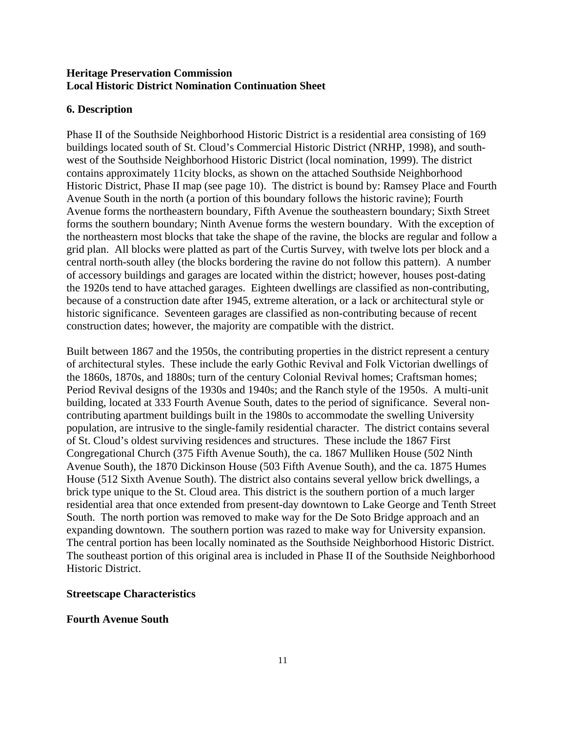### **Heritage Preservation Commission Local Historic District Nomination Continuation Sheet**

# **6. Description**

Phase II of the Southside Neighborhood Historic District is a residential area consisting of 169 buildings located south of St. Cloud's Commercial Historic District (NRHP, 1998), and southwest of the Southside Neighborhood Historic District (local nomination, 1999). The district contains approximately 11city blocks, as shown on the attached Southside Neighborhood Historic District, Phase II map (see page 10). The district is bound by: Ramsey Place and Fourth Avenue South in the north (a portion of this boundary follows the historic ravine); Fourth Avenue forms the northeastern boundary, Fifth Avenue the southeastern boundary; Sixth Street forms the southern boundary; Ninth Avenue forms the western boundary. With the exception of the northeastern most blocks that take the shape of the ravine, the blocks are regular and follow a grid plan. All blocks were platted as part of the Curtis Survey, with twelve lots per block and a central north-south alley (the blocks bordering the ravine do not follow this pattern). A number of accessory buildings and garages are located within the district; however, houses post-dating the 1920s tend to have attached garages. Eighteen dwellings are classified as non-contributing, because of a construction date after 1945, extreme alteration, or a lack or architectural style or historic significance. Seventeen garages are classified as non-contributing because of recent construction dates; however, the majority are compatible with the district.

Built between 1867 and the 1950s, the contributing properties in the district represent a century of architectural styles. These include the early Gothic Revival and Folk Victorian dwellings of the 1860s, 1870s, and 1880s; turn of the century Colonial Revival homes; Craftsman homes; Period Revival designs of the 1930s and 1940s; and the Ranch style of the 1950s. A multi-unit building, located at 333 Fourth Avenue South, dates to the period of significance. Several noncontributing apartment buildings built in the 1980s to accommodate the swelling University population, are intrusive to the single-family residential character. The district contains several of St. Cloud's oldest surviving residences and structures. These include the 1867 First Congregational Church (375 Fifth Avenue South), the ca. 1867 Mulliken House (502 Ninth Avenue South), the 1870 Dickinson House (503 Fifth Avenue South), and the ca. 1875 Humes House (512 Sixth Avenue South). The district also contains several yellow brick dwellings, a brick type unique to the St. Cloud area. This district is the southern portion of a much larger residential area that once extended from present-day downtown to Lake George and Tenth Street South. The north portion was removed to make way for the De Soto Bridge approach and an expanding downtown. The southern portion was razed to make way for University expansion. The central portion has been locally nominated as the Southside Neighborhood Historic District. The southeast portion of this original area is included in Phase II of the Southside Neighborhood Historic District.

# **Streetscape Characteristics**

### **Fourth Avenue South**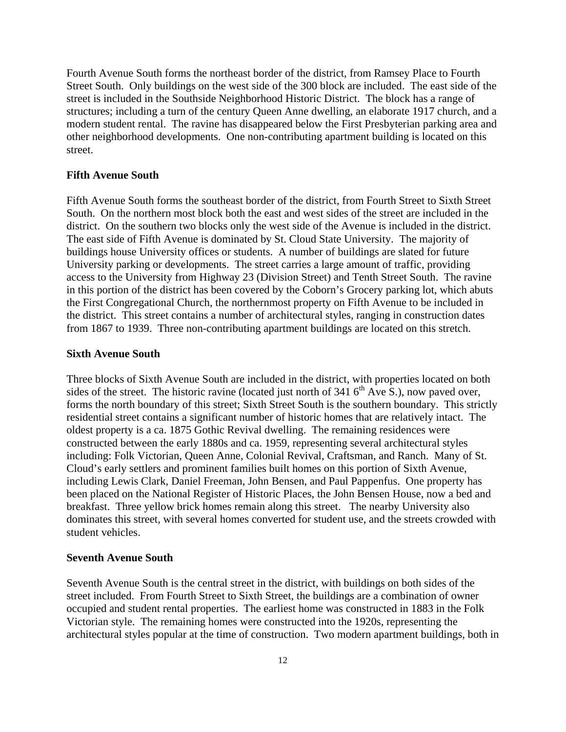Fourth Avenue South forms the northeast border of the district, from Ramsey Place to Fourth Street South. Only buildings on the west side of the 300 block are included. The east side of the street is included in the Southside Neighborhood Historic District. The block has a range of structures; including a turn of the century Queen Anne dwelling, an elaborate 1917 church, and a modern student rental. The ravine has disappeared below the First Presbyterian parking area and other neighborhood developments. One non-contributing apartment building is located on this street.

#### **Fifth Avenue South**

Fifth Avenue South forms the southeast border of the district, from Fourth Street to Sixth Street South. On the northern most block both the east and west sides of the street are included in the district. On the southern two blocks only the west side of the Avenue is included in the district. The east side of Fifth Avenue is dominated by St. Cloud State University. The majority of buildings house University offices or students. A number of buildings are slated for future University parking or developments. The street carries a large amount of traffic, providing access to the University from Highway 23 (Division Street) and Tenth Street South. The ravine in this portion of the district has been covered by the Coborn's Grocery parking lot, which abuts the First Congregational Church, the northernmost property on Fifth Avenue to be included in the district. This street contains a number of architectural styles, ranging in construction dates from 1867 to 1939. Three non-contributing apartment buildings are located on this stretch.

#### **Sixth Avenue South**

Three blocks of Sixth Avenue South are included in the district, with properties located on both sides of the street. The historic ravine (located just north of  $341.6<sup>th</sup>$  Ave S.), now paved over, forms the north boundary of this street; Sixth Street South is the southern boundary. This strictly residential street contains a significant number of historic homes that are relatively intact. The oldest property is a ca. 1875 Gothic Revival dwelling. The remaining residences were constructed between the early 1880s and ca. 1959, representing several architectural styles including: Folk Victorian, Queen Anne, Colonial Revival, Craftsman, and Ranch. Many of St. Cloud's early settlers and prominent families built homes on this portion of Sixth Avenue, including Lewis Clark, Daniel Freeman, John Bensen, and Paul Pappenfus. One property has been placed on the National Register of Historic Places, the John Bensen House, now a bed and breakfast. Three yellow brick homes remain along this street. The nearby University also dominates this street, with several homes converted for student use, and the streets crowded with student vehicles.

#### **Seventh Avenue South**

Seventh Avenue South is the central street in the district, with buildings on both sides of the street included. From Fourth Street to Sixth Street, the buildings are a combination of owner occupied and student rental properties. The earliest home was constructed in 1883 in the Folk Victorian style. The remaining homes were constructed into the 1920s, representing the architectural styles popular at the time of construction. Two modern apartment buildings, both in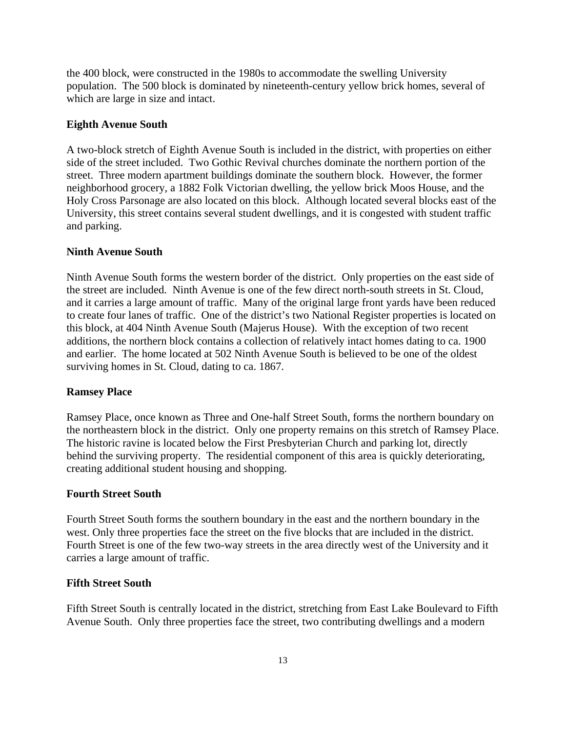the 400 block, were constructed in the 1980s to accommodate the swelling University population. The 500 block is dominated by nineteenth-century yellow brick homes, several of which are large in size and intact.

### **Eighth Avenue South**

A two-block stretch of Eighth Avenue South is included in the district, with properties on either side of the street included. Two Gothic Revival churches dominate the northern portion of the street. Three modern apartment buildings dominate the southern block. However, the former neighborhood grocery, a 1882 Folk Victorian dwelling, the yellow brick Moos House, and the Holy Cross Parsonage are also located on this block. Although located several blocks east of the University, this street contains several student dwellings, and it is congested with student traffic and parking.

#### **Ninth Avenue South**

Ninth Avenue South forms the western border of the district. Only properties on the east side of the street are included. Ninth Avenue is one of the few direct north-south streets in St. Cloud, and it carries a large amount of traffic. Many of the original large front yards have been reduced to create four lanes of traffic. One of the district's two National Register properties is located on this block, at 404 Ninth Avenue South (Majerus House). With the exception of two recent additions, the northern block contains a collection of relatively intact homes dating to ca. 1900 and earlier. The home located at 502 Ninth Avenue South is believed to be one of the oldest surviving homes in St. Cloud, dating to ca. 1867.

#### **Ramsey Place**

Ramsey Place, once known as Three and One-half Street South, forms the northern boundary on the northeastern block in the district. Only one property remains on this stretch of Ramsey Place. The historic ravine is located below the First Presbyterian Church and parking lot, directly behind the surviving property. The residential component of this area is quickly deteriorating, creating additional student housing and shopping.

### **Fourth Street South**

Fourth Street South forms the southern boundary in the east and the northern boundary in the west. Only three properties face the street on the five blocks that are included in the district. Fourth Street is one of the few two-way streets in the area directly west of the University and it carries a large amount of traffic.

### **Fifth Street South**

Fifth Street South is centrally located in the district, stretching from East Lake Boulevard to Fifth Avenue South. Only three properties face the street, two contributing dwellings and a modern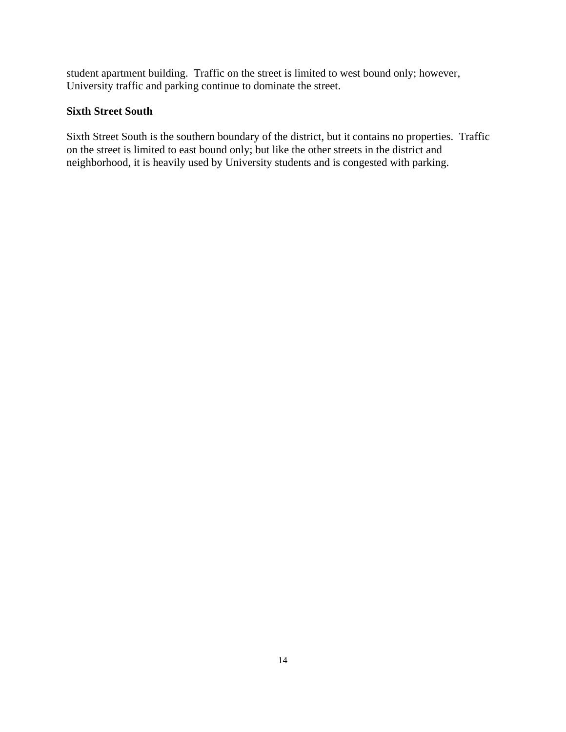student apartment building. Traffic on the street is limited to west bound only; however, University traffic and parking continue to dominate the street.

# **Sixth Street South**

Sixth Street South is the southern boundary of the district, but it contains no properties. Traffic on the street is limited to east bound only; but like the other streets in the district and neighborhood, it is heavily used by University students and is congested with parking.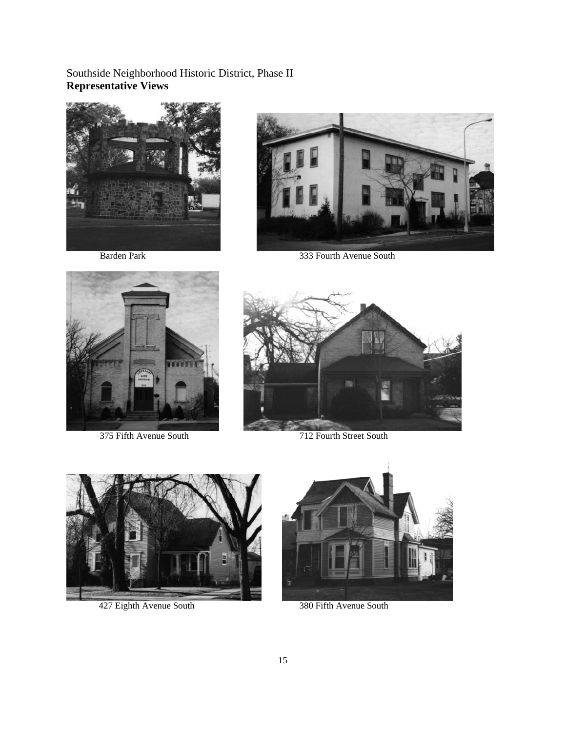Southside Neighborhood Historic District, Phase II **Representative Views** 





Barden Park 333 Fourth Avenue South





375 Fifth Avenue South 712 Fourth Street South



427 Eighth Avenue South 380 Fifth Avenue South

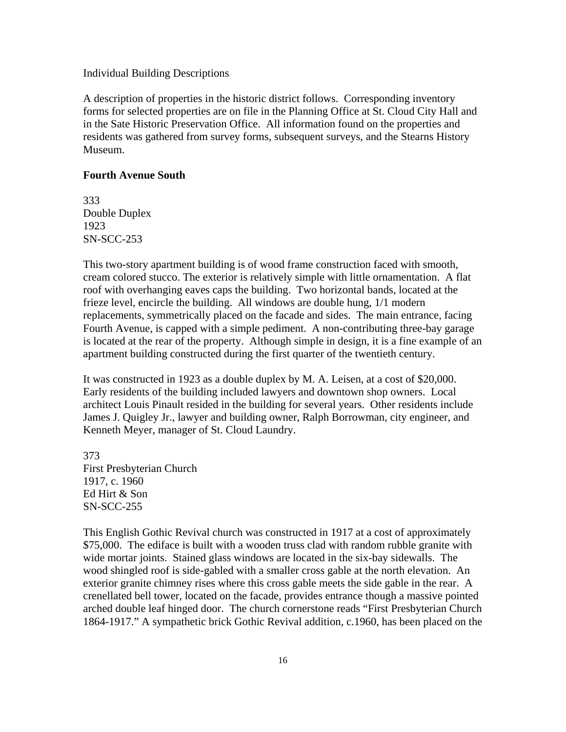#### Individual Building Descriptions

A description of properties in the historic district follows. Corresponding inventory forms for selected properties are on file in the Planning Office at St. Cloud City Hall and in the Sate Historic Preservation Office. All information found on the properties and residents was gathered from survey forms, subsequent surveys, and the Stearns History Museum.

### **Fourth Avenue South**

333 Double Duplex 1923 SN-SCC-253

This two-story apartment building is of wood frame construction faced with smooth, cream colored stucco. The exterior is relatively simple with little ornamentation. A flat roof with overhanging eaves caps the building. Two horizontal bands, located at the frieze level, encircle the building. All windows are double hung, 1/1 modern replacements, symmetrically placed on the facade and sides. The main entrance, facing Fourth Avenue, is capped with a simple pediment. A non-contributing three-bay garage is located at the rear of the property. Although simple in design, it is a fine example of an apartment building constructed during the first quarter of the twentieth century.

It was constructed in 1923 as a double duplex by M. A. Leisen, at a cost of \$20,000. Early residents of the building included lawyers and downtown shop owners. Local architect Louis Pinault resided in the building for several years. Other residents include James J. Quigley Jr., lawyer and building owner, Ralph Borrowman, city engineer, and Kenneth Meyer, manager of St. Cloud Laundry.

373 First Presbyterian Church 1917, c. 1960 Ed Hirt & Son SN-SCC-255

This English Gothic Revival church was constructed in 1917 at a cost of approximately \$75,000. The ediface is built with a wooden truss clad with random rubble granite with wide mortar joints. Stained glass windows are located in the six-bay sidewalls. The wood shingled roof is side-gabled with a smaller cross gable at the north elevation. An exterior granite chimney rises where this cross gable meets the side gable in the rear. A crenellated bell tower, located on the facade, provides entrance though a massive pointed arched double leaf hinged door. The church cornerstone reads "First Presbyterian Church 1864-1917." A sympathetic brick Gothic Revival addition, c.1960, has been placed on the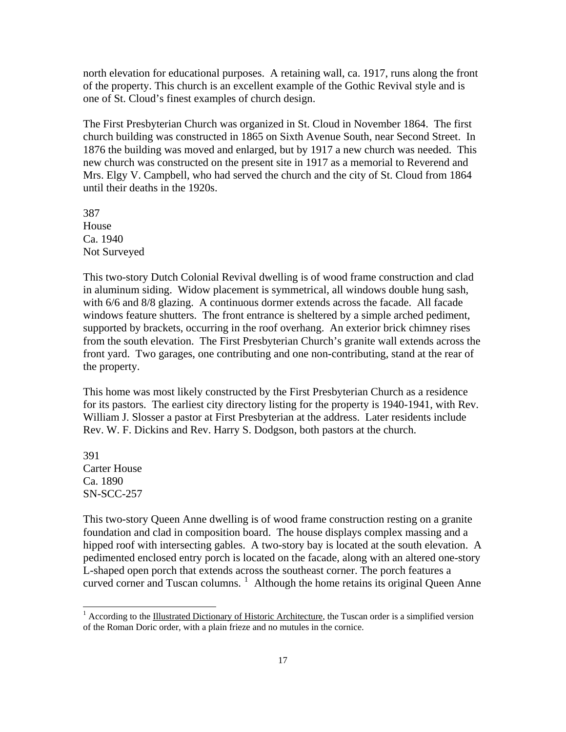north elevation for educational purposes. A retaining wall, ca. 1917, runs along the front of the property. This church is an excellent example of the Gothic Revival style and is one of St. Cloud's finest examples of church design.

The First Presbyterian Church was organized in St. Cloud in November 1864. The first church building was constructed in 1865 on Sixth Avenue South, near Second Street. In 1876 the building was moved and enlarged, but by 1917 a new church was needed. This new church was constructed on the present site in 1917 as a memorial to Reverend and Mrs. Elgy V. Campbell, who had served the church and the city of St. Cloud from 1864 until their deaths in the 1920s.

387 House Ca. 1940 Not Surveyed

This two-story Dutch Colonial Revival dwelling is of wood frame construction and clad in aluminum siding. Widow placement is symmetrical, all windows double hung sash, with 6/6 and 8/8 glazing. A continuous dormer extends across the facade. All facade windows feature shutters. The front entrance is sheltered by a simple arched pediment, supported by brackets, occurring in the roof overhang. An exterior brick chimney rises from the south elevation. The First Presbyterian Church's granite wall extends across the front yard. Two garages, one contributing and one non-contributing, stand at the rear of the property.

This home was most likely constructed by the First Presbyterian Church as a residence for its pastors. The earliest city directory listing for the property is 1940-1941, with Rev. William J. Slosser a pastor at First Presbyterian at the address. Later residents include Rev. W. F. Dickins and Rev. Harry S. Dodgson, both pastors at the church.

391 Carter House Ca. 1890 SN-SCC-257

 $\overline{\phantom{a}}$ 

This two-story Queen Anne dwelling is of wood frame construction resting on a granite foundation and clad in composition board. The house displays complex massing and a hipped roof with intersecting gables. A two-story bay is located at the south elevation. A pedimented enclosed entry porch is located on the facade, along with an altered one-story L-shaped open porch that extends across the southeast corner. The porch features a curved corner and Tuscan columns.  $\frac{1}{1}$  $\frac{1}{1}$  $\frac{1}{1}$  Although the home retains its original Queen Anne

<span id="page-16-0"></span><sup>&</sup>lt;sup>1</sup> According to the Illustrated Dictionary of Historic Architecture, the Tuscan order is a simplified version of the Roman Doric order, with a plain frieze and no mutules in the cornice.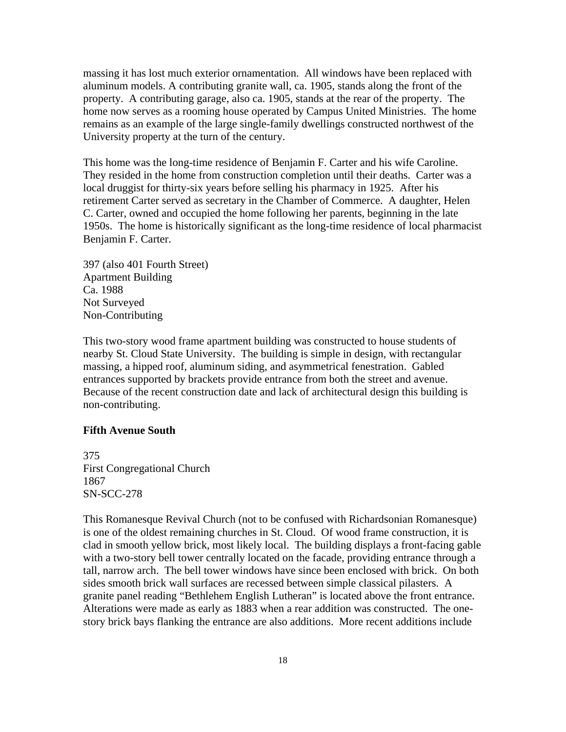massing it has lost much exterior ornamentation. All windows have been replaced with aluminum models. A contributing granite wall, ca. 1905, stands along the front of the property. A contributing garage, also ca. 1905, stands at the rear of the property. The home now serves as a rooming house operated by Campus United Ministries. The home remains as an example of the large single-family dwellings constructed northwest of the University property at the turn of the century.

This home was the long-time residence of Benjamin F. Carter and his wife Caroline. They resided in the home from construction completion until their deaths. Carter was a local druggist for thirty-six years before selling his pharmacy in 1925. After his retirement Carter served as secretary in the Chamber of Commerce. A daughter, Helen C. Carter, owned and occupied the home following her parents, beginning in the late 1950s. The home is historically significant as the long-time residence of local pharmacist Benjamin F. Carter.

397 (also 401 Fourth Street) Apartment Building Ca. 1988 Not Surveyed Non-Contributing

This two-story wood frame apartment building was constructed to house students of nearby St. Cloud State University. The building is simple in design, with rectangular massing, a hipped roof, aluminum siding, and asymmetrical fenestration. Gabled entrances supported by brackets provide entrance from both the street and avenue. Because of the recent construction date and lack of architectural design this building is non-contributing.

#### **Fifth Avenue South**

375 First Congregational Church 1867 SN-SCC-278

This Romanesque Revival Church (not to be confused with Richardsonian Romanesque) is one of the oldest remaining churches in St. Cloud. Of wood frame construction, it is clad in smooth yellow brick, most likely local. The building displays a front-facing gable with a two-story bell tower centrally located on the facade, providing entrance through a tall, narrow arch. The bell tower windows have since been enclosed with brick. On both sides smooth brick wall surfaces are recessed between simple classical pilasters. A granite panel reading "Bethlehem English Lutheran" is located above the front entrance. Alterations were made as early as 1883 when a rear addition was constructed. The onestory brick bays flanking the entrance are also additions. More recent additions include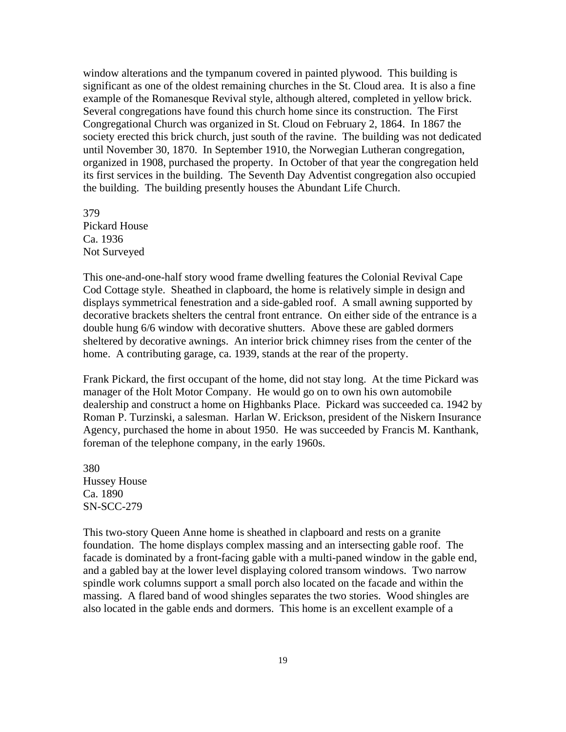window alterations and the tympanum covered in painted plywood. This building is significant as one of the oldest remaining churches in the St. Cloud area. It is also a fine example of the Romanesque Revival style, although altered, completed in yellow brick. Several congregations have found this church home since its construction. The First Congregational Church was organized in St. Cloud on February 2, 1864. In 1867 the society erected this brick church, just south of the ravine. The building was not dedicated until November 30, 1870. In September 1910, the Norwegian Lutheran congregation, organized in 1908, purchased the property. In October of that year the congregation held its first services in the building. The Seventh Day Adventist congregation also occupied the building. The building presently houses the Abundant Life Church.

379 Pickard House Ca. 1936 Not Surveyed

This one-and-one-half story wood frame dwelling features the Colonial Revival Cape Cod Cottage style. Sheathed in clapboard, the home is relatively simple in design and displays symmetrical fenestration and a side-gabled roof. A small awning supported by decorative brackets shelters the central front entrance. On either side of the entrance is a double hung 6/6 window with decorative shutters. Above these are gabled dormers sheltered by decorative awnings. An interior brick chimney rises from the center of the home. A contributing garage, ca. 1939, stands at the rear of the property.

Frank Pickard, the first occupant of the home, did not stay long. At the time Pickard was manager of the Holt Motor Company. He would go on to own his own automobile dealership and construct a home on Highbanks Place. Pickard was succeeded ca. 1942 by Roman P. Turzinski, a salesman. Harlan W. Erickson, president of the Niskern Insurance Agency, purchased the home in about 1950. He was succeeded by Francis M. Kanthank, foreman of the telephone company, in the early 1960s.

380 Hussey House Ca. 1890 SN-SCC-279

This two-story Queen Anne home is sheathed in clapboard and rests on a granite foundation. The home displays complex massing and an intersecting gable roof. The facade is dominated by a front-facing gable with a multi-paned window in the gable end, and a gabled bay at the lower level displaying colored transom windows. Two narrow spindle work columns support a small porch also located on the facade and within the massing. A flared band of wood shingles separates the two stories. Wood shingles are also located in the gable ends and dormers. This home is an excellent example of a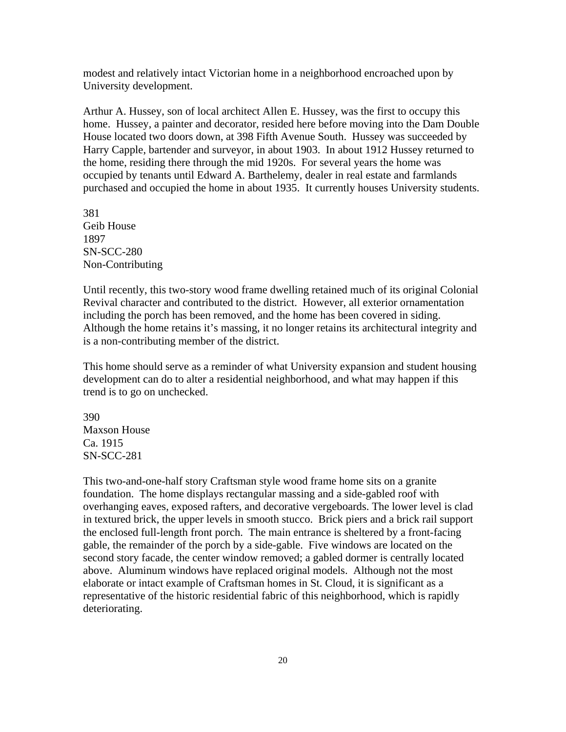modest and relatively intact Victorian home in a neighborhood encroached upon by University development.

Arthur A. Hussey, son of local architect Allen E. Hussey, was the first to occupy this home. Hussey, a painter and decorator, resided here before moving into the Dam Double House located two doors down, at 398 Fifth Avenue South. Hussey was succeeded by Harry Capple, bartender and surveyor, in about 1903. In about 1912 Hussey returned to the home, residing there through the mid 1920s. For several years the home was occupied by tenants until Edward A. Barthelemy, dealer in real estate and farmlands purchased and occupied the home in about 1935. It currently houses University students.

381 Geib House 1897 SN-SCC-280 Non-Contributing

Until recently, this two-story wood frame dwelling retained much of its original Colonial Revival character and contributed to the district. However, all exterior ornamentation including the porch has been removed, and the home has been covered in siding. Although the home retains it's massing, it no longer retains its architectural integrity and is a non-contributing member of the district.

This home should serve as a reminder of what University expansion and student housing development can do to alter a residential neighborhood, and what may happen if this trend is to go on unchecked.

390 Maxson House Ca. 1915 SN-SCC-281

This two-and-one-half story Craftsman style wood frame home sits on a granite foundation. The home displays rectangular massing and a side-gabled roof with overhanging eaves, exposed rafters, and decorative vergeboards. The lower level is clad in textured brick, the upper levels in smooth stucco. Brick piers and a brick rail support the enclosed full-length front porch. The main entrance is sheltered by a front-facing gable, the remainder of the porch by a side-gable. Five windows are located on the second story facade, the center window removed; a gabled dormer is centrally located above. Aluminum windows have replaced original models. Although not the most elaborate or intact example of Craftsman homes in St. Cloud, it is significant as a representative of the historic residential fabric of this neighborhood, which is rapidly deteriorating.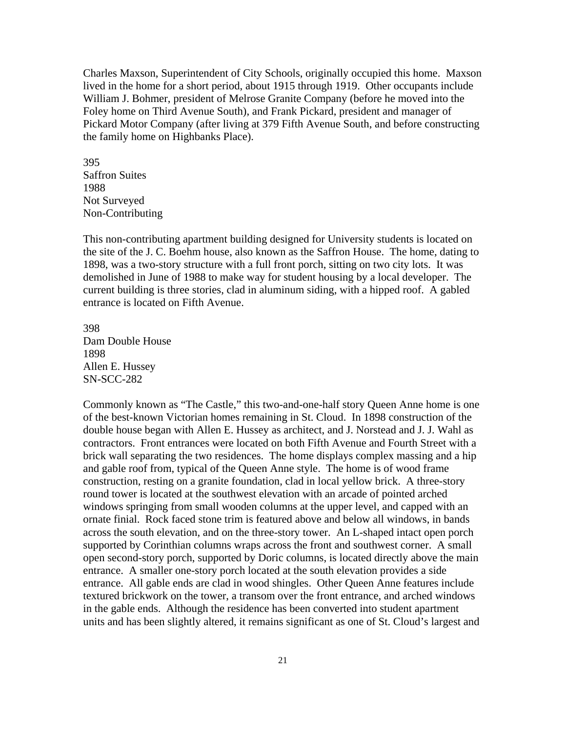Charles Maxson, Superintendent of City Schools, originally occupied this home. Maxson lived in the home for a short period, about 1915 through 1919. Other occupants include William J. Bohmer, president of Melrose Granite Company (before he moved into the Foley home on Third Avenue South), and Frank Pickard, president and manager of Pickard Motor Company (after living at 379 Fifth Avenue South, and before constructing the family home on Highbanks Place).

395 Saffron Suites 1988 Not Surveyed Non-Contributing

This non-contributing apartment building designed for University students is located on the site of the J. C. Boehm house, also known as the Saffron House. The home, dating to 1898, was a two-story structure with a full front porch, sitting on two city lots. It was demolished in June of 1988 to make way for student housing by a local developer. The current building is three stories, clad in aluminum siding, with a hipped roof. A gabled entrance is located on Fifth Avenue.

398 Dam Double House 1898 Allen E. Hussey SN-SCC-282

Commonly known as "The Castle," this two-and-one-half story Queen Anne home is one of the best-known Victorian homes remaining in St. Cloud. In 1898 construction of the double house began with Allen E. Hussey as architect, and J. Norstead and J. J. Wahl as contractors. Front entrances were located on both Fifth Avenue and Fourth Street with a brick wall separating the two residences. The home displays complex massing and a hip and gable roof from, typical of the Queen Anne style. The home is of wood frame construction, resting on a granite foundation, clad in local yellow brick. A three-story round tower is located at the southwest elevation with an arcade of pointed arched windows springing from small wooden columns at the upper level, and capped with an ornate finial. Rock faced stone trim is featured above and below all windows, in bands across the south elevation, and on the three-story tower. An L-shaped intact open porch supported by Corinthian columns wraps across the front and southwest corner. A small open second-story porch, supported by Doric columns, is located directly above the main entrance. A smaller one-story porch located at the south elevation provides a side entrance. All gable ends are clad in wood shingles. Other Queen Anne features include textured brickwork on the tower, a transom over the front entrance, and arched windows in the gable ends. Although the residence has been converted into student apartment units and has been slightly altered, it remains significant as one of St. Cloud's largest and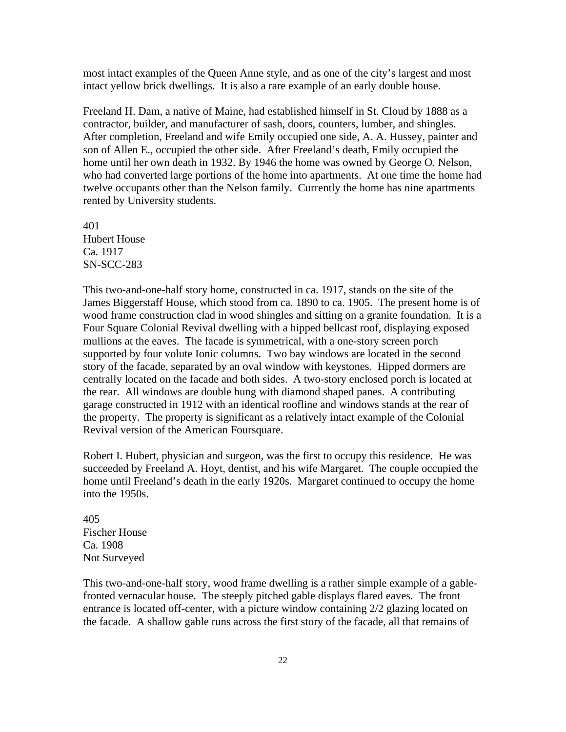most intact examples of the Queen Anne style, and as one of the city's largest and most intact yellow brick dwellings. It is also a rare example of an early double house.

Freeland H. Dam, a native of Maine, had established himself in St. Cloud by 1888 as a contractor, builder, and manufacturer of sash, doors, counters, lumber, and shingles. After completion, Freeland and wife Emily occupied one side, A. A. Hussey, painter and son of Allen E., occupied the other side. After Freeland's death, Emily occupied the home until her own death in 1932. By 1946 the home was owned by George O. Nelson, who had converted large portions of the home into apartments. At one time the home had twelve occupants other than the Nelson family. Currently the home has nine apartments rented by University students.

401 Hubert House Ca. 1917 SN-SCC-283

This two-and-one-half story home, constructed in ca. 1917, stands on the site of the James Biggerstaff House, which stood from ca. 1890 to ca. 1905. The present home is of wood frame construction clad in wood shingles and sitting on a granite foundation. It is a Four Square Colonial Revival dwelling with a hipped bellcast roof, displaying exposed mullions at the eaves. The facade is symmetrical, with a one-story screen porch supported by four volute Ionic columns. Two bay windows are located in the second story of the facade, separated by an oval window with keystones. Hipped dormers are centrally located on the facade and both sides. A two-story enclosed porch is located at the rear. All windows are double hung with diamond shaped panes. A contributing garage constructed in 1912 with an identical roofline and windows stands at the rear of the property. The property is significant as a relatively intact example of the Colonial Revival version of the American Foursquare.

Robert I. Hubert, physician and surgeon, was the first to occupy this residence. He was succeeded by Freeland A. Hoyt, dentist, and his wife Margaret. The couple occupied the home until Freeland's death in the early 1920s. Margaret continued to occupy the home into the 1950s.

405 Fischer House Ca. 1908 Not Surveyed

This two-and-one-half story, wood frame dwelling is a rather simple example of a gablefronted vernacular house. The steeply pitched gable displays flared eaves. The front entrance is located off-center, with a picture window containing 2/2 glazing located on the facade. A shallow gable runs across the first story of the facade, all that remains of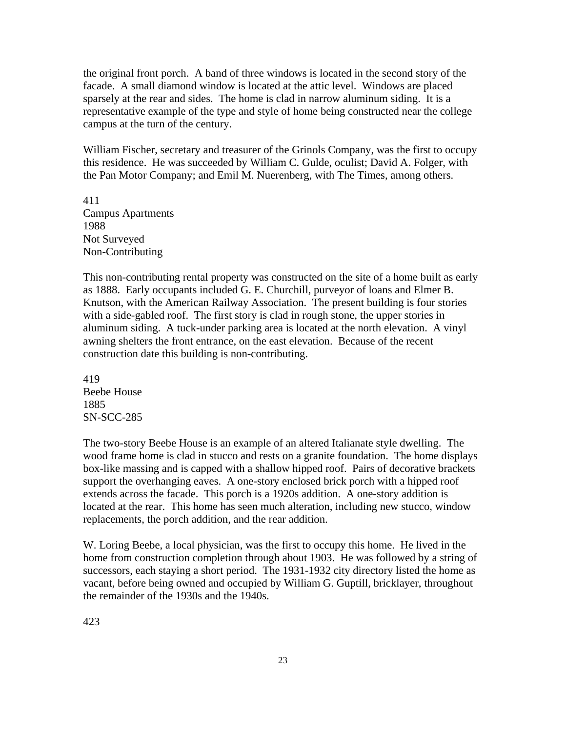the original front porch. A band of three windows is located in the second story of the facade. A small diamond window is located at the attic level. Windows are placed sparsely at the rear and sides. The home is clad in narrow aluminum siding. It is a representative example of the type and style of home being constructed near the college campus at the turn of the century.

William Fischer, secretary and treasurer of the Grinols Company, was the first to occupy this residence. He was succeeded by William C. Gulde, oculist; David A. Folger, with the Pan Motor Company; and Emil M. Nuerenberg, with The Times, among others.

411 Campus Apartments 1988 Not Surveyed Non-Contributing

This non-contributing rental property was constructed on the site of a home built as early as 1888. Early occupants included G. E. Churchill, purveyor of loans and Elmer B. Knutson, with the American Railway Association. The present building is four stories with a side-gabled roof. The first story is clad in rough stone, the upper stories in aluminum siding. A tuck-under parking area is located at the north elevation. A vinyl awning shelters the front entrance, on the east elevation. Because of the recent construction date this building is non-contributing.

419 Beebe House 1885 SN-SCC-285

The two-story Beebe House is an example of an altered Italianate style dwelling. The wood frame home is clad in stucco and rests on a granite foundation. The home displays box-like massing and is capped with a shallow hipped roof. Pairs of decorative brackets support the overhanging eaves. A one-story enclosed brick porch with a hipped roof extends across the facade. This porch is a 1920s addition. A one-story addition is located at the rear. This home has seen much alteration, including new stucco, window replacements, the porch addition, and the rear addition.

W. Loring Beebe, a local physician, was the first to occupy this home. He lived in the home from construction completion through about 1903. He was followed by a string of successors, each staying a short period. The 1931-1932 city directory listed the home as vacant, before being owned and occupied by William G. Guptill, bricklayer, throughout the remainder of the 1930s and the 1940s.

423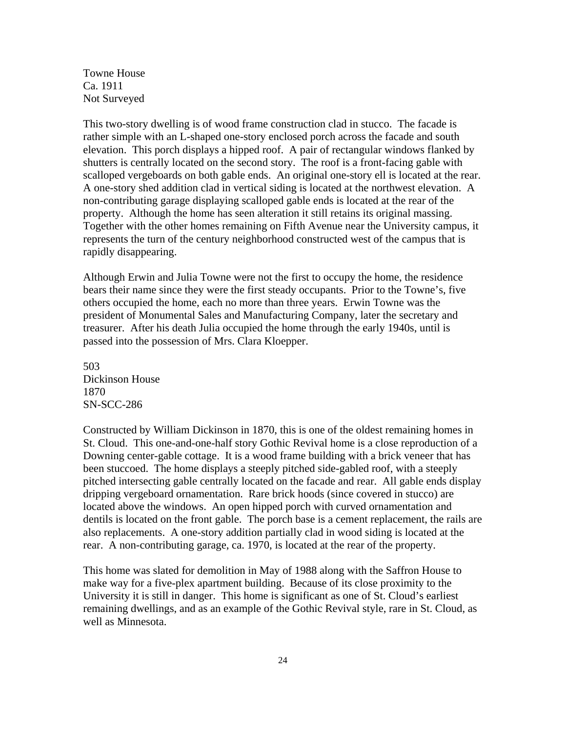Towne House Ca. 1911 Not Surveyed

This two-story dwelling is of wood frame construction clad in stucco. The facade is rather simple with an L-shaped one-story enclosed porch across the facade and south elevation. This porch displays a hipped roof. A pair of rectangular windows flanked by shutters is centrally located on the second story. The roof is a front-facing gable with scalloped vergeboards on both gable ends. An original one-story ell is located at the rear. A one-story shed addition clad in vertical siding is located at the northwest elevation. A non-contributing garage displaying scalloped gable ends is located at the rear of the property. Although the home has seen alteration it still retains its original massing. Together with the other homes remaining on Fifth Avenue near the University campus, it represents the turn of the century neighborhood constructed west of the campus that is rapidly disappearing.

Although Erwin and Julia Towne were not the first to occupy the home, the residence bears their name since they were the first steady occupants. Prior to the Towne's, five others occupied the home, each no more than three years. Erwin Towne was the president of Monumental Sales and Manufacturing Company, later the secretary and treasurer. After his death Julia occupied the home through the early 1940s, until is passed into the possession of Mrs. Clara Kloepper.

503 Dickinson House 1870 SN-SCC-286

Constructed by William Dickinson in 1870, this is one of the oldest remaining homes in St. Cloud. This one-and-one-half story Gothic Revival home is a close reproduction of a Downing center-gable cottage. It is a wood frame building with a brick veneer that has been stuccoed. The home displays a steeply pitched side-gabled roof, with a steeply pitched intersecting gable centrally located on the facade and rear. All gable ends display dripping vergeboard ornamentation. Rare brick hoods (since covered in stucco) are located above the windows. An open hipped porch with curved ornamentation and dentils is located on the front gable. The porch base is a cement replacement, the rails are also replacements. A one-story addition partially clad in wood siding is located at the rear. A non-contributing garage, ca. 1970, is located at the rear of the property.

This home was slated for demolition in May of 1988 along with the Saffron House to make way for a five-plex apartment building. Because of its close proximity to the University it is still in danger. This home is significant as one of St. Cloud's earliest remaining dwellings, and as an example of the Gothic Revival style, rare in St. Cloud, as well as Minnesota.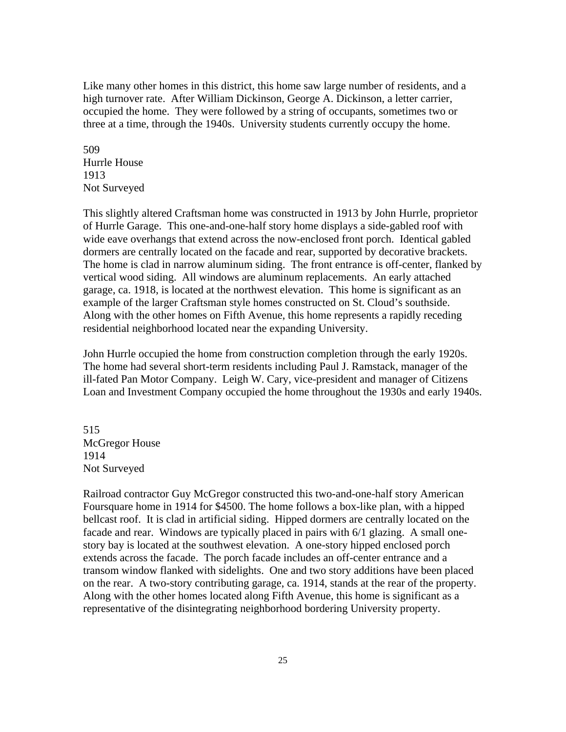Like many other homes in this district, this home saw large number of residents, and a high turnover rate. After William Dickinson, George A. Dickinson, a letter carrier, occupied the home. They were followed by a string of occupants, sometimes two or three at a time, through the 1940s. University students currently occupy the home.

509 Hurrle House 1913 Not Surveyed

This slightly altered Craftsman home was constructed in 1913 by John Hurrle, proprietor of Hurrle Garage. This one-and-one-half story home displays a side-gabled roof with wide eave overhangs that extend across the now-enclosed front porch. Identical gabled dormers are centrally located on the facade and rear, supported by decorative brackets. The home is clad in narrow aluminum siding. The front entrance is off-center, flanked by vertical wood siding. All windows are aluminum replacements. An early attached garage, ca. 1918, is located at the northwest elevation. This home is significant as an example of the larger Craftsman style homes constructed on St. Cloud's southside. Along with the other homes on Fifth Avenue, this home represents a rapidly receding residential neighborhood located near the expanding University.

John Hurrle occupied the home from construction completion through the early 1920s. The home had several short-term residents including Paul J. Ramstack, manager of the ill-fated Pan Motor Company. Leigh W. Cary, vice-president and manager of Citizens Loan and Investment Company occupied the home throughout the 1930s and early 1940s.

515 McGregor House 1914 Not Surveyed

Railroad contractor Guy McGregor constructed this two-and-one-half story American Foursquare home in 1914 for \$4500. The home follows a box-like plan, with a hipped bellcast roof. It is clad in artificial siding. Hipped dormers are centrally located on the facade and rear. Windows are typically placed in pairs with 6/1 glazing. A small onestory bay is located at the southwest elevation. A one-story hipped enclosed porch extends across the facade. The porch facade includes an off-center entrance and a transom window flanked with sidelights. One and two story additions have been placed on the rear. A two-story contributing garage, ca. 1914, stands at the rear of the property. Along with the other homes located along Fifth Avenue, this home is significant as a representative of the disintegrating neighborhood bordering University property.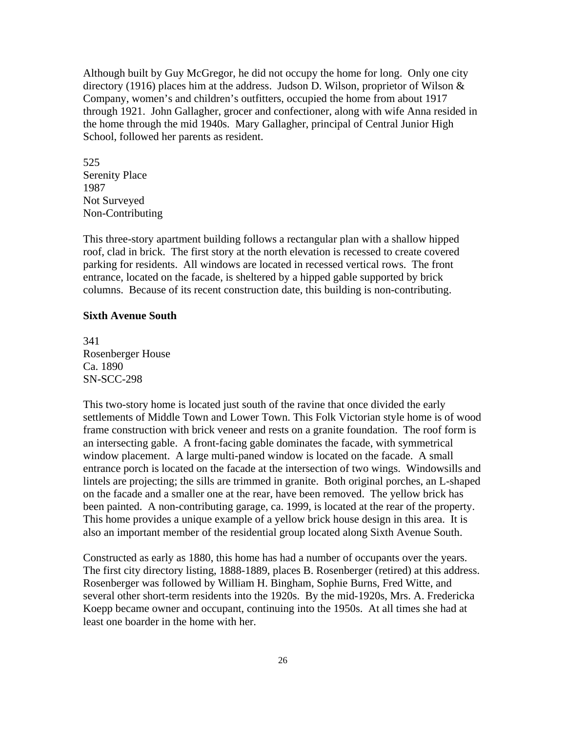Although built by Guy McGregor, he did not occupy the home for long. Only one city directory (1916) places him at the address. Judson D. Wilson, proprietor of Wilson & Company, women's and children's outfitters, occupied the home from about 1917 through 1921. John Gallagher, grocer and confectioner, along with wife Anna resided in the home through the mid 1940s. Mary Gallagher, principal of Central Junior High School, followed her parents as resident.

525 Serenity Place 1987 Not Surveyed Non-Contributing

This three-story apartment building follows a rectangular plan with a shallow hipped roof, clad in brick. The first story at the north elevation is recessed to create covered parking for residents. All windows are located in recessed vertical rows. The front entrance, located on the facade, is sheltered by a hipped gable supported by brick columns. Because of its recent construction date, this building is non-contributing.

#### **Sixth Avenue South**

341 Rosenberger House Ca. 1890 SN-SCC-298

This two-story home is located just south of the ravine that once divided the early settlements of Middle Town and Lower Town. This Folk Victorian style home is of wood frame construction with brick veneer and rests on a granite foundation. The roof form is an intersecting gable. A front-facing gable dominates the facade, with symmetrical window placement. A large multi-paned window is located on the facade. A small entrance porch is located on the facade at the intersection of two wings. Windowsills and lintels are projecting; the sills are trimmed in granite. Both original porches, an L-shaped on the facade and a smaller one at the rear, have been removed. The yellow brick has been painted. A non-contributing garage, ca. 1999, is located at the rear of the property. This home provides a unique example of a yellow brick house design in this area. It is also an important member of the residential group located along Sixth Avenue South.

Constructed as early as 1880, this home has had a number of occupants over the years. The first city directory listing, 1888-1889, places B. Rosenberger (retired) at this address. Rosenberger was followed by William H. Bingham, Sophie Burns, Fred Witte, and several other short-term residents into the 1920s. By the mid-1920s, Mrs. A. Fredericka Koepp became owner and occupant, continuing into the 1950s. At all times she had at least one boarder in the home with her.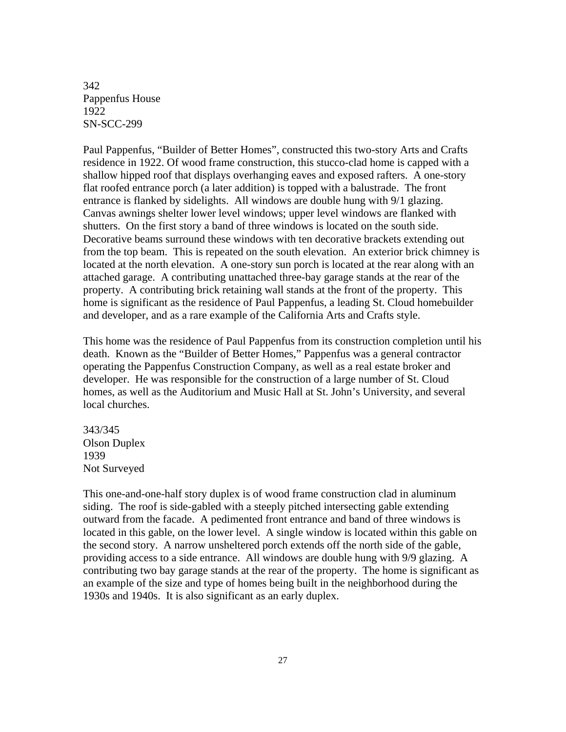342 Pappenfus House 1922 SN-SCC-299

Paul Pappenfus, "Builder of Better Homes", constructed this two-story Arts and Crafts residence in 1922. Of wood frame construction, this stucco-clad home is capped with a shallow hipped roof that displays overhanging eaves and exposed rafters. A one-story flat roofed entrance porch (a later addition) is topped with a balustrade. The front entrance is flanked by sidelights. All windows are double hung with 9/1 glazing. Canvas awnings shelter lower level windows; upper level windows are flanked with shutters. On the first story a band of three windows is located on the south side. Decorative beams surround these windows with ten decorative brackets extending out from the top beam. This is repeated on the south elevation. An exterior brick chimney is located at the north elevation. A one-story sun porch is located at the rear along with an attached garage. A contributing unattached three-bay garage stands at the rear of the property. A contributing brick retaining wall stands at the front of the property. This home is significant as the residence of Paul Pappenfus, a leading St. Cloud homebuilder and developer, and as a rare example of the California Arts and Crafts style.

This home was the residence of Paul Pappenfus from its construction completion until his death. Known as the "Builder of Better Homes," Pappenfus was a general contractor operating the Pappenfus Construction Company, as well as a real estate broker and developer. He was responsible for the construction of a large number of St. Cloud homes, as well as the Auditorium and Music Hall at St. John's University, and several local churches.

343/345 Olson Duplex 1939 Not Surveyed

This one-and-one-half story duplex is of wood frame construction clad in aluminum siding. The roof is side-gabled with a steeply pitched intersecting gable extending outward from the facade. A pedimented front entrance and band of three windows is located in this gable, on the lower level. A single window is located within this gable on the second story. A narrow unsheltered porch extends off the north side of the gable, providing access to a side entrance. All windows are double hung with 9/9 glazing. A contributing two bay garage stands at the rear of the property. The home is significant as an example of the size and type of homes being built in the neighborhood during the 1930s and 1940s. It is also significant as an early duplex.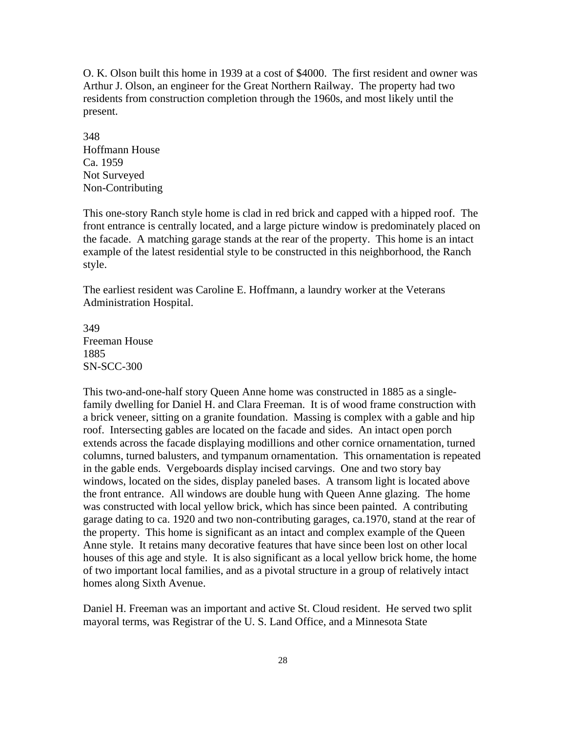O. K. Olson built this home in 1939 at a cost of \$4000. The first resident and owner was Arthur J. Olson, an engineer for the Great Northern Railway. The property had two residents from construction completion through the 1960s, and most likely until the present.

348 Hoffmann House Ca. 1959 Not Surveyed Non-Contributing

This one-story Ranch style home is clad in red brick and capped with a hipped roof. The front entrance is centrally located, and a large picture window is predominately placed on the facade. A matching garage stands at the rear of the property. This home is an intact example of the latest residential style to be constructed in this neighborhood, the Ranch style.

The earliest resident was Caroline E. Hoffmann, a laundry worker at the Veterans Administration Hospital.

349 Freeman House 1885 SN-SCC-300

This two-and-one-half story Queen Anne home was constructed in 1885 as a singlefamily dwelling for Daniel H. and Clara Freeman. It is of wood frame construction with a brick veneer, sitting on a granite foundation. Massing is complex with a gable and hip roof. Intersecting gables are located on the facade and sides. An intact open porch extends across the facade displaying modillions and other cornice ornamentation, turned columns, turned balusters, and tympanum ornamentation. This ornamentation is repeated in the gable ends. Vergeboards display incised carvings. One and two story bay windows, located on the sides, display paneled bases. A transom light is located above the front entrance. All windows are double hung with Queen Anne glazing. The home was constructed with local yellow brick, which has since been painted. A contributing garage dating to ca. 1920 and two non-contributing garages, ca.1970, stand at the rear of the property. This home is significant as an intact and complex example of the Queen Anne style. It retains many decorative features that have since been lost on other local houses of this age and style. It is also significant as a local yellow brick home, the home of two important local families, and as a pivotal structure in a group of relatively intact homes along Sixth Avenue.

Daniel H. Freeman was an important and active St. Cloud resident. He served two split mayoral terms, was Registrar of the U. S. Land Office, and a Minnesota State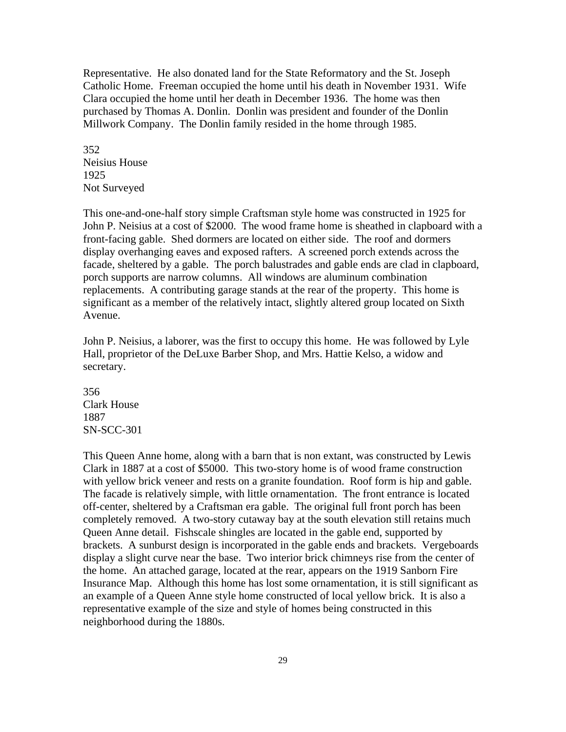Representative. He also donated land for the State Reformatory and the St. Joseph Catholic Home. Freeman occupied the home until his death in November 1931. Wife Clara occupied the home until her death in December 1936. The home was then purchased by Thomas A. Donlin. Donlin was president and founder of the Donlin Millwork Company. The Donlin family resided in the home through 1985.

352 Neisius House 1925 Not Surveyed

This one-and-one-half story simple Craftsman style home was constructed in 1925 for John P. Neisius at a cost of \$2000. The wood frame home is sheathed in clapboard with a front-facing gable. Shed dormers are located on either side. The roof and dormers display overhanging eaves and exposed rafters. A screened porch extends across the facade, sheltered by a gable. The porch balustrades and gable ends are clad in clapboard, porch supports are narrow columns. All windows are aluminum combination replacements. A contributing garage stands at the rear of the property. This home is significant as a member of the relatively intact, slightly altered group located on Sixth Avenue.

John P. Neisius, a laborer, was the first to occupy this home. He was followed by Lyle Hall, proprietor of the DeLuxe Barber Shop, and Mrs. Hattie Kelso, a widow and secretary.

356 Clark House 1887 SN-SCC-301

This Queen Anne home, along with a barn that is non extant, was constructed by Lewis Clark in 1887 at a cost of \$5000. This two-story home is of wood frame construction with yellow brick veneer and rests on a granite foundation. Roof form is hip and gable. The facade is relatively simple, with little ornamentation. The front entrance is located off-center, sheltered by a Craftsman era gable. The original full front porch has been completely removed. A two-story cutaway bay at the south elevation still retains much Queen Anne detail. Fishscale shingles are located in the gable end, supported by brackets. A sunburst design is incorporated in the gable ends and brackets. Vergeboards display a slight curve near the base. Two interior brick chimneys rise from the center of the home. An attached garage, located at the rear, appears on the 1919 Sanborn Fire Insurance Map. Although this home has lost some ornamentation, it is still significant as an example of a Queen Anne style home constructed of local yellow brick. It is also a representative example of the size and style of homes being constructed in this neighborhood during the 1880s.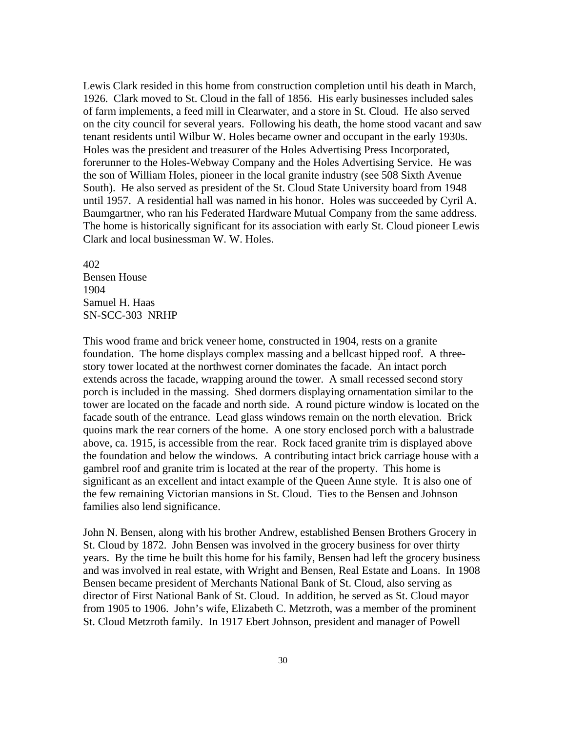Lewis Clark resided in this home from construction completion until his death in March, 1926. Clark moved to St. Cloud in the fall of 1856. His early businesses included sales of farm implements, a feed mill in Clearwater, and a store in St. Cloud. He also served on the city council for several years. Following his death, the home stood vacant and saw tenant residents until Wilbur W. Holes became owner and occupant in the early 1930s. Holes was the president and treasurer of the Holes Advertising Press Incorporated, forerunner to the Holes-Webway Company and the Holes Advertising Service. He was the son of William Holes, pioneer in the local granite industry (see 508 Sixth Avenue South). He also served as president of the St. Cloud State University board from 1948 until 1957. A residential hall was named in his honor. Holes was succeeded by Cyril A. Baumgartner, who ran his Federated Hardware Mutual Company from the same address. The home is historically significant for its association with early St. Cloud pioneer Lewis Clark and local businessman W. W. Holes.

402 Bensen House 1904 Samuel H. Haas SN-SCC-303 NRHP

This wood frame and brick veneer home, constructed in 1904, rests on a granite foundation. The home displays complex massing and a bellcast hipped roof. A threestory tower located at the northwest corner dominates the facade. An intact porch extends across the facade, wrapping around the tower. A small recessed second story porch is included in the massing. Shed dormers displaying ornamentation similar to the tower are located on the facade and north side. A round picture window is located on the facade south of the entrance. Lead glass windows remain on the north elevation. Brick quoins mark the rear corners of the home. A one story enclosed porch with a balustrade above, ca. 1915, is accessible from the rear. Rock faced granite trim is displayed above the foundation and below the windows. A contributing intact brick carriage house with a gambrel roof and granite trim is located at the rear of the property. This home is significant as an excellent and intact example of the Queen Anne style. It is also one of the few remaining Victorian mansions in St. Cloud. Ties to the Bensen and Johnson families also lend significance.

John N. Bensen, along with his brother Andrew, established Bensen Brothers Grocery in St. Cloud by 1872. John Bensen was involved in the grocery business for over thirty years. By the time he built this home for his family, Bensen had left the grocery business and was involved in real estate, with Wright and Bensen, Real Estate and Loans. In 1908 Bensen became president of Merchants National Bank of St. Cloud, also serving as director of First National Bank of St. Cloud. In addition, he served as St. Cloud mayor from 1905 to 1906. John's wife, Elizabeth C. Metzroth, was a member of the prominent St. Cloud Metzroth family. In 1917 Ebert Johnson, president and manager of Powell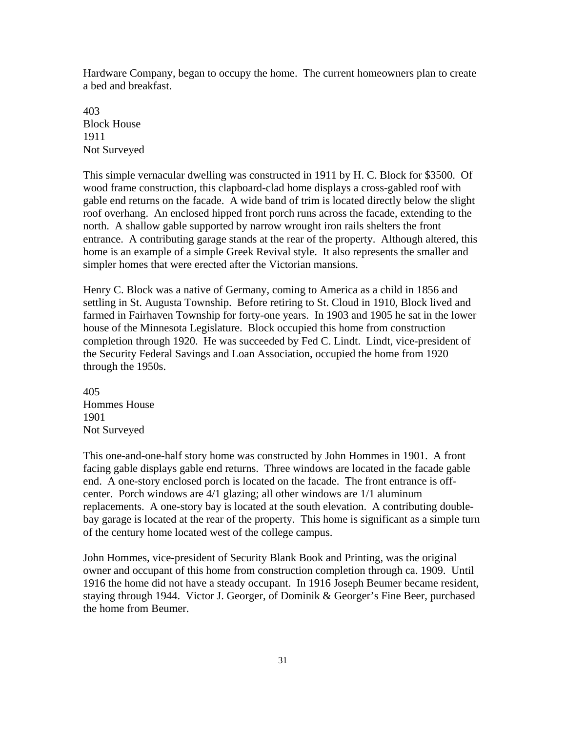Hardware Company, began to occupy the home. The current homeowners plan to create a bed and breakfast.

403 Block House 1911 Not Surveyed

This simple vernacular dwelling was constructed in 1911 by H. C. Block for \$3500. Of wood frame construction, this clapboard-clad home displays a cross-gabled roof with gable end returns on the facade. A wide band of trim is located directly below the slight roof overhang. An enclosed hipped front porch runs across the facade, extending to the north. A shallow gable supported by narrow wrought iron rails shelters the front entrance. A contributing garage stands at the rear of the property. Although altered, this home is an example of a simple Greek Revival style. It also represents the smaller and simpler homes that were erected after the Victorian mansions.

Henry C. Block was a native of Germany, coming to America as a child in 1856 and settling in St. Augusta Township. Before retiring to St. Cloud in 1910, Block lived and farmed in Fairhaven Township for forty-one years. In 1903 and 1905 he sat in the lower house of the Minnesota Legislature. Block occupied this home from construction completion through 1920. He was succeeded by Fed C. Lindt. Lindt, vice-president of the Security Federal Savings and Loan Association, occupied the home from 1920 through the 1950s.

405 Hommes House 1901 Not Surveyed

This one-and-one-half story home was constructed by John Hommes in 1901. A front facing gable displays gable end returns. Three windows are located in the facade gable end. A one-story enclosed porch is located on the facade. The front entrance is offcenter. Porch windows are 4/1 glazing; all other windows are 1/1 aluminum replacements. A one-story bay is located at the south elevation. A contributing doublebay garage is located at the rear of the property. This home is significant as a simple turn of the century home located west of the college campus.

John Hommes, vice-president of Security Blank Book and Printing, was the original owner and occupant of this home from construction completion through ca. 1909. Until 1916 the home did not have a steady occupant. In 1916 Joseph Beumer became resident, staying through 1944. Victor J. Georger, of Dominik & Georger's Fine Beer, purchased the home from Beumer.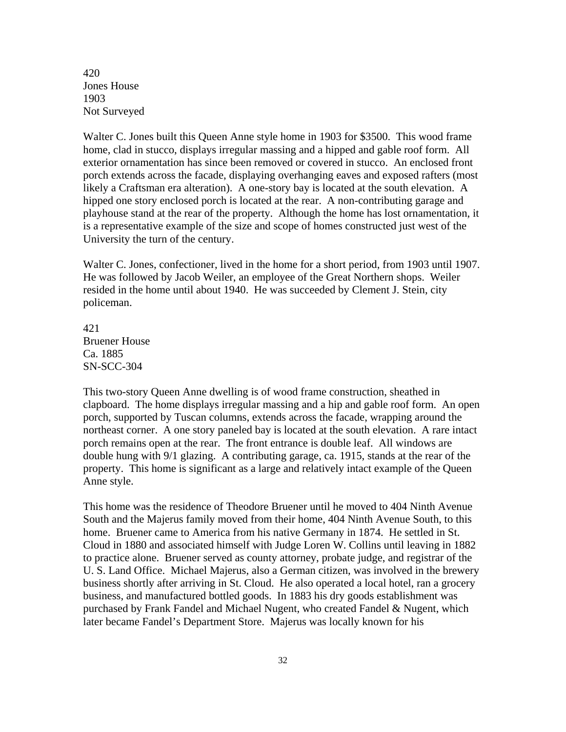420 Jones House 1903 Not Surveyed

Walter C. Jones built this Queen Anne style home in 1903 for \$3500. This wood frame home, clad in stucco, displays irregular massing and a hipped and gable roof form. All exterior ornamentation has since been removed or covered in stucco. An enclosed front porch extends across the facade, displaying overhanging eaves and exposed rafters (most likely a Craftsman era alteration). A one-story bay is located at the south elevation. A hipped one story enclosed porch is located at the rear. A non-contributing garage and playhouse stand at the rear of the property. Although the home has lost ornamentation, it is a representative example of the size and scope of homes constructed just west of the University the turn of the century.

Walter C. Jones, confectioner, lived in the home for a short period, from 1903 until 1907. He was followed by Jacob Weiler, an employee of the Great Northern shops. Weiler resided in the home until about 1940. He was succeeded by Clement J. Stein, city policeman.

421 Bruener House Ca. 1885 SN-SCC-304

This two-story Queen Anne dwelling is of wood frame construction, sheathed in clapboard. The home displays irregular massing and a hip and gable roof form. An open porch, supported by Tuscan columns, extends across the facade, wrapping around the northeast corner. A one story paneled bay is located at the south elevation. A rare intact porch remains open at the rear. The front entrance is double leaf. All windows are double hung with 9/1 glazing. A contributing garage, ca. 1915, stands at the rear of the property. This home is significant as a large and relatively intact example of the Queen Anne style.

This home was the residence of Theodore Bruener until he moved to 404 Ninth Avenue South and the Majerus family moved from their home, 404 Ninth Avenue South, to this home. Bruener came to America from his native Germany in 1874. He settled in St. Cloud in 1880 and associated himself with Judge Loren W. Collins until leaving in 1882 to practice alone. Bruener served as county attorney, probate judge, and registrar of the U. S. Land Office. Michael Majerus, also a German citizen, was involved in the brewery business shortly after arriving in St. Cloud. He also operated a local hotel, ran a grocery business, and manufactured bottled goods. In 1883 his dry goods establishment was purchased by Frank Fandel and Michael Nugent, who created Fandel & Nugent, which later became Fandel's Department Store. Majerus was locally known for his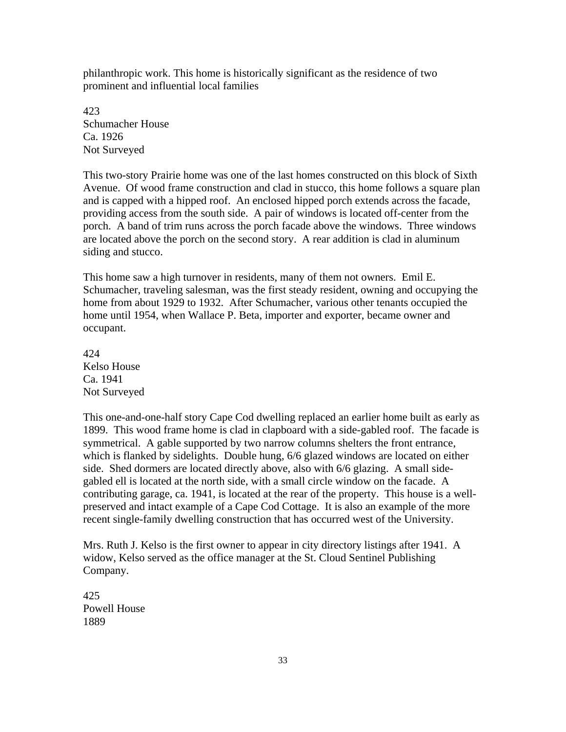philanthropic work. This home is historically significant as the residence of two prominent and influential local families

423 Schumacher House Ca. 1926 Not Surveyed

This two-story Prairie home was one of the last homes constructed on this block of Sixth Avenue. Of wood frame construction and clad in stucco, this home follows a square plan and is capped with a hipped roof. An enclosed hipped porch extends across the facade, providing access from the south side. A pair of windows is located off-center from the porch. A band of trim runs across the porch facade above the windows. Three windows are located above the porch on the second story. A rear addition is clad in aluminum siding and stucco.

This home saw a high turnover in residents, many of them not owners. Emil E. Schumacher, traveling salesman, was the first steady resident, owning and occupying the home from about 1929 to 1932. After Schumacher, various other tenants occupied the home until 1954, when Wallace P. Beta, importer and exporter, became owner and occupant.

424 Kelso House Ca. 1941 Not Surveyed

This one-and-one-half story Cape Cod dwelling replaced an earlier home built as early as 1899. This wood frame home is clad in clapboard with a side-gabled roof. The facade is symmetrical. A gable supported by two narrow columns shelters the front entrance, which is flanked by sidelights. Double hung, 6/6 glazed windows are located on either side. Shed dormers are located directly above, also with 6/6 glazing. A small sidegabled ell is located at the north side, with a small circle window on the facade. A contributing garage, ca. 1941, is located at the rear of the property. This house is a wellpreserved and intact example of a Cape Cod Cottage. It is also an example of the more recent single-family dwelling construction that has occurred west of the University.

Mrs. Ruth J. Kelso is the first owner to appear in city directory listings after 1941. A widow, Kelso served as the office manager at the St. Cloud Sentinel Publishing Company.

425 Powell House 1889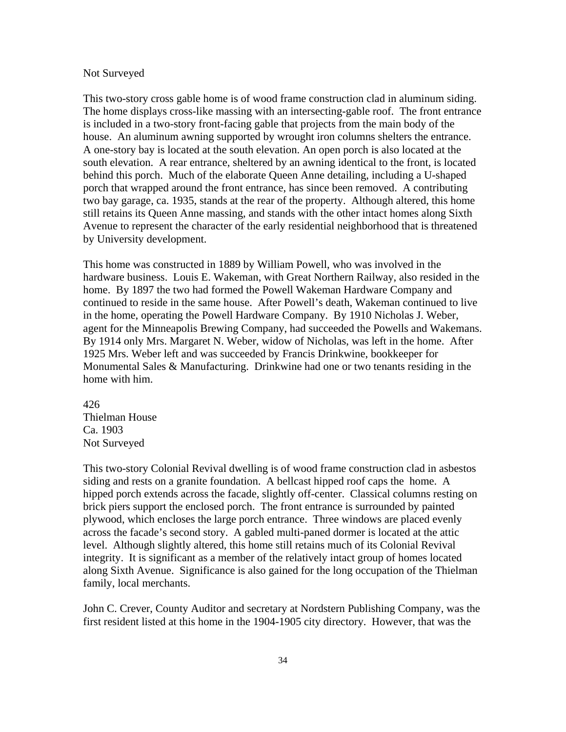#### Not Surveyed

This two-story cross gable home is of wood frame construction clad in aluminum siding. The home displays cross-like massing with an intersecting-gable roof. The front entrance is included in a two-story front-facing gable that projects from the main body of the house. An aluminum awning supported by wrought iron columns shelters the entrance. A one-story bay is located at the south elevation. An open porch is also located at the south elevation. A rear entrance, sheltered by an awning identical to the front, is located behind this porch. Much of the elaborate Queen Anne detailing, including a U-shaped porch that wrapped around the front entrance, has since been removed. A contributing two bay garage, ca. 1935, stands at the rear of the property. Although altered, this home still retains its Queen Anne massing, and stands with the other intact homes along Sixth Avenue to represent the character of the early residential neighborhood that is threatened by University development.

This home was constructed in 1889 by William Powell, who was involved in the hardware business. Louis E. Wakeman, with Great Northern Railway, also resided in the home. By 1897 the two had formed the Powell Wakeman Hardware Company and continued to reside in the same house. After Powell's death, Wakeman continued to live in the home, operating the Powell Hardware Company. By 1910 Nicholas J. Weber, agent for the Minneapolis Brewing Company, had succeeded the Powells and Wakemans. By 1914 only Mrs. Margaret N. Weber, widow of Nicholas, was left in the home. After 1925 Mrs. Weber left and was succeeded by Francis Drinkwine, bookkeeper for Monumental Sales & Manufacturing. Drinkwine had one or two tenants residing in the home with him.

426 Thielman House Ca. 1903 Not Surveyed

This two-story Colonial Revival dwelling is of wood frame construction clad in asbestos siding and rests on a granite foundation. A bellcast hipped roof caps the home. A hipped porch extends across the facade, slightly off-center. Classical columns resting on brick piers support the enclosed porch. The front entrance is surrounded by painted plywood, which encloses the large porch entrance. Three windows are placed evenly across the facade's second story. A gabled multi-paned dormer is located at the attic level. Although slightly altered, this home still retains much of its Colonial Revival integrity. It is significant as a member of the relatively intact group of homes located along Sixth Avenue. Significance is also gained for the long occupation of the Thielman family, local merchants.

John C. Crever, County Auditor and secretary at Nordstern Publishing Company, was the first resident listed at this home in the 1904-1905 city directory. However, that was the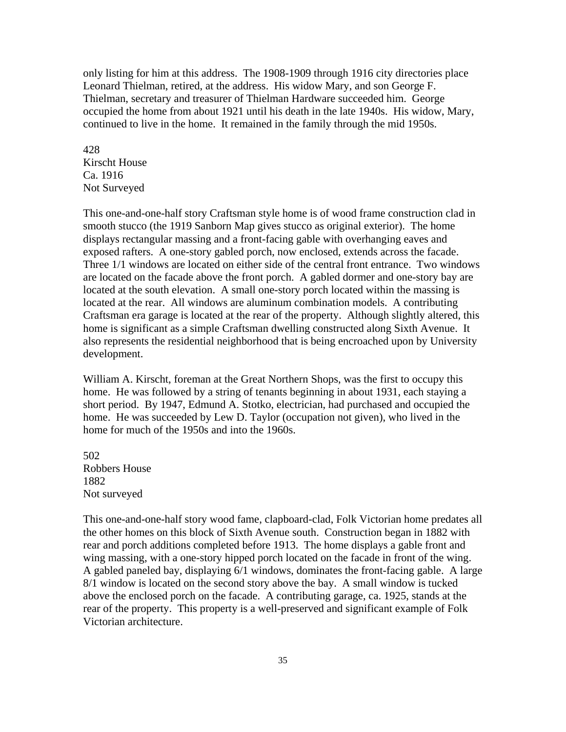only listing for him at this address. The 1908-1909 through 1916 city directories place Leonard Thielman, retired, at the address. His widow Mary, and son George F. Thielman, secretary and treasurer of Thielman Hardware succeeded him. George occupied the home from about 1921 until his death in the late 1940s. His widow, Mary, continued to live in the home. It remained in the family through the mid 1950s.

428 Kirscht House Ca. 1916 Not Surveyed

This one-and-one-half story Craftsman style home is of wood frame construction clad in smooth stucco (the 1919 Sanborn Map gives stucco as original exterior). The home displays rectangular massing and a front-facing gable with overhanging eaves and exposed rafters. A one-story gabled porch, now enclosed, extends across the facade. Three 1/1 windows are located on either side of the central front entrance. Two windows are located on the facade above the front porch. A gabled dormer and one-story bay are located at the south elevation. A small one-story porch located within the massing is located at the rear. All windows are aluminum combination models. A contributing Craftsman era garage is located at the rear of the property. Although slightly altered, this home is significant as a simple Craftsman dwelling constructed along Sixth Avenue. It also represents the residential neighborhood that is being encroached upon by University development.

William A. Kirscht, foreman at the Great Northern Shops, was the first to occupy this home. He was followed by a string of tenants beginning in about 1931, each staying a short period. By 1947, Edmund A. Stotko, electrician, had purchased and occupied the home. He was succeeded by Lew D. Taylor (occupation not given), who lived in the home for much of the 1950s and into the 1960s.

502 Robbers House 1882 Not surveyed

This one-and-one-half story wood fame, clapboard-clad, Folk Victorian home predates all the other homes on this block of Sixth Avenue south. Construction began in 1882 with rear and porch additions completed before 1913. The home displays a gable front and wing massing, with a one-story hipped porch located on the facade in front of the wing. A gabled paneled bay, displaying 6/1 windows, dominates the front-facing gable. A large 8/1 window is located on the second story above the bay. A small window is tucked above the enclosed porch on the facade. A contributing garage, ca. 1925, stands at the rear of the property. This property is a well-preserved and significant example of Folk Victorian architecture.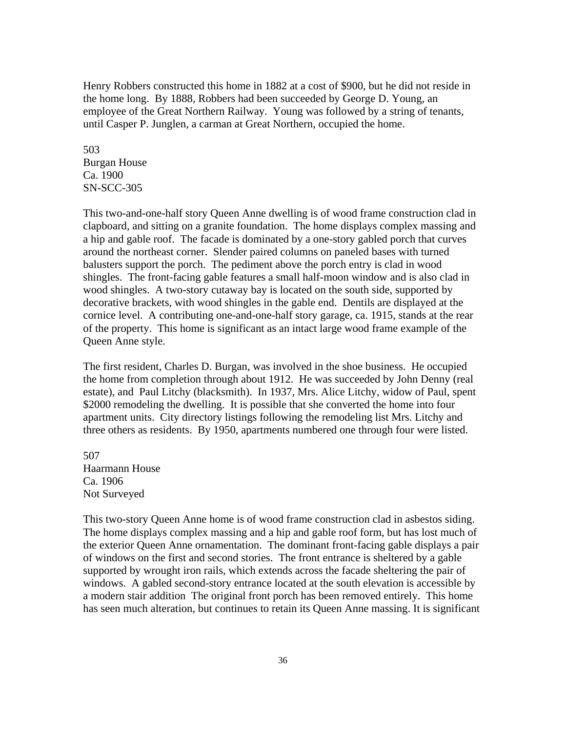Henry Robbers constructed this home in 1882 at a cost of \$900, but he did not reside in the home long. By 1888, Robbers had been succeeded by George D. Young, an employee of the Great Northern Railway. Young was followed by a string of tenants, until Casper P. Junglen, a carman at Great Northern, occupied the home.

503 Burgan House Ca. 1900 SN-SCC-305

This two-and-one-half story Queen Anne dwelling is of wood frame construction clad in clapboard, and sitting on a granite foundation. The home displays complex massing and a hip and gable roof. The facade is dominated by a one-story gabled porch that curves around the northeast corner. Slender paired columns on paneled bases with turned balusters support the porch. The pediment above the porch entry is clad in wood shingles. The front-facing gable features a small half-moon window and is also clad in wood shingles. A two-story cutaway bay is located on the south side, supported by decorative brackets, with wood shingles in the gable end. Dentils are displayed at the cornice level. A contributing one-and-one-half story garage, ca. 1915, stands at the rear of the property. This home is significant as an intact large wood frame example of the Queen Anne style.

The first resident, Charles D. Burgan, was involved in the shoe business. He occupied the home from completion through about 1912. He was succeeded by John Denny (real estate), and Paul Litchy (blacksmith). In 1937, Mrs. Alice Litchy, widow of Paul, spent \$2000 remodeling the dwelling. It is possible that she converted the home into four apartment units. City directory listings following the remodeling list Mrs. Litchy and three others as residents. By 1950, apartments numbered one through four were listed.

507 Haarmann House Ca. 1906 Not Surveyed

This two-story Queen Anne home is of wood frame construction clad in asbestos siding. The home displays complex massing and a hip and gable roof form, but has lost much of the exterior Queen Anne ornamentation. The dominant front-facing gable displays a pair of windows on the first and second stories. The front entrance is sheltered by a gable supported by wrought iron rails, which extends across the facade sheltering the pair of windows. A gabled second-story entrance located at the south elevation is accessible by a modern stair addition The original front porch has been removed entirely. This home has seen much alteration, but continues to retain its Queen Anne massing. It is significant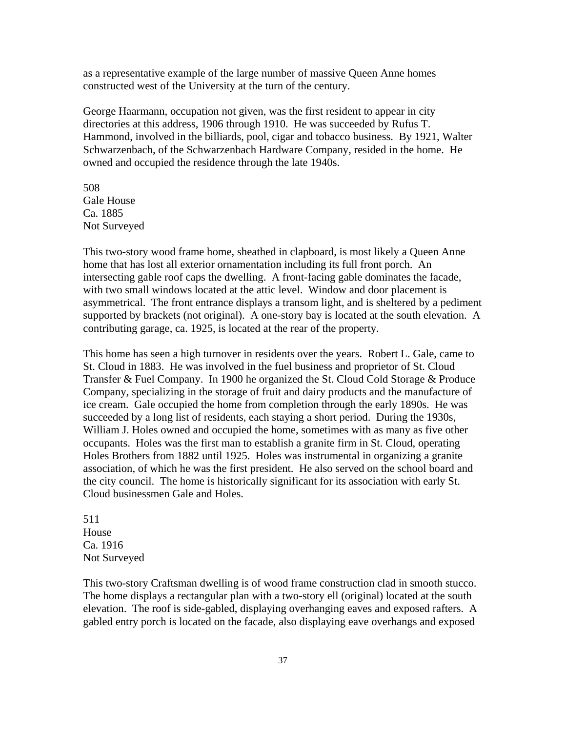as a representative example of the large number of massive Queen Anne homes constructed west of the University at the turn of the century.

George Haarmann, occupation not given, was the first resident to appear in city directories at this address, 1906 through 1910. He was succeeded by Rufus T. Hammond, involved in the billiards, pool, cigar and tobacco business. By 1921, Walter Schwarzenbach, of the Schwarzenbach Hardware Company, resided in the home. He owned and occupied the residence through the late 1940s.

508 Gale House Ca. 1885 Not Surveyed

This two-story wood frame home, sheathed in clapboard, is most likely a Queen Anne home that has lost all exterior ornamentation including its full front porch. An intersecting gable roof caps the dwelling. A front-facing gable dominates the facade, with two small windows located at the attic level. Window and door placement is asymmetrical. The front entrance displays a transom light, and is sheltered by a pediment supported by brackets (not original). A one-story bay is located at the south elevation. A contributing garage, ca. 1925, is located at the rear of the property.

This home has seen a high turnover in residents over the years. Robert L. Gale, came to St. Cloud in 1883. He was involved in the fuel business and proprietor of St. Cloud Transfer & Fuel Company. In 1900 he organized the St. Cloud Cold Storage & Produce Company, specializing in the storage of fruit and dairy products and the manufacture of ice cream. Gale occupied the home from completion through the early 1890s. He was succeeded by a long list of residents, each staying a short period. During the 1930s, William J. Holes owned and occupied the home, sometimes with as many as five other occupants. Holes was the first man to establish a granite firm in St. Cloud, operating Holes Brothers from 1882 until 1925. Holes was instrumental in organizing a granite association, of which he was the first president. He also served on the school board and the city council. The home is historically significant for its association with early St. Cloud businessmen Gale and Holes.

511 House Ca. 1916 Not Surveyed

This two-story Craftsman dwelling is of wood frame construction clad in smooth stucco. The home displays a rectangular plan with a two-story ell (original) located at the south elevation. The roof is side-gabled, displaying overhanging eaves and exposed rafters. A gabled entry porch is located on the facade, also displaying eave overhangs and exposed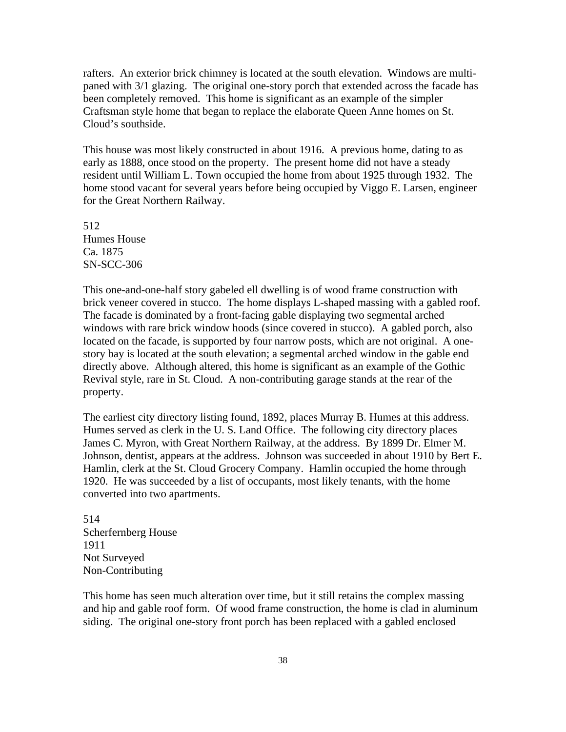rafters. An exterior brick chimney is located at the south elevation. Windows are multipaned with 3/1 glazing. The original one-story porch that extended across the facade has been completely removed. This home is significant as an example of the simpler Craftsman style home that began to replace the elaborate Queen Anne homes on St. Cloud's southside.

This house was most likely constructed in about 1916. A previous home, dating to as early as 1888, once stood on the property. The present home did not have a steady resident until William L. Town occupied the home from about 1925 through 1932. The home stood vacant for several years before being occupied by Viggo E. Larsen, engineer for the Great Northern Railway.

512 Humes House Ca. 1875 SN-SCC-306

This one-and-one-half story gabeled ell dwelling is of wood frame construction with brick veneer covered in stucco. The home displays L-shaped massing with a gabled roof. The facade is dominated by a front-facing gable displaying two segmental arched windows with rare brick window hoods (since covered in stucco). A gabled porch, also located on the facade, is supported by four narrow posts, which are not original. A onestory bay is located at the south elevation; a segmental arched window in the gable end directly above. Although altered, this home is significant as an example of the Gothic Revival style, rare in St. Cloud. A non-contributing garage stands at the rear of the property.

The earliest city directory listing found, 1892, places Murray B. Humes at this address. Humes served as clerk in the U. S. Land Office. The following city directory places James C. Myron, with Great Northern Railway, at the address. By 1899 Dr. Elmer M. Johnson, dentist, appears at the address. Johnson was succeeded in about 1910 by Bert E. Hamlin, clerk at the St. Cloud Grocery Company. Hamlin occupied the home through 1920. He was succeeded by a list of occupants, most likely tenants, with the home converted into two apartments.

514 Scherfernberg House 1911 Not Surveyed Non-Contributing

This home has seen much alteration over time, but it still retains the complex massing and hip and gable roof form. Of wood frame construction, the home is clad in aluminum siding. The original one-story front porch has been replaced with a gabled enclosed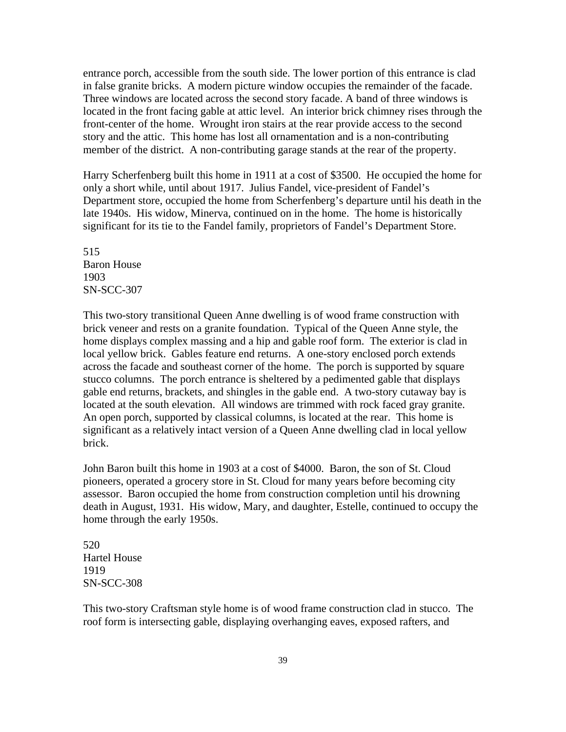entrance porch, accessible from the south side. The lower portion of this entrance is clad in false granite bricks. A modern picture window occupies the remainder of the facade. Three windows are located across the second story facade. A band of three windows is located in the front facing gable at attic level. An interior brick chimney rises through the front-center of the home. Wrought iron stairs at the rear provide access to the second story and the attic. This home has lost all ornamentation and is a non-contributing member of the district. A non-contributing garage stands at the rear of the property.

Harry Scherfenberg built this home in 1911 at a cost of \$3500. He occupied the home for only a short while, until about 1917. Julius Fandel, vice-president of Fandel's Department store, occupied the home from Scherfenberg's departure until his death in the late 1940s. His widow, Minerva, continued on in the home. The home is historically significant for its tie to the Fandel family, proprietors of Fandel's Department Store.

515 Baron House 1903 SN-SCC-307

This two-story transitional Queen Anne dwelling is of wood frame construction with brick veneer and rests on a granite foundation. Typical of the Queen Anne style, the home displays complex massing and a hip and gable roof form. The exterior is clad in local yellow brick. Gables feature end returns. A one-story enclosed porch extends across the facade and southeast corner of the home. The porch is supported by square stucco columns. The porch entrance is sheltered by a pedimented gable that displays gable end returns, brackets, and shingles in the gable end. A two-story cutaway bay is located at the south elevation. All windows are trimmed with rock faced gray granite. An open porch, supported by classical columns, is located at the rear. This home is significant as a relatively intact version of a Queen Anne dwelling clad in local yellow brick.

John Baron built this home in 1903 at a cost of \$4000. Baron, the son of St. Cloud pioneers, operated a grocery store in St. Cloud for many years before becoming city assessor. Baron occupied the home from construction completion until his drowning death in August, 1931. His widow, Mary, and daughter, Estelle, continued to occupy the home through the early 1950s.

520 Hartel House 1919 SN-SCC-308

This two-story Craftsman style home is of wood frame construction clad in stucco. The roof form is intersecting gable, displaying overhanging eaves, exposed rafters, and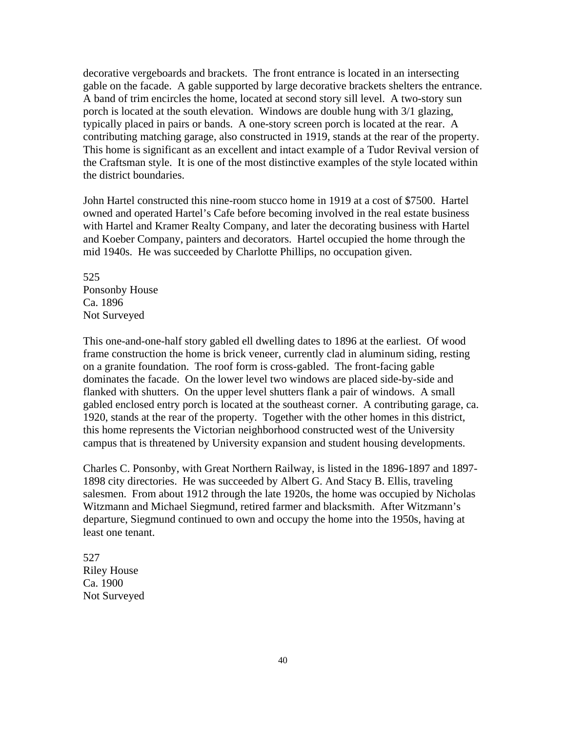decorative vergeboards and brackets. The front entrance is located in an intersecting gable on the facade. A gable supported by large decorative brackets shelters the entrance. A band of trim encircles the home, located at second story sill level. A two-story sun porch is located at the south elevation. Windows are double hung with 3/1 glazing, typically placed in pairs or bands. A one-story screen porch is located at the rear. A contributing matching garage, also constructed in 1919, stands at the rear of the property. This home is significant as an excellent and intact example of a Tudor Revival version of the Craftsman style. It is one of the most distinctive examples of the style located within the district boundaries.

John Hartel constructed this nine-room stucco home in 1919 at a cost of \$7500. Hartel owned and operated Hartel's Cafe before becoming involved in the real estate business with Hartel and Kramer Realty Company, and later the decorating business with Hartel and Koeber Company, painters and decorators. Hartel occupied the home through the mid 1940s. He was succeeded by Charlotte Phillips, no occupation given.

525 Ponsonby House Ca. 1896 Not Surveyed

This one-and-one-half story gabled ell dwelling dates to 1896 at the earliest. Of wood frame construction the home is brick veneer, currently clad in aluminum siding, resting on a granite foundation. The roof form is cross-gabled. The front-facing gable dominates the facade. On the lower level two windows are placed side-by-side and flanked with shutters. On the upper level shutters flank a pair of windows. A small gabled enclosed entry porch is located at the southeast corner. A contributing garage, ca. 1920, stands at the rear of the property. Together with the other homes in this district, this home represents the Victorian neighborhood constructed west of the University campus that is threatened by University expansion and student housing developments.

Charles C. Ponsonby, with Great Northern Railway, is listed in the 1896-1897 and 1897- 1898 city directories. He was succeeded by Albert G. And Stacy B. Ellis, traveling salesmen. From about 1912 through the late 1920s, the home was occupied by Nicholas Witzmann and Michael Siegmund, retired farmer and blacksmith. After Witzmann's departure, Siegmund continued to own and occupy the home into the 1950s, having at least one tenant.

527 Riley House Ca. 1900 Not Surveyed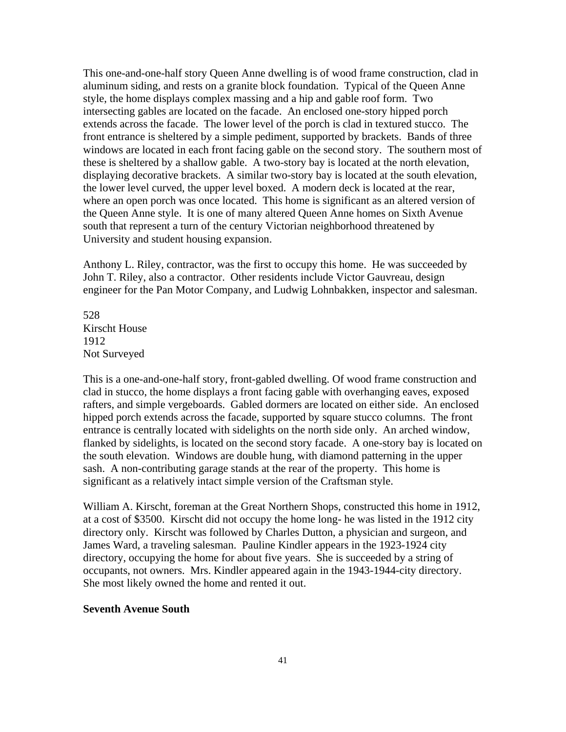This one-and-one-half story Queen Anne dwelling is of wood frame construction, clad in aluminum siding, and rests on a granite block foundation. Typical of the Queen Anne style, the home displays complex massing and a hip and gable roof form. Two intersecting gables are located on the facade. An enclosed one-story hipped porch extends across the facade. The lower level of the porch is clad in textured stucco. The front entrance is sheltered by a simple pediment, supported by brackets. Bands of three windows are located in each front facing gable on the second story. The southern most of these is sheltered by a shallow gable. A two-story bay is located at the north elevation, displaying decorative brackets. A similar two-story bay is located at the south elevation, the lower level curved, the upper level boxed. A modern deck is located at the rear, where an open porch was once located. This home is significant as an altered version of the Queen Anne style. It is one of many altered Queen Anne homes on Sixth Avenue south that represent a turn of the century Victorian neighborhood threatened by University and student housing expansion.

Anthony L. Riley, contractor, was the first to occupy this home. He was succeeded by John T. Riley, also a contractor. Other residents include Victor Gauvreau, design engineer for the Pan Motor Company, and Ludwig Lohnbakken, inspector and salesman.

528 Kirscht House 1912 Not Surveyed

This is a one-and-one-half story, front-gabled dwelling. Of wood frame construction and clad in stucco, the home displays a front facing gable with overhanging eaves, exposed rafters, and simple vergeboards. Gabled dormers are located on either side. An enclosed hipped porch extends across the facade, supported by square stucco columns. The front entrance is centrally located with sidelights on the north side only. An arched window, flanked by sidelights, is located on the second story facade. A one-story bay is located on the south elevation. Windows are double hung, with diamond patterning in the upper sash. A non-contributing garage stands at the rear of the property. This home is significant as a relatively intact simple version of the Craftsman style.

William A. Kirscht, foreman at the Great Northern Shops, constructed this home in 1912, at a cost of \$3500. Kirscht did not occupy the home long- he was listed in the 1912 city directory only. Kirscht was followed by Charles Dutton, a physician and surgeon, and James Ward, a traveling salesman. Pauline Kindler appears in the 1923-1924 city directory, occupying the home for about five years. She is succeeded by a string of occupants, not owners. Mrs. Kindler appeared again in the 1943-1944-city directory. She most likely owned the home and rented it out.

### **Seventh Avenue South**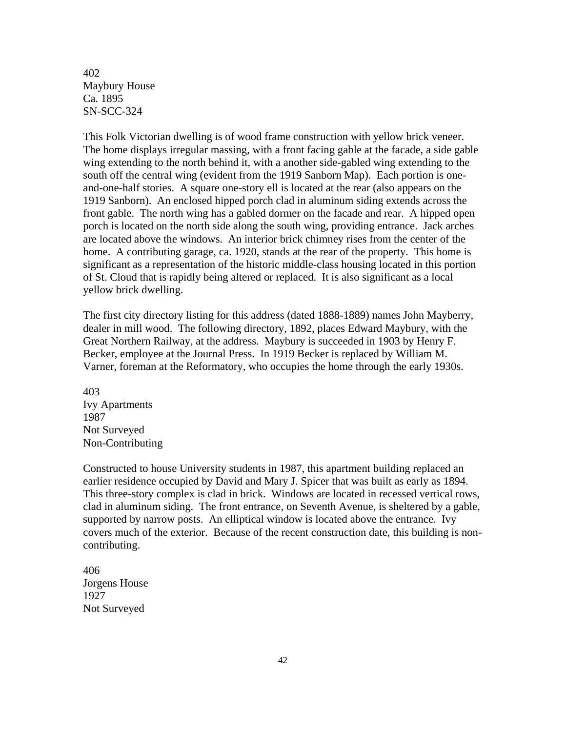402 Maybury House Ca. 1895 SN-SCC-324

This Folk Victorian dwelling is of wood frame construction with yellow brick veneer. The home displays irregular massing, with a front facing gable at the facade, a side gable wing extending to the north behind it, with a another side-gabled wing extending to the south off the central wing (evident from the 1919 Sanborn Map). Each portion is oneand-one-half stories. A square one-story ell is located at the rear (also appears on the 1919 Sanborn). An enclosed hipped porch clad in aluminum siding extends across the front gable. The north wing has a gabled dormer on the facade and rear. A hipped open porch is located on the north side along the south wing, providing entrance. Jack arches are located above the windows. An interior brick chimney rises from the center of the home. A contributing garage, ca. 1920, stands at the rear of the property. This home is significant as a representation of the historic middle-class housing located in this portion of St. Cloud that is rapidly being altered or replaced. It is also significant as a local yellow brick dwelling.

The first city directory listing for this address (dated 1888-1889) names John Mayberry, dealer in mill wood. The following directory, 1892, places Edward Maybury, with the Great Northern Railway, at the address. Maybury is succeeded in 1903 by Henry F. Becker, employee at the Journal Press. In 1919 Becker is replaced by William M. Varner, foreman at the Reformatory, who occupies the home through the early 1930s.

403 Ivy Apartments 1987 Not Surveyed Non-Contributing

Constructed to house University students in 1987, this apartment building replaced an earlier residence occupied by David and Mary J. Spicer that was built as early as 1894. This three-story complex is clad in brick. Windows are located in recessed vertical rows, clad in aluminum siding. The front entrance, on Seventh Avenue, is sheltered by a gable, supported by narrow posts. An elliptical window is located above the entrance. Ivy covers much of the exterior. Because of the recent construction date, this building is noncontributing.

406 Jorgens House 1927 Not Surveyed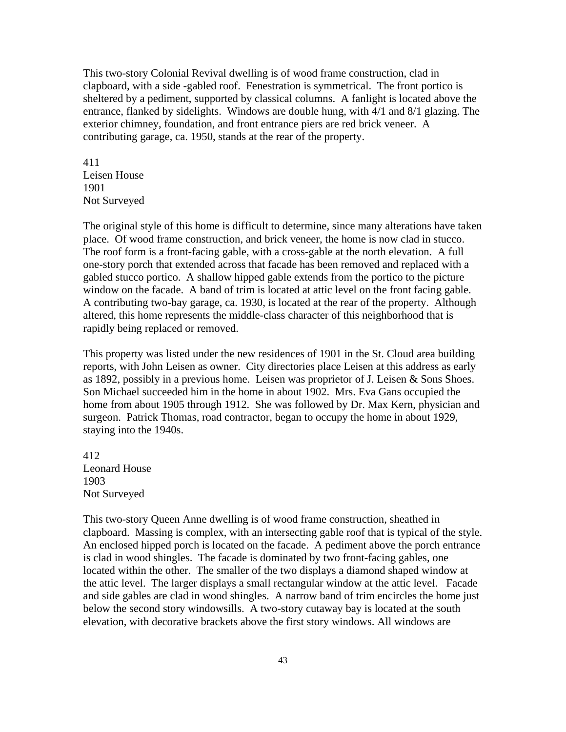This two-story Colonial Revival dwelling is of wood frame construction, clad in clapboard, with a side -gabled roof. Fenestration is symmetrical. The front portico is sheltered by a pediment, supported by classical columns. A fanlight is located above the entrance, flanked by sidelights. Windows are double hung, with 4/1 and 8/1 glazing. The exterior chimney, foundation, and front entrance piers are red brick veneer. A contributing garage, ca. 1950, stands at the rear of the property.

411 Leisen House 1901 Not Surveyed

The original style of this home is difficult to determine, since many alterations have taken place. Of wood frame construction, and brick veneer, the home is now clad in stucco. The roof form is a front-facing gable, with a cross-gable at the north elevation. A full one-story porch that extended across that facade has been removed and replaced with a gabled stucco portico. A shallow hipped gable extends from the portico to the picture window on the facade. A band of trim is located at attic level on the front facing gable. A contributing two-bay garage, ca. 1930, is located at the rear of the property. Although altered, this home represents the middle-class character of this neighborhood that is rapidly being replaced or removed.

This property was listed under the new residences of 1901 in the St. Cloud area building reports, with John Leisen as owner. City directories place Leisen at this address as early as 1892, possibly in a previous home. Leisen was proprietor of J. Leisen & Sons Shoes. Son Michael succeeded him in the home in about 1902. Mrs. Eva Gans occupied the home from about 1905 through 1912. She was followed by Dr. Max Kern, physician and surgeon. Patrick Thomas, road contractor, began to occupy the home in about 1929, staying into the 1940s.

412 Leonard House 1903 Not Surveyed

This two-story Queen Anne dwelling is of wood frame construction, sheathed in clapboard. Massing is complex, with an intersecting gable roof that is typical of the style. An enclosed hipped porch is located on the facade. A pediment above the porch entrance is clad in wood shingles. The facade is dominated by two front-facing gables, one located within the other. The smaller of the two displays a diamond shaped window at the attic level. The larger displays a small rectangular window at the attic level. Facade and side gables are clad in wood shingles. A narrow band of trim encircles the home just below the second story windowsills. A two-story cutaway bay is located at the south elevation, with decorative brackets above the first story windows. All windows are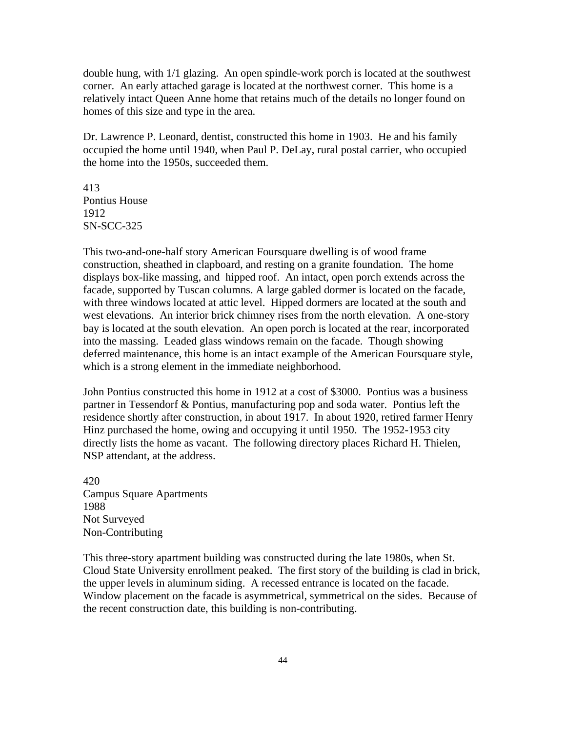double hung, with 1/1 glazing. An open spindle-work porch is located at the southwest corner. An early attached garage is located at the northwest corner. This home is a relatively intact Queen Anne home that retains much of the details no longer found on homes of this size and type in the area.

Dr. Lawrence P. Leonard, dentist, constructed this home in 1903. He and his family occupied the home until 1940, when Paul P. DeLay, rural postal carrier, who occupied the home into the 1950s, succeeded them.

413 Pontius House 1912 SN-SCC-325

This two-and-one-half story American Foursquare dwelling is of wood frame construction, sheathed in clapboard, and resting on a granite foundation. The home displays box-like massing, and hipped roof. An intact, open porch extends across the facade, supported by Tuscan columns. A large gabled dormer is located on the facade, with three windows located at attic level. Hipped dormers are located at the south and west elevations. An interior brick chimney rises from the north elevation. A one-story bay is located at the south elevation. An open porch is located at the rear, incorporated into the massing. Leaded glass windows remain on the facade. Though showing deferred maintenance, this home is an intact example of the American Foursquare style, which is a strong element in the immediate neighborhood.

John Pontius constructed this home in 1912 at a cost of \$3000. Pontius was a business partner in Tessendorf & Pontius, manufacturing pop and soda water. Pontius left the residence shortly after construction, in about 1917. In about 1920, retired farmer Henry Hinz purchased the home, owing and occupying it until 1950. The 1952-1953 city directly lists the home as vacant. The following directory places Richard H. Thielen, NSP attendant, at the address.

420 Campus Square Apartments 1988 Not Surveyed Non-Contributing

This three-story apartment building was constructed during the late 1980s, when St. Cloud State University enrollment peaked. The first story of the building is clad in brick, the upper levels in aluminum siding. A recessed entrance is located on the facade. Window placement on the facade is asymmetrical, symmetrical on the sides. Because of the recent construction date, this building is non-contributing.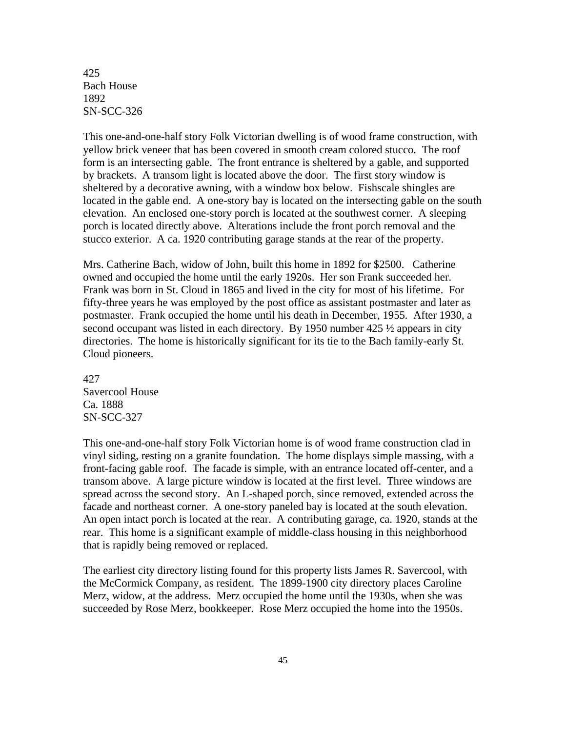425 Bach House 1892 SN-SCC-326

This one-and-one-half story Folk Victorian dwelling is of wood frame construction, with yellow brick veneer that has been covered in smooth cream colored stucco. The roof form is an intersecting gable. The front entrance is sheltered by a gable, and supported by brackets. A transom light is located above the door. The first story window is sheltered by a decorative awning, with a window box below. Fishscale shingles are located in the gable end. A one-story bay is located on the intersecting gable on the south elevation. An enclosed one-story porch is located at the southwest corner. A sleeping porch is located directly above. Alterations include the front porch removal and the stucco exterior. A ca. 1920 contributing garage stands at the rear of the property.

Mrs. Catherine Bach, widow of John, built this home in 1892 for \$2500. Catherine owned and occupied the home until the early 1920s. Her son Frank succeeded her. Frank was born in St. Cloud in 1865 and lived in the city for most of his lifetime. For fifty-three years he was employed by the post office as assistant postmaster and later as postmaster. Frank occupied the home until his death in December, 1955. After 1930, a second occupant was listed in each directory. By 1950 number 425 ½ appears in city directories. The home is historically significant for its tie to the Bach family-early St. Cloud pioneers.

427 Savercool House Ca. 1888 SN-SCC-327

This one-and-one-half story Folk Victorian home is of wood frame construction clad in vinyl siding, resting on a granite foundation. The home displays simple massing, with a front-facing gable roof. The facade is simple, with an entrance located off-center, and a transom above. A large picture window is located at the first level. Three windows are spread across the second story. An L-shaped porch, since removed, extended across the facade and northeast corner. A one-story paneled bay is located at the south elevation. An open intact porch is located at the rear. A contributing garage, ca. 1920, stands at the rear. This home is a significant example of middle-class housing in this neighborhood that is rapidly being removed or replaced.

The earliest city directory listing found for this property lists James R. Savercool, with the McCormick Company, as resident. The 1899-1900 city directory places Caroline Merz, widow, at the address. Merz occupied the home until the 1930s, when she was succeeded by Rose Merz, bookkeeper. Rose Merz occupied the home into the 1950s.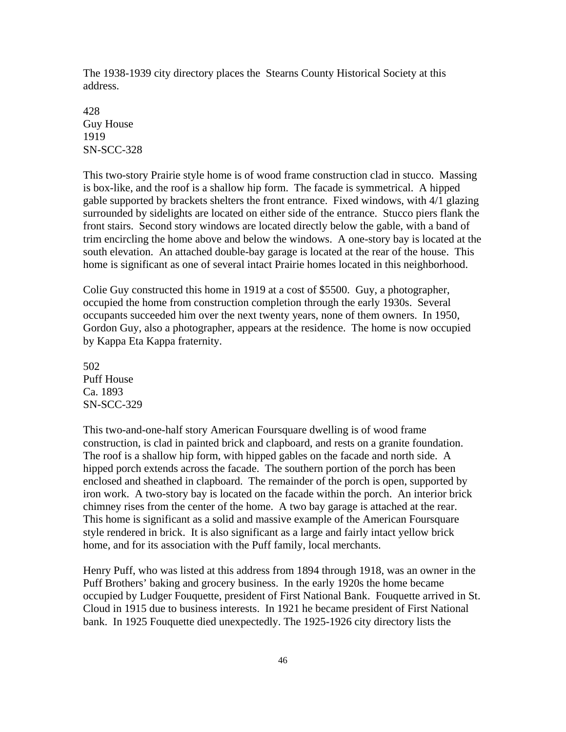The 1938-1939 city directory places the Stearns County Historical Society at this address.

428 Guy House 1919 SN-SCC-328

This two-story Prairie style home is of wood frame construction clad in stucco. Massing is box-like, and the roof is a shallow hip form. The facade is symmetrical. A hipped gable supported by brackets shelters the front entrance. Fixed windows, with 4/1 glazing surrounded by sidelights are located on either side of the entrance. Stucco piers flank the front stairs. Second story windows are located directly below the gable, with a band of trim encircling the home above and below the windows. A one-story bay is located at the south elevation. An attached double-bay garage is located at the rear of the house. This home is significant as one of several intact Prairie homes located in this neighborhood.

Colie Guy constructed this home in 1919 at a cost of \$5500. Guy, a photographer, occupied the home from construction completion through the early 1930s. Several occupants succeeded him over the next twenty years, none of them owners. In 1950, Gordon Guy, also a photographer, appears at the residence. The home is now occupied by Kappa Eta Kappa fraternity.

502 Puff House Ca. 1893 SN-SCC-329

This two-and-one-half story American Foursquare dwelling is of wood frame construction, is clad in painted brick and clapboard, and rests on a granite foundation. The roof is a shallow hip form, with hipped gables on the facade and north side. A hipped porch extends across the facade. The southern portion of the porch has been enclosed and sheathed in clapboard. The remainder of the porch is open, supported by iron work. A two-story bay is located on the facade within the porch. An interior brick chimney rises from the center of the home. A two bay garage is attached at the rear. This home is significant as a solid and massive example of the American Foursquare style rendered in brick. It is also significant as a large and fairly intact yellow brick home, and for its association with the Puff family, local merchants.

Henry Puff, who was listed at this address from 1894 through 1918, was an owner in the Puff Brothers' baking and grocery business. In the early 1920s the home became occupied by Ludger Fouquette, president of First National Bank. Fouquette arrived in St. Cloud in 1915 due to business interests. In 1921 he became president of First National bank. In 1925 Fouquette died unexpectedly. The 1925-1926 city directory lists the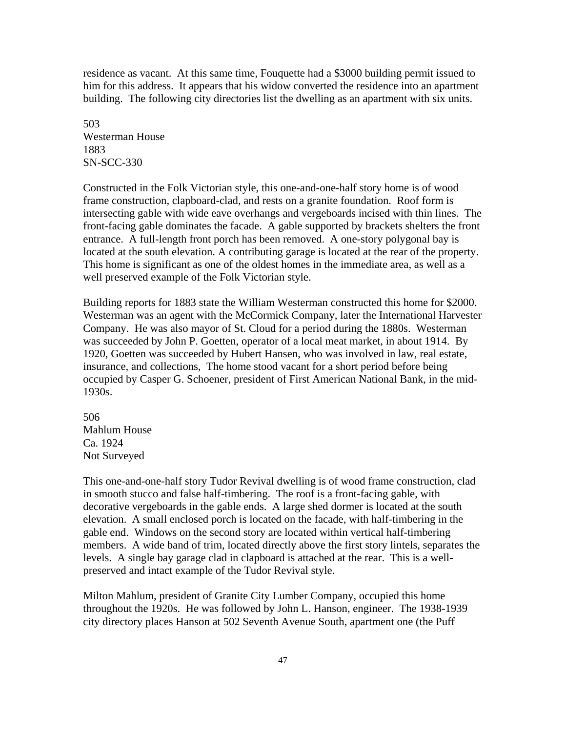residence as vacant. At this same time, Fouquette had a \$3000 building permit issued to him for this address. It appears that his widow converted the residence into an apartment building. The following city directories list the dwelling as an apartment with six units.

503 Westerman House 1883 SN-SCC-330

Constructed in the Folk Victorian style, this one-and-one-half story home is of wood frame construction, clapboard-clad, and rests on a granite foundation. Roof form is intersecting gable with wide eave overhangs and vergeboards incised with thin lines. The front-facing gable dominates the facade. A gable supported by brackets shelters the front entrance. A full-length front porch has been removed. A one-story polygonal bay is located at the south elevation. A contributing garage is located at the rear of the property. This home is significant as one of the oldest homes in the immediate area, as well as a well preserved example of the Folk Victorian style.

Building reports for 1883 state the William Westerman constructed this home for \$2000. Westerman was an agent with the McCormick Company, later the International Harvester Company. He was also mayor of St. Cloud for a period during the 1880s. Westerman was succeeded by John P. Goetten, operator of a local meat market, in about 1914. By 1920, Goetten was succeeded by Hubert Hansen, who was involved in law, real estate, insurance, and collections, The home stood vacant for a short period before being occupied by Casper G. Schoener, president of First American National Bank, in the mid-1930s.

506 Mahlum House Ca. 1924 Not Surveyed

This one-and-one-half story Tudor Revival dwelling is of wood frame construction, clad in smooth stucco and false half-timbering. The roof is a front-facing gable, with decorative vergeboards in the gable ends. A large shed dormer is located at the south elevation. A small enclosed porch is located on the facade, with half-timbering in the gable end. Windows on the second story are located within vertical half-timbering members. A wide band of trim, located directly above the first story lintels, separates the levels. A single bay garage clad in clapboard is attached at the rear. This is a wellpreserved and intact example of the Tudor Revival style.

Milton Mahlum, president of Granite City Lumber Company, occupied this home throughout the 1920s. He was followed by John L. Hanson, engineer. The 1938-1939 city directory places Hanson at 502 Seventh Avenue South, apartment one (the Puff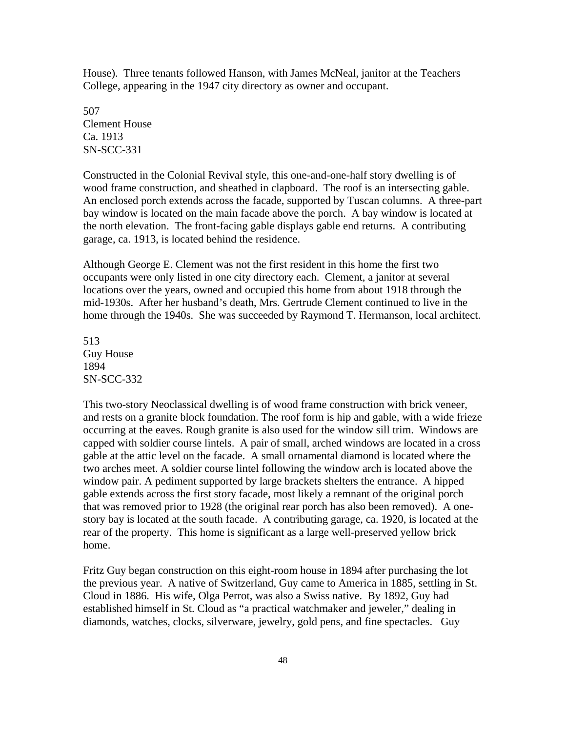House). Three tenants followed Hanson, with James McNeal, janitor at the Teachers College, appearing in the 1947 city directory as owner and occupant.

507 Clement House Ca. 1913 SN-SCC-331

Constructed in the Colonial Revival style, this one-and-one-half story dwelling is of wood frame construction, and sheathed in clapboard. The roof is an intersecting gable. An enclosed porch extends across the facade, supported by Tuscan columns. A three-part bay window is located on the main facade above the porch. A bay window is located at the north elevation. The front-facing gable displays gable end returns. A contributing garage, ca. 1913, is located behind the residence.

Although George E. Clement was not the first resident in this home the first two occupants were only listed in one city directory each. Clement, a janitor at several locations over the years, owned and occupied this home from about 1918 through the mid-1930s. After her husband's death, Mrs. Gertrude Clement continued to live in the home through the 1940s. She was succeeded by Raymond T. Hermanson, local architect.

513 Guy House 1894 SN-SCC-332

This two-story Neoclassical dwelling is of wood frame construction with brick veneer, and rests on a granite block foundation. The roof form is hip and gable, with a wide frieze occurring at the eaves. Rough granite is also used for the window sill trim. Windows are capped with soldier course lintels. A pair of small, arched windows are located in a cross gable at the attic level on the facade. A small ornamental diamond is located where the two arches meet. A soldier course lintel following the window arch is located above the window pair. A pediment supported by large brackets shelters the entrance. A hipped gable extends across the first story facade, most likely a remnant of the original porch that was removed prior to 1928 (the original rear porch has also been removed). A onestory bay is located at the south facade. A contributing garage, ca. 1920, is located at the rear of the property. This home is significant as a large well-preserved yellow brick home.

Fritz Guy began construction on this eight-room house in 1894 after purchasing the lot the previous year. A native of Switzerland, Guy came to America in 1885, settling in St. Cloud in 1886. His wife, Olga Perrot, was also a Swiss native. By 1892, Guy had established himself in St. Cloud as "a practical watchmaker and jeweler," dealing in diamonds, watches, clocks, silverware, jewelry, gold pens, and fine spectacles. Guy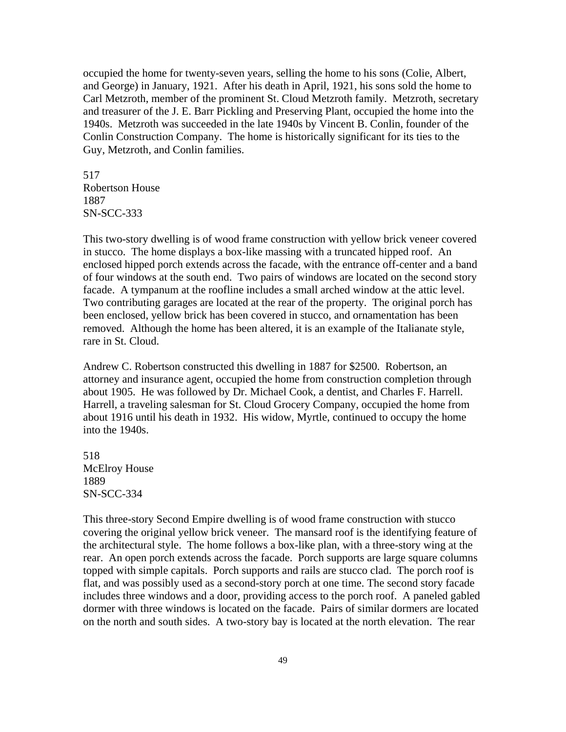occupied the home for twenty-seven years, selling the home to his sons (Colie, Albert, and George) in January, 1921. After his death in April, 1921, his sons sold the home to Carl Metzroth, member of the prominent St. Cloud Metzroth family. Metzroth, secretary and treasurer of the J. E. Barr Pickling and Preserving Plant, occupied the home into the 1940s. Metzroth was succeeded in the late 1940s by Vincent B. Conlin, founder of the Conlin Construction Company. The home is historically significant for its ties to the Guy, Metzroth, and Conlin families.

517 Robertson House 1887 SN-SCC-333

This two-story dwelling is of wood frame construction with yellow brick veneer covered in stucco. The home displays a box-like massing with a truncated hipped roof. An enclosed hipped porch extends across the facade, with the entrance off-center and a band of four windows at the south end. Two pairs of windows are located on the second story facade. A tympanum at the roofline includes a small arched window at the attic level. Two contributing garages are located at the rear of the property. The original porch has been enclosed, yellow brick has been covered in stucco, and ornamentation has been removed. Although the home has been altered, it is an example of the Italianate style, rare in St. Cloud.

Andrew C. Robertson constructed this dwelling in 1887 for \$2500. Robertson, an attorney and insurance agent, occupied the home from construction completion through about 1905. He was followed by Dr. Michael Cook, a dentist, and Charles F. Harrell. Harrell, a traveling salesman for St. Cloud Grocery Company, occupied the home from about 1916 until his death in 1932. His widow, Myrtle, continued to occupy the home into the 1940s.

518 McElroy House 1889 SN-SCC-334

This three-story Second Empire dwelling is of wood frame construction with stucco covering the original yellow brick veneer. The mansard roof is the identifying feature of the architectural style. The home follows a box-like plan, with a three-story wing at the rear. An open porch extends across the facade. Porch supports are large square columns topped with simple capitals. Porch supports and rails are stucco clad. The porch roof is flat, and was possibly used as a second-story porch at one time. The second story facade includes three windows and a door, providing access to the porch roof. A paneled gabled dormer with three windows is located on the facade. Pairs of similar dormers are located on the north and south sides. A two-story bay is located at the north elevation. The rear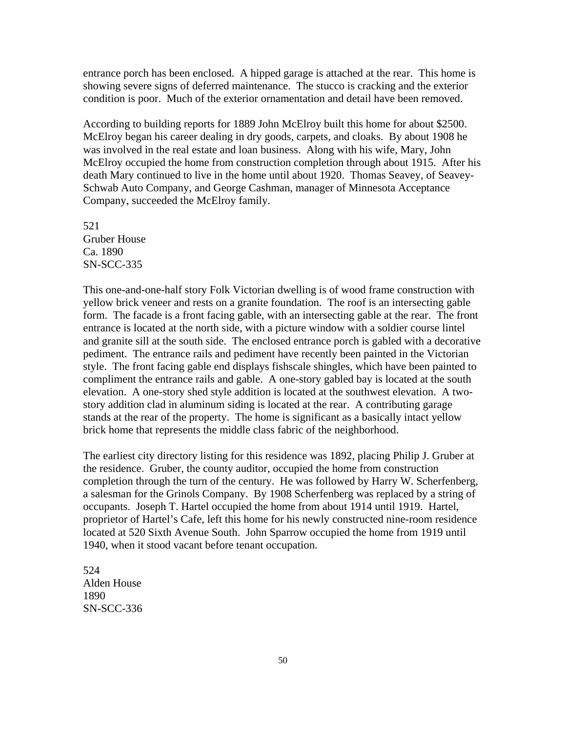entrance porch has been enclosed. A hipped garage is attached at the rear. This home is showing severe signs of deferred maintenance. The stucco is cracking and the exterior condition is poor. Much of the exterior ornamentation and detail have been removed.

According to building reports for 1889 John McElroy built this home for about \$2500. McElroy began his career dealing in dry goods, carpets, and cloaks. By about 1908 he was involved in the real estate and loan business. Along with his wife, Mary, John McElroy occupied the home from construction completion through about 1915. After his death Mary continued to live in the home until about 1920. Thomas Seavey, of Seavey-Schwab Auto Company, and George Cashman, manager of Minnesota Acceptance Company, succeeded the McElroy family.

521 Gruber House Ca. 1890 SN-SCC-335

This one-and-one-half story Folk Victorian dwelling is of wood frame construction with yellow brick veneer and rests on a granite foundation. The roof is an intersecting gable form. The facade is a front facing gable, with an intersecting gable at the rear. The front entrance is located at the north side, with a picture window with a soldier course lintel and granite sill at the south side. The enclosed entrance porch is gabled with a decorative pediment. The entrance rails and pediment have recently been painted in the Victorian style. The front facing gable end displays fishscale shingles, which have been painted to compliment the entrance rails and gable. A one-story gabled bay is located at the south elevation. A one-story shed style addition is located at the southwest elevation. A twostory addition clad in aluminum siding is located at the rear. A contributing garage stands at the rear of the property. The home is significant as a basically intact yellow brick home that represents the middle class fabric of the neighborhood.

The earliest city directory listing for this residence was 1892, placing Philip J. Gruber at the residence. Gruber, the county auditor, occupied the home from construction completion through the turn of the century. He was followed by Harry W. Scherfenberg, a salesman for the Grinols Company. By 1908 Scherfenberg was replaced by a string of occupants. Joseph T. Hartel occupied the home from about 1914 until 1919. Hartel, proprietor of Hartel's Cafe, left this home for his newly constructed nine-room residence located at 520 Sixth Avenue South. John Sparrow occupied the home from 1919 until 1940, when it stood vacant before tenant occupation.

524 Alden House 1890 SN-SCC-336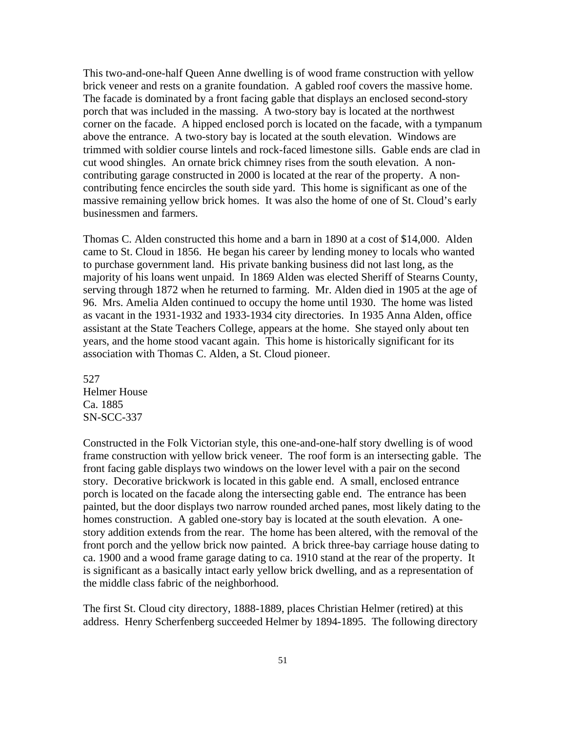This two-and-one-half Queen Anne dwelling is of wood frame construction with yellow brick veneer and rests on a granite foundation. A gabled roof covers the massive home. The facade is dominated by a front facing gable that displays an enclosed second-story porch that was included in the massing. A two-story bay is located at the northwest corner on the facade. A hipped enclosed porch is located on the facade, with a tympanum above the entrance. A two-story bay is located at the south elevation. Windows are trimmed with soldier course lintels and rock-faced limestone sills. Gable ends are clad in cut wood shingles. An ornate brick chimney rises from the south elevation. A noncontributing garage constructed in 2000 is located at the rear of the property. A noncontributing fence encircles the south side yard. This home is significant as one of the massive remaining yellow brick homes. It was also the home of one of St. Cloud's early businessmen and farmers.

Thomas C. Alden constructed this home and a barn in 1890 at a cost of \$14,000. Alden came to St. Cloud in 1856. He began his career by lending money to locals who wanted to purchase government land. His private banking business did not last long, as the majority of his loans went unpaid. In 1869 Alden was elected Sheriff of Stearns County, serving through 1872 when he returned to farming. Mr. Alden died in 1905 at the age of 96. Mrs. Amelia Alden continued to occupy the home until 1930. The home was listed as vacant in the 1931-1932 and 1933-1934 city directories. In 1935 Anna Alden, office assistant at the State Teachers College, appears at the home. She stayed only about ten years, and the home stood vacant again. This home is historically significant for its association with Thomas C. Alden, a St. Cloud pioneer.

527 Helmer House Ca. 1885 SN-SCC-337

Constructed in the Folk Victorian style, this one-and-one-half story dwelling is of wood frame construction with yellow brick veneer. The roof form is an intersecting gable. The front facing gable displays two windows on the lower level with a pair on the second story. Decorative brickwork is located in this gable end. A small, enclosed entrance porch is located on the facade along the intersecting gable end. The entrance has been painted, but the door displays two narrow rounded arched panes, most likely dating to the homes construction. A gabled one-story bay is located at the south elevation. A onestory addition extends from the rear. The home has been altered, with the removal of the front porch and the yellow brick now painted. A brick three-bay carriage house dating to ca. 1900 and a wood frame garage dating to ca. 1910 stand at the rear of the property. It is significant as a basically intact early yellow brick dwelling, and as a representation of the middle class fabric of the neighborhood.

The first St. Cloud city directory, 1888-1889, places Christian Helmer (retired) at this address. Henry Scherfenberg succeeded Helmer by 1894-1895. The following directory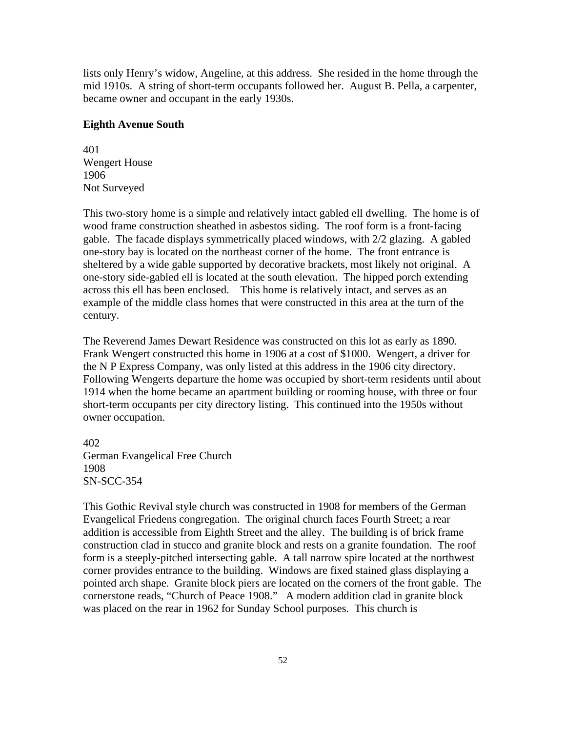lists only Henry's widow, Angeline, at this address. She resided in the home through the mid 1910s. A string of short-term occupants followed her. August B. Pella, a carpenter, became owner and occupant in the early 1930s.

#### **Eighth Avenue South**

401 Wengert House 1906 Not Surveyed

This two-story home is a simple and relatively intact gabled ell dwelling. The home is of wood frame construction sheathed in asbestos siding. The roof form is a front-facing gable. The facade displays symmetrically placed windows, with 2/2 glazing. A gabled one-story bay is located on the northeast corner of the home. The front entrance is sheltered by a wide gable supported by decorative brackets, most likely not original. A one-story side-gabled ell is located at the south elevation. The hipped porch extending across this ell has been enclosed. This home is relatively intact, and serves as an example of the middle class homes that were constructed in this area at the turn of the century.

The Reverend James Dewart Residence was constructed on this lot as early as 1890. Frank Wengert constructed this home in 1906 at a cost of \$1000. Wengert, a driver for the N P Express Company, was only listed at this address in the 1906 city directory. Following Wengerts departure the home was occupied by short-term residents until about 1914 when the home became an apartment building or rooming house, with three or four short-term occupants per city directory listing. This continued into the 1950s without owner occupation.

402 German Evangelical Free Church 1908 SN-SCC-354

This Gothic Revival style church was constructed in 1908 for members of the German Evangelical Friedens congregation. The original church faces Fourth Street; a rear addition is accessible from Eighth Street and the alley. The building is of brick frame construction clad in stucco and granite block and rests on a granite foundation. The roof form is a steeply-pitched intersecting gable. A tall narrow spire located at the northwest corner provides entrance to the building. Windows are fixed stained glass displaying a pointed arch shape. Granite block piers are located on the corners of the front gable. The cornerstone reads, "Church of Peace 1908." A modern addition clad in granite block was placed on the rear in 1962 for Sunday School purposes. This church is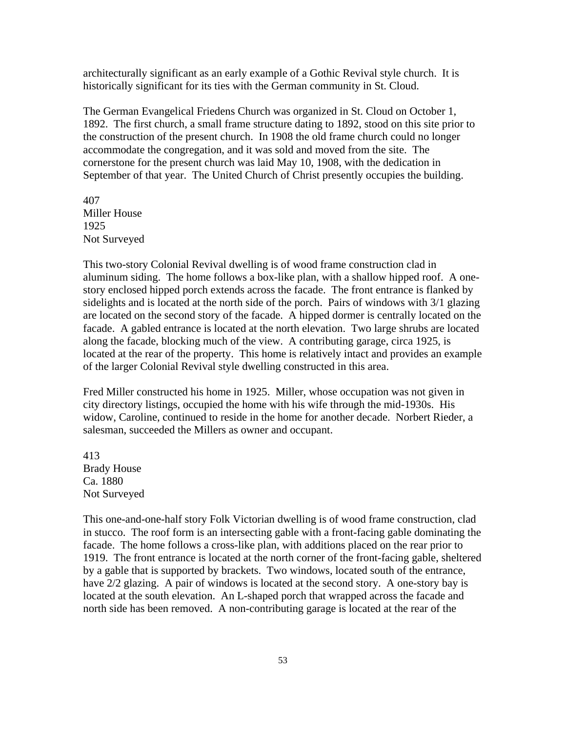architecturally significant as an early example of a Gothic Revival style church. It is historically significant for its ties with the German community in St. Cloud.

The German Evangelical Friedens Church was organized in St. Cloud on October 1, 1892. The first church, a small frame structure dating to 1892, stood on this site prior to the construction of the present church. In 1908 the old frame church could no longer accommodate the congregation, and it was sold and moved from the site. The cornerstone for the present church was laid May 10, 1908, with the dedication in September of that year. The United Church of Christ presently occupies the building.

407 Miller House 1925 Not Surveyed

This two-story Colonial Revival dwelling is of wood frame construction clad in aluminum siding. The home follows a box-like plan, with a shallow hipped roof. A onestory enclosed hipped porch extends across the facade. The front entrance is flanked by sidelights and is located at the north side of the porch. Pairs of windows with 3/1 glazing are located on the second story of the facade. A hipped dormer is centrally located on the facade. A gabled entrance is located at the north elevation. Two large shrubs are located along the facade, blocking much of the view. A contributing garage, circa 1925, is located at the rear of the property. This home is relatively intact and provides an example of the larger Colonial Revival style dwelling constructed in this area.

Fred Miller constructed his home in 1925. Miller, whose occupation was not given in city directory listings, occupied the home with his wife through the mid-1930s. His widow, Caroline, continued to reside in the home for another decade. Norbert Rieder, a salesman, succeeded the Millers as owner and occupant.

413 Brady House Ca. 1880 Not Surveyed

This one-and-one-half story Folk Victorian dwelling is of wood frame construction, clad in stucco. The roof form is an intersecting gable with a front-facing gable dominating the facade. The home follows a cross-like plan, with additions placed on the rear prior to 1919. The front entrance is located at the north corner of the front-facing gable, sheltered by a gable that is supported by brackets. Two windows, located south of the entrance, have  $2/2$  glazing. A pair of windows is located at the second story. A one-story bay is located at the south elevation. An L-shaped porch that wrapped across the facade and north side has been removed. A non-contributing garage is located at the rear of the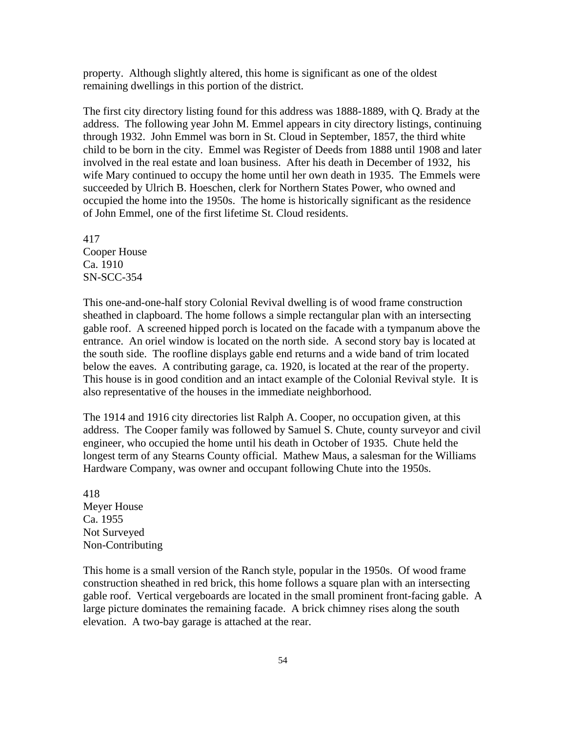property. Although slightly altered, this home is significant as one of the oldest remaining dwellings in this portion of the district.

The first city directory listing found for this address was 1888-1889, with Q. Brady at the address. The following year John M. Emmel appears in city directory listings, continuing through 1932. John Emmel was born in St. Cloud in September, 1857, the third white child to be born in the city. Emmel was Register of Deeds from 1888 until 1908 and later involved in the real estate and loan business. After his death in December of 1932, his wife Mary continued to occupy the home until her own death in 1935. The Emmels were succeeded by Ulrich B. Hoeschen, clerk for Northern States Power, who owned and occupied the home into the 1950s. The home is historically significant as the residence of John Emmel, one of the first lifetime St. Cloud residents.

417 Cooper House Ca. 1910 SN-SCC-354

This one-and-one-half story Colonial Revival dwelling is of wood frame construction sheathed in clapboard. The home follows a simple rectangular plan with an intersecting gable roof. A screened hipped porch is located on the facade with a tympanum above the entrance. An oriel window is located on the north side. A second story bay is located at the south side. The roofline displays gable end returns and a wide band of trim located below the eaves. A contributing garage, ca. 1920, is located at the rear of the property. This house is in good condition and an intact example of the Colonial Revival style. It is also representative of the houses in the immediate neighborhood.

The 1914 and 1916 city directories list Ralph A. Cooper, no occupation given, at this address. The Cooper family was followed by Samuel S. Chute, county surveyor and civil engineer, who occupied the home until his death in October of 1935. Chute held the longest term of any Stearns County official. Mathew Maus, a salesman for the Williams Hardware Company, was owner and occupant following Chute into the 1950s.

418 Meyer House Ca. 1955 Not Surveyed Non-Contributing

This home is a small version of the Ranch style, popular in the 1950s. Of wood frame construction sheathed in red brick, this home follows a square plan with an intersecting gable roof. Vertical vergeboards are located in the small prominent front-facing gable. A large picture dominates the remaining facade. A brick chimney rises along the south elevation. A two-bay garage is attached at the rear.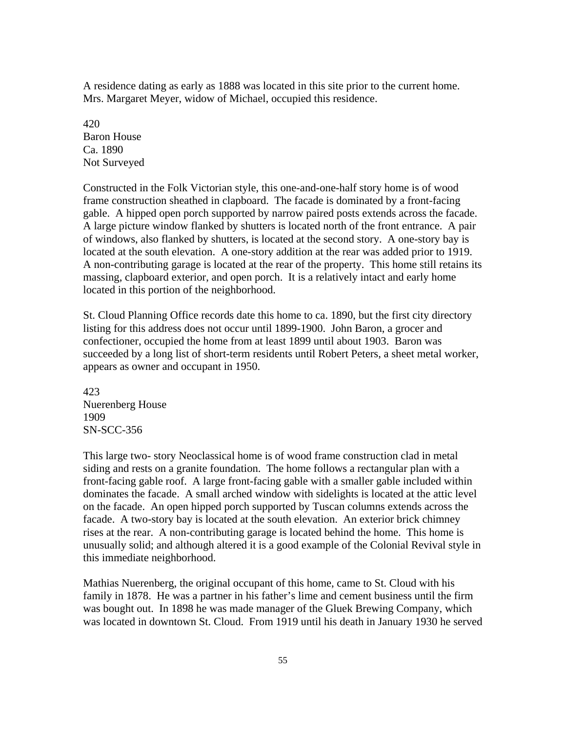A residence dating as early as 1888 was located in this site prior to the current home. Mrs. Margaret Meyer, widow of Michael, occupied this residence.

420 Baron House Ca. 1890 Not Surveyed

Constructed in the Folk Victorian style, this one-and-one-half story home is of wood frame construction sheathed in clapboard. The facade is dominated by a front-facing gable. A hipped open porch supported by narrow paired posts extends across the facade. A large picture window flanked by shutters is located north of the front entrance. A pair of windows, also flanked by shutters, is located at the second story. A one-story bay is located at the south elevation. A one-story addition at the rear was added prior to 1919. A non-contributing garage is located at the rear of the property. This home still retains its massing, clapboard exterior, and open porch. It is a relatively intact and early home located in this portion of the neighborhood.

St. Cloud Planning Office records date this home to ca. 1890, but the first city directory listing for this address does not occur until 1899-1900. John Baron, a grocer and confectioner, occupied the home from at least 1899 until about 1903. Baron was succeeded by a long list of short-term residents until Robert Peters, a sheet metal worker, appears as owner and occupant in 1950.

423 Nuerenberg House 1909 SN-SCC-356

This large two- story Neoclassical home is of wood frame construction clad in metal siding and rests on a granite foundation. The home follows a rectangular plan with a front-facing gable roof. A large front-facing gable with a smaller gable included within dominates the facade. A small arched window with sidelights is located at the attic level on the facade. An open hipped porch supported by Tuscan columns extends across the facade. A two-story bay is located at the south elevation. An exterior brick chimney rises at the rear. A non-contributing garage is located behind the home. This home is unusually solid; and although altered it is a good example of the Colonial Revival style in this immediate neighborhood.

Mathias Nuerenberg, the original occupant of this home, came to St. Cloud with his family in 1878. He was a partner in his father's lime and cement business until the firm was bought out. In 1898 he was made manager of the Gluek Brewing Company, which was located in downtown St. Cloud. From 1919 until his death in January 1930 he served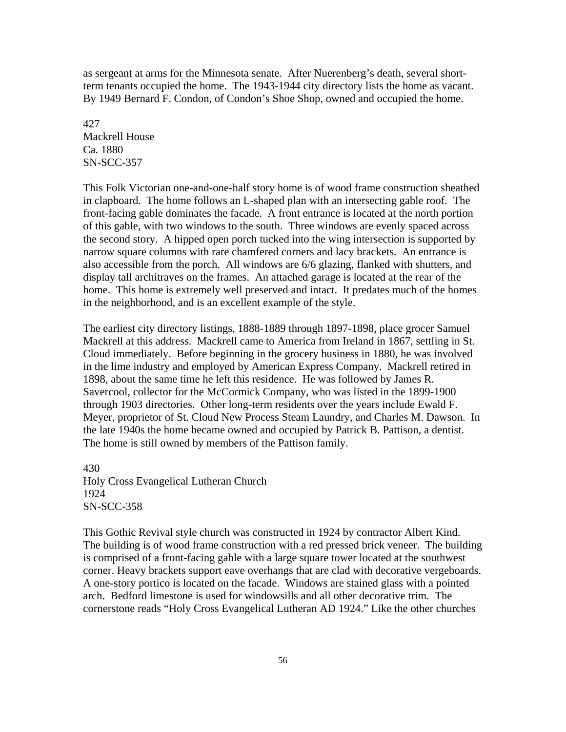as sergeant at arms for the Minnesota senate. After Nuerenberg's death, several shortterm tenants occupied the home. The 1943-1944 city directory lists the home as vacant. By 1949 Bernard F. Condon, of Condon's Shoe Shop, owned and occupied the home.

427 Mackrell House Ca. 1880 SN-SCC-357

This Folk Victorian one-and-one-half story home is of wood frame construction sheathed in clapboard. The home follows an L-shaped plan with an intersecting gable roof. The front-facing gable dominates the facade. A front entrance is located at the north portion of this gable, with two windows to the south. Three windows are evenly spaced across the second story. A hipped open porch tucked into the wing intersection is supported by narrow square columns with rare chamfered corners and lacy brackets. An entrance is also accessible from the porch. All windows are 6/6 glazing, flanked with shutters, and display tall architraves on the frames. An attached garage is located at the rear of the home. This home is extremely well preserved and intact. It predates much of the homes in the neighborhood, and is an excellent example of the style.

The earliest city directory listings, 1888-1889 through 1897-1898, place grocer Samuel Mackrell at this address. Mackrell came to America from Ireland in 1867, settling in St. Cloud immediately. Before beginning in the grocery business in 1880, he was involved in the lime industry and employed by American Express Company. Mackrell retired in 1898, about the same time he left this residence. He was followed by James R. Savercool, collector for the McCormick Company, who was listed in the 1899-1900 through 1903 directories. Other long-term residents over the years include Ewald F. Meyer, proprietor of St. Cloud New Process Steam Laundry, and Charles M. Dawson. In the late 1940s the home became owned and occupied by Patrick B. Pattison, a dentist. The home is still owned by members of the Pattison family.

430 Holy Cross Evangelical Lutheran Church 1924 SN-SCC-358

This Gothic Revival style church was constructed in 1924 by contractor Albert Kind. The building is of wood frame construction with a red pressed brick veneer. The building is comprised of a front-facing gable with a large square tower located at the southwest corner. Heavy brackets support eave overhangs that are clad with decorative vergeboards. A one-story portico is located on the facade. Windows are stained glass with a pointed arch. Bedford limestone is used for windowsills and all other decorative trim. The cornerstone reads "Holy Cross Evangelical Lutheran AD 1924." Like the other churches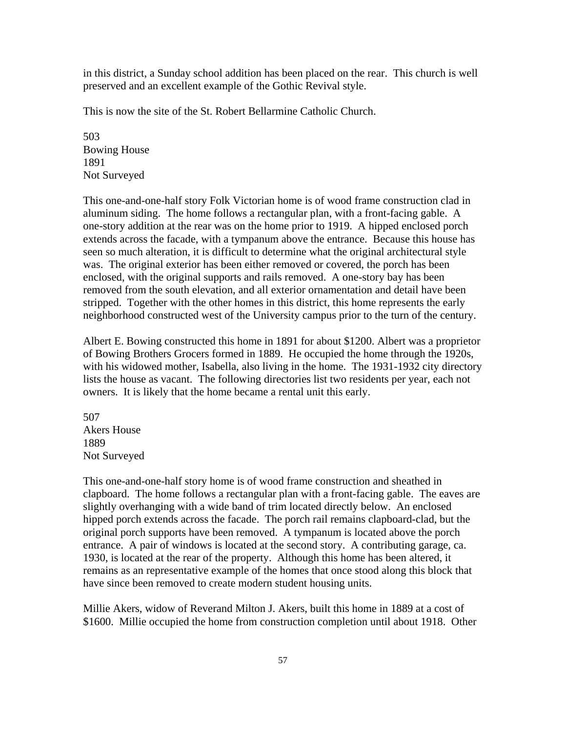in this district, a Sunday school addition has been placed on the rear. This church is well preserved and an excellent example of the Gothic Revival style.

This is now the site of the St. Robert Bellarmine Catholic Church.

503 Bowing House 1891 Not Surveyed

This one-and-one-half story Folk Victorian home is of wood frame construction clad in aluminum siding. The home follows a rectangular plan, with a front-facing gable. A one-story addition at the rear was on the home prior to 1919. A hipped enclosed porch extends across the facade, with a tympanum above the entrance. Because this house has seen so much alteration, it is difficult to determine what the original architectural style was. The original exterior has been either removed or covered, the porch has been enclosed, with the original supports and rails removed. A one-story bay has been removed from the south elevation, and all exterior ornamentation and detail have been stripped. Together with the other homes in this district, this home represents the early neighborhood constructed west of the University campus prior to the turn of the century.

Albert E. Bowing constructed this home in 1891 for about \$1200. Albert was a proprietor of Bowing Brothers Grocers formed in 1889. He occupied the home through the 1920s, with his widowed mother, Isabella, also living in the home. The 1931-1932 city directory lists the house as vacant. The following directories list two residents per year, each not owners. It is likely that the home became a rental unit this early.

507 Akers House 1889 Not Surveyed

This one-and-one-half story home is of wood frame construction and sheathed in clapboard. The home follows a rectangular plan with a front-facing gable. The eaves are slightly overhanging with a wide band of trim located directly below. An enclosed hipped porch extends across the facade. The porch rail remains clapboard-clad, but the original porch supports have been removed. A tympanum is located above the porch entrance. A pair of windows is located at the second story. A contributing garage, ca. 1930, is located at the rear of the property. Although this home has been altered, it remains as an representative example of the homes that once stood along this block that have since been removed to create modern student housing units.

Millie Akers, widow of Reverand Milton J. Akers, built this home in 1889 at a cost of \$1600. Millie occupied the home from construction completion until about 1918. Other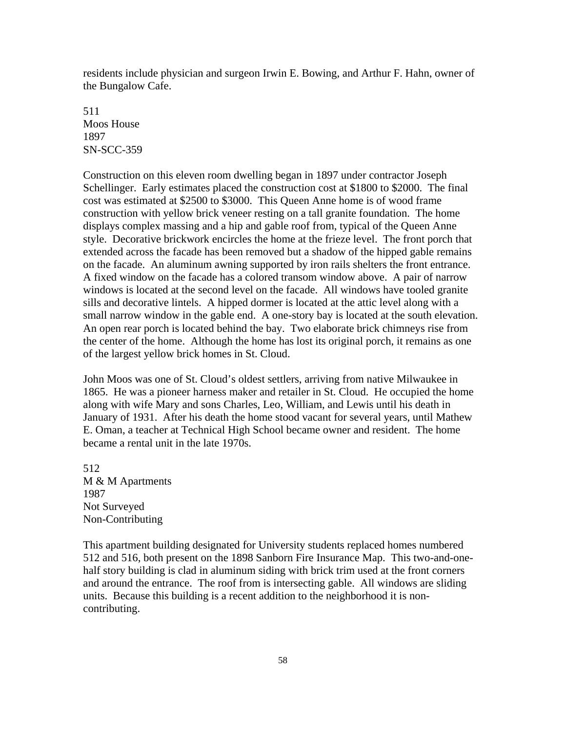residents include physician and surgeon Irwin E. Bowing, and Arthur F. Hahn, owner of the Bungalow Cafe.

511 Moos House 1897 SN-SCC-359

Construction on this eleven room dwelling began in 1897 under contractor Joseph Schellinger. Early estimates placed the construction cost at \$1800 to \$2000. The final cost was estimated at \$2500 to \$3000. This Queen Anne home is of wood frame construction with yellow brick veneer resting on a tall granite foundation. The home displays complex massing and a hip and gable roof from, typical of the Queen Anne style. Decorative brickwork encircles the home at the frieze level. The front porch that extended across the facade has been removed but a shadow of the hipped gable remains on the facade. An aluminum awning supported by iron rails shelters the front entrance. A fixed window on the facade has a colored transom window above. A pair of narrow windows is located at the second level on the facade. All windows have tooled granite sills and decorative lintels. A hipped dormer is located at the attic level along with a small narrow window in the gable end. A one-story bay is located at the south elevation. An open rear porch is located behind the bay. Two elaborate brick chimneys rise from the center of the home. Although the home has lost its original porch, it remains as one of the largest yellow brick homes in St. Cloud.

John Moos was one of St. Cloud's oldest settlers, arriving from native Milwaukee in 1865. He was a pioneer harness maker and retailer in St. Cloud. He occupied the home along with wife Mary and sons Charles, Leo, William, and Lewis until his death in January of 1931. After his death the home stood vacant for several years, until Mathew E. Oman, a teacher at Technical High School became owner and resident. The home became a rental unit in the late 1970s.

512 M & M Apartments 1987 Not Surveyed Non-Contributing

This apartment building designated for University students replaced homes numbered 512 and 516, both present on the 1898 Sanborn Fire Insurance Map. This two-and-onehalf story building is clad in aluminum siding with brick trim used at the front corners and around the entrance. The roof from is intersecting gable. All windows are sliding units. Because this building is a recent addition to the neighborhood it is noncontributing.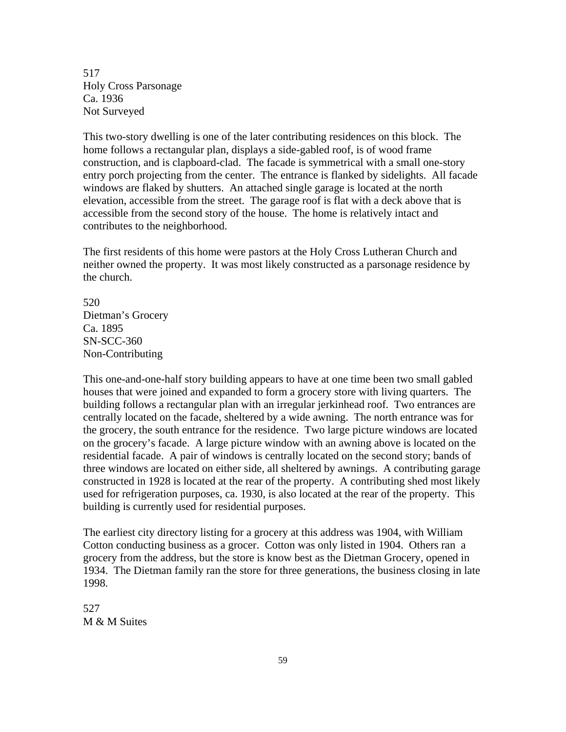517 Holy Cross Parsonage Ca. 1936 Not Surveyed

This two-story dwelling is one of the later contributing residences on this block. The home follows a rectangular plan, displays a side-gabled roof, is of wood frame construction, and is clapboard-clad. The facade is symmetrical with a small one-story entry porch projecting from the center. The entrance is flanked by sidelights. All facade windows are flaked by shutters. An attached single garage is located at the north elevation, accessible from the street. The garage roof is flat with a deck above that is accessible from the second story of the house. The home is relatively intact and contributes to the neighborhood.

The first residents of this home were pastors at the Holy Cross Lutheran Church and neither owned the property. It was most likely constructed as a parsonage residence by the church.

520 Dietman's Grocery Ca. 1895 SN-SCC-360 Non-Contributing

This one-and-one-half story building appears to have at one time been two small gabled houses that were joined and expanded to form a grocery store with living quarters. The building follows a rectangular plan with an irregular jerkinhead roof. Two entrances are centrally located on the facade, sheltered by a wide awning. The north entrance was for the grocery, the south entrance for the residence. Two large picture windows are located on the grocery's facade. A large picture window with an awning above is located on the residential facade. A pair of windows is centrally located on the second story; bands of three windows are located on either side, all sheltered by awnings. A contributing garage constructed in 1928 is located at the rear of the property. A contributing shed most likely used for refrigeration purposes, ca. 1930, is also located at the rear of the property. This building is currently used for residential purposes.

The earliest city directory listing for a grocery at this address was 1904, with William Cotton conducting business as a grocer. Cotton was only listed in 1904. Others ran a grocery from the address, but the store is know best as the Dietman Grocery, opened in 1934. The Dietman family ran the store for three generations, the business closing in late 1998.

527 M & M Suites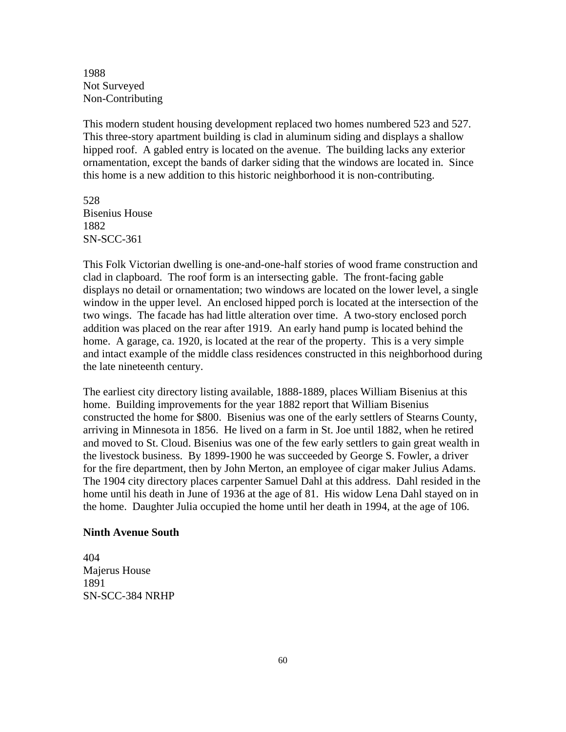1988 Not Surveyed Non-Contributing

This modern student housing development replaced two homes numbered 523 and 527. This three-story apartment building is clad in aluminum siding and displays a shallow hipped roof. A gabled entry is located on the avenue. The building lacks any exterior ornamentation, except the bands of darker siding that the windows are located in. Since this home is a new addition to this historic neighborhood it is non-contributing.

528 Bisenius House 1882 SN-SCC-361

This Folk Victorian dwelling is one-and-one-half stories of wood frame construction and clad in clapboard. The roof form is an intersecting gable. The front-facing gable displays no detail or ornamentation; two windows are located on the lower level, a single window in the upper level. An enclosed hipped porch is located at the intersection of the two wings. The facade has had little alteration over time. A two-story enclosed porch addition was placed on the rear after 1919. An early hand pump is located behind the home. A garage, ca. 1920, is located at the rear of the property. This is a very simple and intact example of the middle class residences constructed in this neighborhood during the late nineteenth century.

The earliest city directory listing available, 1888-1889, places William Bisenius at this home. Building improvements for the year 1882 report that William Bisenius constructed the home for \$800. Bisenius was one of the early settlers of Stearns County, arriving in Minnesota in 1856. He lived on a farm in St. Joe until 1882, when he retired and moved to St. Cloud. Bisenius was one of the few early settlers to gain great wealth in the livestock business. By 1899-1900 he was succeeded by George S. Fowler, a driver for the fire department, then by John Merton, an employee of cigar maker Julius Adams. The 1904 city directory places carpenter Samuel Dahl at this address. Dahl resided in the home until his death in June of 1936 at the age of 81. His widow Lena Dahl stayed on in the home. Daughter Julia occupied the home until her death in 1994, at the age of 106.

### **Ninth Avenue South**

404 Majerus House 1891 SN-SCC-384 NRHP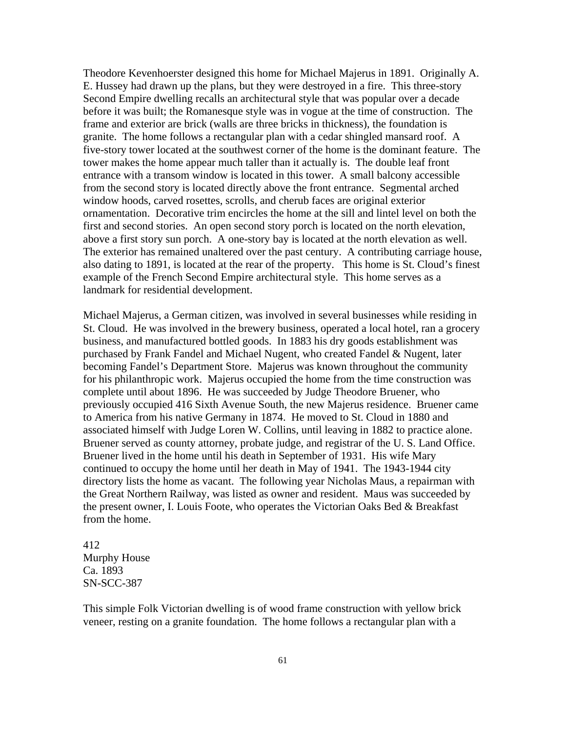Theodore Kevenhoerster designed this home for Michael Majerus in 1891. Originally A. E. Hussey had drawn up the plans, but they were destroyed in a fire. This three-story Second Empire dwelling recalls an architectural style that was popular over a decade before it was built; the Romanesque style was in vogue at the time of construction. The frame and exterior are brick (walls are three bricks in thickness), the foundation is granite. The home follows a rectangular plan with a cedar shingled mansard roof. A five-story tower located at the southwest corner of the home is the dominant feature. The tower makes the home appear much taller than it actually is. The double leaf front entrance with a transom window is located in this tower. A small balcony accessible from the second story is located directly above the front entrance. Segmental arched window hoods, carved rosettes, scrolls, and cherub faces are original exterior ornamentation. Decorative trim encircles the home at the sill and lintel level on both the first and second stories. An open second story porch is located on the north elevation, above a first story sun porch. A one-story bay is located at the north elevation as well. The exterior has remained unaltered over the past century. A contributing carriage house, also dating to 1891, is located at the rear of the property. This home is St. Cloud's finest example of the French Second Empire architectural style. This home serves as a landmark for residential development.

Michael Majerus, a German citizen, was involved in several businesses while residing in St. Cloud. He was involved in the brewery business, operated a local hotel, ran a grocery business, and manufactured bottled goods. In 1883 his dry goods establishment was purchased by Frank Fandel and Michael Nugent, who created Fandel & Nugent, later becoming Fandel's Department Store. Majerus was known throughout the community for his philanthropic work. Majerus occupied the home from the time construction was complete until about 1896. He was succeeded by Judge Theodore Bruener, who previously occupied 416 Sixth Avenue South, the new Majerus residence. Bruener came to America from his native Germany in 1874. He moved to St. Cloud in 1880 and associated himself with Judge Loren W. Collins, until leaving in 1882 to practice alone. Bruener served as county attorney, probate judge, and registrar of the U. S. Land Office. Bruener lived in the home until his death in September of 1931. His wife Mary continued to occupy the home until her death in May of 1941. The 1943-1944 city directory lists the home as vacant. The following year Nicholas Maus, a repairman with the Great Northern Railway, was listed as owner and resident. Maus was succeeded by the present owner, I. Louis Foote, who operates the Victorian Oaks Bed & Breakfast from the home.

## 412 Murphy House Ca. 1893 SN-SCC-387

This simple Folk Victorian dwelling is of wood frame construction with yellow brick veneer, resting on a granite foundation. The home follows a rectangular plan with a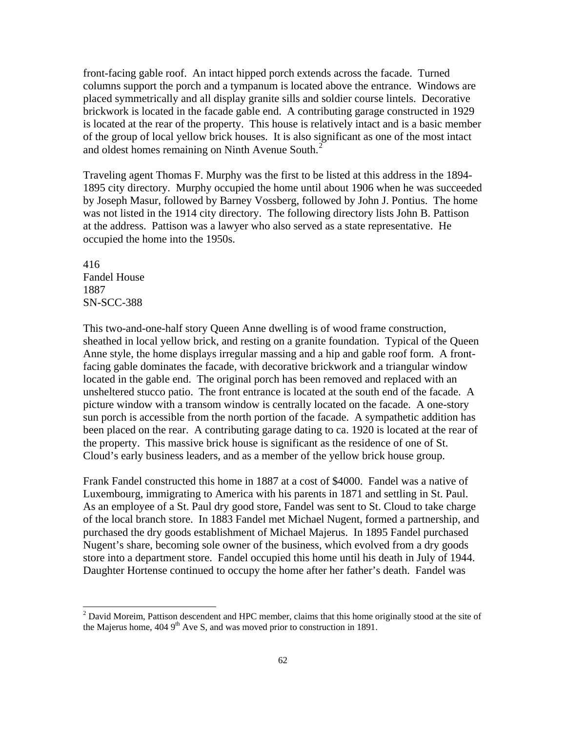front-facing gable roof. An intact hipped porch extends across the facade. Turned columns support the porch and a tympanum is located above the entrance. Windows are placed symmetrically and all display granite sills and soldier course lintels. Decorative brickwork is located in the facade gable end. A contributing garage constructed in 1929 is located at the rear of the property. This house is relatively intact and is a basic member of the group of local yellow brick houses. It is also significant as one of the most intact and oldest homes remaining on Ninth Avenue South.<sup>[2](#page-61-0)</sup>

Traveling agent Thomas F. Murphy was the first to be listed at this address in the 1894- 1895 city directory. Murphy occupied the home until about 1906 when he was succeeded by Joseph Masur, followed by Barney Vossberg, followed by John J. Pontius. The home was not listed in the 1914 city directory. The following directory lists John B. Pattison at the address. Pattison was a lawyer who also served as a state representative. He occupied the home into the 1950s.

416 Fandel House 1887 SN-SCC-388

 $\overline{a}$ 

This two-and-one-half story Queen Anne dwelling is of wood frame construction, sheathed in local yellow brick, and resting on a granite foundation. Typical of the Queen Anne style, the home displays irregular massing and a hip and gable roof form. A frontfacing gable dominates the facade, with decorative brickwork and a triangular window located in the gable end. The original porch has been removed and replaced with an unsheltered stucco patio. The front entrance is located at the south end of the facade. A picture window with a transom window is centrally located on the facade. A one-story sun porch is accessible from the north portion of the facade. A sympathetic addition has been placed on the rear. A contributing garage dating to ca. 1920 is located at the rear of the property. This massive brick house is significant as the residence of one of St. Cloud's early business leaders, and as a member of the yellow brick house group.

Frank Fandel constructed this home in 1887 at a cost of \$4000. Fandel was a native of Luxembourg, immigrating to America with his parents in 1871 and settling in St. Paul. As an employee of a St. Paul dry good store, Fandel was sent to St. Cloud to take charge of the local branch store. In 1883 Fandel met Michael Nugent, formed a partnership, and purchased the dry goods establishment of Michael Majerus. In 1895 Fandel purchased Nugent's share, becoming sole owner of the business, which evolved from a dry goods store into a department store. Fandel occupied this home until his death in July of 1944. Daughter Hortense continued to occupy the home after her father's death. Fandel was

<span id="page-61-0"></span> $2$  David Moreim, Pattison descendent and HPC member, claims that this home originally stood at the site of the Majerus home,  $4049^{\text{th}}$  Ave S, and was moved prior to construction in 1891.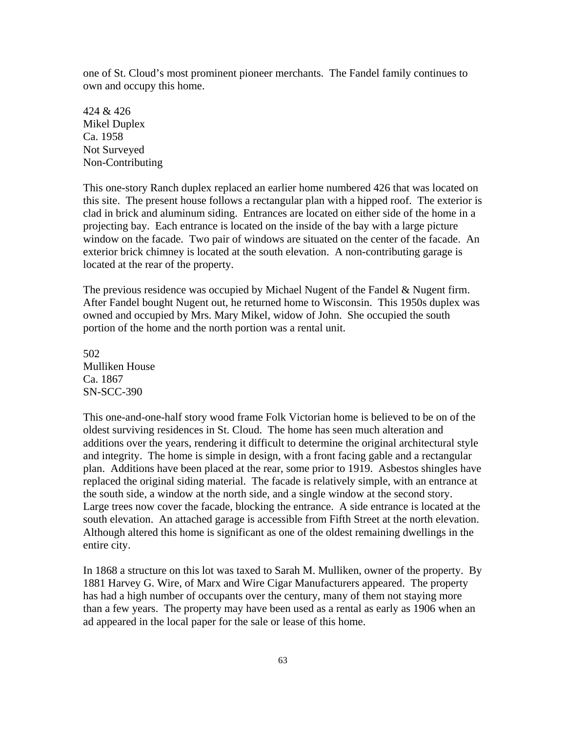one of St. Cloud's most prominent pioneer merchants. The Fandel family continues to own and occupy this home.

424 & 426 Mikel Duplex Ca. 1958 Not Surveyed Non-Contributing

This one-story Ranch duplex replaced an earlier home numbered 426 that was located on this site. The present house follows a rectangular plan with a hipped roof. The exterior is clad in brick and aluminum siding. Entrances are located on either side of the home in a projecting bay. Each entrance is located on the inside of the bay with a large picture window on the facade. Two pair of windows are situated on the center of the facade. An exterior brick chimney is located at the south elevation. A non-contributing garage is located at the rear of the property.

The previous residence was occupied by Michael Nugent of the Fandel & Nugent firm. After Fandel bought Nugent out, he returned home to Wisconsin. This 1950s duplex was owned and occupied by Mrs. Mary Mikel, widow of John. She occupied the south portion of the home and the north portion was a rental unit.

502 Mulliken House Ca. 1867 SN-SCC-390

This one-and-one-half story wood frame Folk Victorian home is believed to be on of the oldest surviving residences in St. Cloud. The home has seen much alteration and additions over the years, rendering it difficult to determine the original architectural style and integrity. The home is simple in design, with a front facing gable and a rectangular plan. Additions have been placed at the rear, some prior to 1919. Asbestos shingles have replaced the original siding material. The facade is relatively simple, with an entrance at the south side, a window at the north side, and a single window at the second story. Large trees now cover the facade, blocking the entrance. A side entrance is located at the south elevation. An attached garage is accessible from Fifth Street at the north elevation. Although altered this home is significant as one of the oldest remaining dwellings in the entire city.

In 1868 a structure on this lot was taxed to Sarah M. Mulliken, owner of the property. By 1881 Harvey G. Wire, of Marx and Wire Cigar Manufacturers appeared. The property has had a high number of occupants over the century, many of them not staying more than a few years. The property may have been used as a rental as early as 1906 when an ad appeared in the local paper for the sale or lease of this home.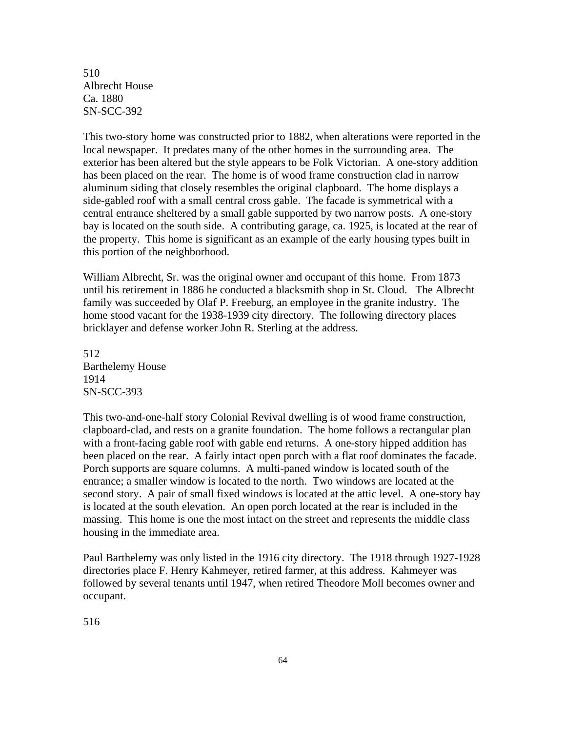510 Albrecht House Ca. 1880 SN-SCC-392

This two-story home was constructed prior to 1882, when alterations were reported in the local newspaper. It predates many of the other homes in the surrounding area. The exterior has been altered but the style appears to be Folk Victorian. A one-story addition has been placed on the rear. The home is of wood frame construction clad in narrow aluminum siding that closely resembles the original clapboard. The home displays a side-gabled roof with a small central cross gable. The facade is symmetrical with a central entrance sheltered by a small gable supported by two narrow posts. A one-story bay is located on the south side. A contributing garage, ca. 1925, is located at the rear of the property. This home is significant as an example of the early housing types built in this portion of the neighborhood.

William Albrecht, Sr. was the original owner and occupant of this home. From 1873 until his retirement in 1886 he conducted a blacksmith shop in St. Cloud. The Albrecht family was succeeded by Olaf P. Freeburg, an employee in the granite industry. The home stood vacant for the 1938-1939 city directory. The following directory places bricklayer and defense worker John R. Sterling at the address.

512 Barthelemy House 1914 SN-SCC-393

This two-and-one-half story Colonial Revival dwelling is of wood frame construction, clapboard-clad, and rests on a granite foundation. The home follows a rectangular plan with a front-facing gable roof with gable end returns. A one-story hipped addition has been placed on the rear. A fairly intact open porch with a flat roof dominates the facade. Porch supports are square columns. A multi-paned window is located south of the entrance; a smaller window is located to the north. Two windows are located at the second story. A pair of small fixed windows is located at the attic level. A one-story bay is located at the south elevation. An open porch located at the rear is included in the massing. This home is one the most intact on the street and represents the middle class housing in the immediate area.

Paul Barthelemy was only listed in the 1916 city directory. The 1918 through 1927-1928 directories place F. Henry Kahmeyer, retired farmer, at this address. Kahmeyer was followed by several tenants until 1947, when retired Theodore Moll becomes owner and occupant.

516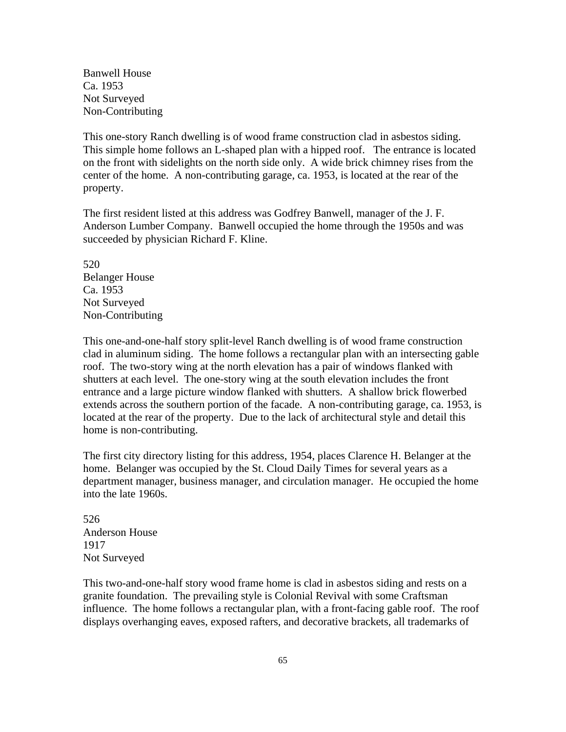Banwell House Ca. 1953 Not Surveyed Non-Contributing

This one-story Ranch dwelling is of wood frame construction clad in asbestos siding. This simple home follows an L-shaped plan with a hipped roof. The entrance is located on the front with sidelights on the north side only. A wide brick chimney rises from the center of the home. A non-contributing garage, ca. 1953, is located at the rear of the property.

The first resident listed at this address was Godfrey Banwell, manager of the J. F. Anderson Lumber Company. Banwell occupied the home through the 1950s and was succeeded by physician Richard F. Kline.

520 Belanger House Ca. 1953 Not Surveyed Non-Contributing

This one-and-one-half story split-level Ranch dwelling is of wood frame construction clad in aluminum siding. The home follows a rectangular plan with an intersecting gable roof. The two-story wing at the north elevation has a pair of windows flanked with shutters at each level. The one-story wing at the south elevation includes the front entrance and a large picture window flanked with shutters. A shallow brick flowerbed extends across the southern portion of the facade. A non-contributing garage, ca. 1953, is located at the rear of the property. Due to the lack of architectural style and detail this home is non-contributing.

The first city directory listing for this address, 1954, places Clarence H. Belanger at the home. Belanger was occupied by the St. Cloud Daily Times for several years as a department manager, business manager, and circulation manager. He occupied the home into the late 1960s.

526 Anderson House 1917 Not Surveyed

This two-and-one-half story wood frame home is clad in asbestos siding and rests on a granite foundation. The prevailing style is Colonial Revival with some Craftsman influence. The home follows a rectangular plan, with a front-facing gable roof. The roof displays overhanging eaves, exposed rafters, and decorative brackets, all trademarks of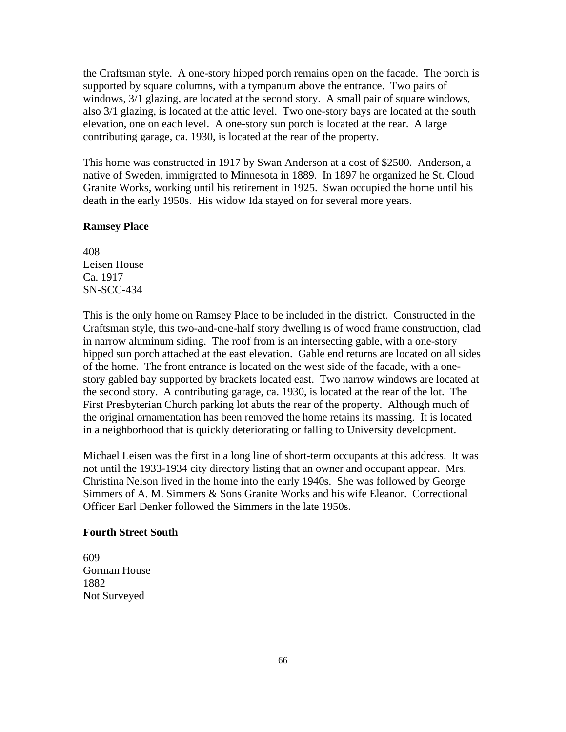the Craftsman style. A one-story hipped porch remains open on the facade. The porch is supported by square columns, with a tympanum above the entrance. Two pairs of windows, 3/1 glazing, are located at the second story. A small pair of square windows, also 3/1 glazing, is located at the attic level. Two one-story bays are located at the south elevation, one on each level. A one-story sun porch is located at the rear. A large contributing garage, ca. 1930, is located at the rear of the property.

This home was constructed in 1917 by Swan Anderson at a cost of \$2500. Anderson, a native of Sweden, immigrated to Minnesota in 1889. In 1897 he organized he St. Cloud Granite Works, working until his retirement in 1925. Swan occupied the home until his death in the early 1950s. His widow Ida stayed on for several more years.

#### **Ramsey Place**

408 Leisen House Ca. 1917 SN-SCC-434

This is the only home on Ramsey Place to be included in the district. Constructed in the Craftsman style, this two-and-one-half story dwelling is of wood frame construction, clad in narrow aluminum siding. The roof from is an intersecting gable, with a one-story hipped sun porch attached at the east elevation. Gable end returns are located on all sides of the home. The front entrance is located on the west side of the facade, with a onestory gabled bay supported by brackets located east. Two narrow windows are located at the second story. A contributing garage, ca. 1930, is located at the rear of the lot. The First Presbyterian Church parking lot abuts the rear of the property. Although much of the original ornamentation has been removed the home retains its massing. It is located in a neighborhood that is quickly deteriorating or falling to University development.

Michael Leisen was the first in a long line of short-term occupants at this address. It was not until the 1933-1934 city directory listing that an owner and occupant appear. Mrs. Christina Nelson lived in the home into the early 1940s. She was followed by George Simmers of A. M. Simmers & Sons Granite Works and his wife Eleanor. Correctional Officer Earl Denker followed the Simmers in the late 1950s.

#### **Fourth Street South**

609 Gorman House 1882 Not Surveyed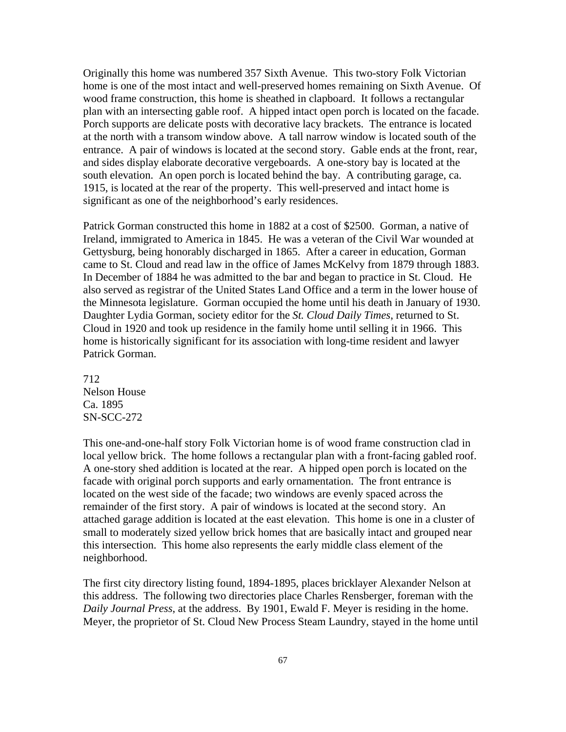Originally this home was numbered 357 Sixth Avenue. This two-story Folk Victorian home is one of the most intact and well-preserved homes remaining on Sixth Avenue. Of wood frame construction, this home is sheathed in clapboard. It follows a rectangular plan with an intersecting gable roof. A hipped intact open porch is located on the facade. Porch supports are delicate posts with decorative lacy brackets. The entrance is located at the north with a transom window above. A tall narrow window is located south of the entrance. A pair of windows is located at the second story. Gable ends at the front, rear, and sides display elaborate decorative vergeboards. A one-story bay is located at the south elevation. An open porch is located behind the bay. A contributing garage, ca. 1915, is located at the rear of the property. This well-preserved and intact home is significant as one of the neighborhood's early residences.

Patrick Gorman constructed this home in 1882 at a cost of \$2500. Gorman, a native of Ireland, immigrated to America in 1845. He was a veteran of the Civil War wounded at Gettysburg, being honorably discharged in 1865. After a career in education, Gorman came to St. Cloud and read law in the office of James McKelvy from 1879 through 1883. In December of 1884 he was admitted to the bar and began to practice in St. Cloud. He also served as registrar of the United States Land Office and a term in the lower house of the Minnesota legislature. Gorman occupied the home until his death in January of 1930. Daughter Lydia Gorman, society editor for the *St. Cloud Daily Times*, returned to St. Cloud in 1920 and took up residence in the family home until selling it in 1966. This home is historically significant for its association with long-time resident and lawyer Patrick Gorman.

712 Nelson House Ca. 1895 SN-SCC-272

This one-and-one-half story Folk Victorian home is of wood frame construction clad in local yellow brick. The home follows a rectangular plan with a front-facing gabled roof. A one-story shed addition is located at the rear. A hipped open porch is located on the facade with original porch supports and early ornamentation. The front entrance is located on the west side of the facade; two windows are evenly spaced across the remainder of the first story. A pair of windows is located at the second story. An attached garage addition is located at the east elevation. This home is one in a cluster of small to moderately sized yellow brick homes that are basically intact and grouped near this intersection. This home also represents the early middle class element of the neighborhood.

The first city directory listing found, 1894-1895, places bricklayer Alexander Nelson at this address. The following two directories place Charles Rensberger, foreman with the *Daily Journal Press*, at the address. By 1901, Ewald F. Meyer is residing in the home. Meyer, the proprietor of St. Cloud New Process Steam Laundry, stayed in the home until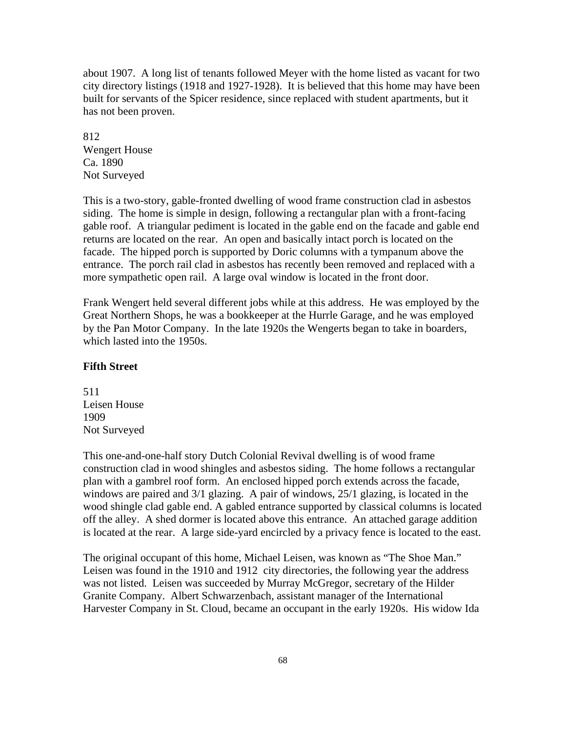about 1907. A long list of tenants followed Meyer with the home listed as vacant for two city directory listings (1918 and 1927-1928). It is believed that this home may have been built for servants of the Spicer residence, since replaced with student apartments, but it has not been proven.

812 Wengert House Ca. 1890 Not Surveyed

This is a two-story, gable-fronted dwelling of wood frame construction clad in asbestos siding. The home is simple in design, following a rectangular plan with a front-facing gable roof. A triangular pediment is located in the gable end on the facade and gable end returns are located on the rear. An open and basically intact porch is located on the facade. The hipped porch is supported by Doric columns with a tympanum above the entrance. The porch rail clad in asbestos has recently been removed and replaced with a more sympathetic open rail. A large oval window is located in the front door.

Frank Wengert held several different jobs while at this address. He was employed by the Great Northern Shops, he was a bookkeeper at the Hurrle Garage, and he was employed by the Pan Motor Company. In the late 1920s the Wengerts began to take in boarders, which lasted into the 1950s.

#### **Fifth Street**

511 Leisen House 1909 Not Surveyed

This one-and-one-half story Dutch Colonial Revival dwelling is of wood frame construction clad in wood shingles and asbestos siding. The home follows a rectangular plan with a gambrel roof form. An enclosed hipped porch extends across the facade, windows are paired and 3/1 glazing. A pair of windows, 25/1 glazing, is located in the wood shingle clad gable end. A gabled entrance supported by classical columns is located off the alley. A shed dormer is located above this entrance. An attached garage addition is located at the rear. A large side-yard encircled by a privacy fence is located to the east.

The original occupant of this home, Michael Leisen, was known as "The Shoe Man." Leisen was found in the 1910 and 1912 city directories, the following year the address was not listed. Leisen was succeeded by Murray McGregor, secretary of the Hilder Granite Company. Albert Schwarzenbach, assistant manager of the International Harvester Company in St. Cloud, became an occupant in the early 1920s. His widow Ida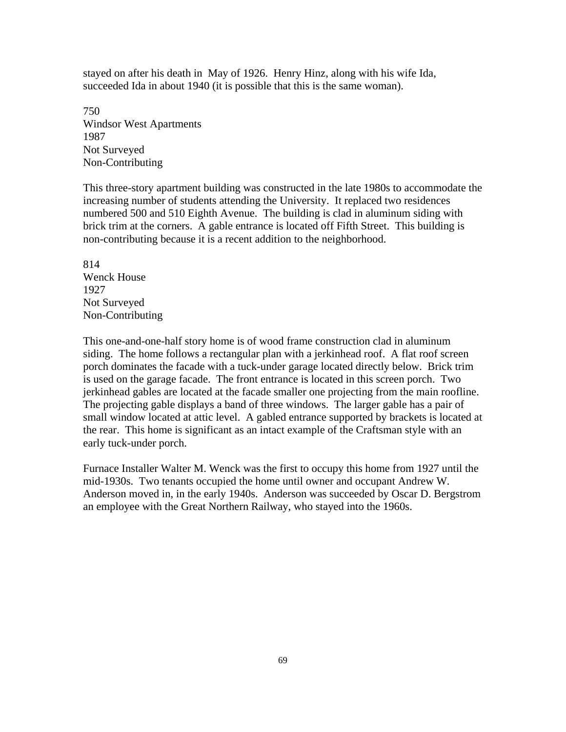stayed on after his death in May of 1926. Henry Hinz, along with his wife Ida, succeeded Ida in about 1940 (it is possible that this is the same woman).

750 Windsor West Apartments 1987 Not Surveyed Non-Contributing

This three-story apartment building was constructed in the late 1980s to accommodate the increasing number of students attending the University. It replaced two residences numbered 500 and 510 Eighth Avenue. The building is clad in aluminum siding with brick trim at the corners. A gable entrance is located off Fifth Street. This building is non-contributing because it is a recent addition to the neighborhood.

814 Wenck House 1927 Not Surveyed Non-Contributing

This one-and-one-half story home is of wood frame construction clad in aluminum siding. The home follows a rectangular plan with a jerkinhead roof. A flat roof screen porch dominates the facade with a tuck-under garage located directly below. Brick trim is used on the garage facade. The front entrance is located in this screen porch. Two jerkinhead gables are located at the facade smaller one projecting from the main roofline. The projecting gable displays a band of three windows. The larger gable has a pair of small window located at attic level. A gabled entrance supported by brackets is located at the rear. This home is significant as an intact example of the Craftsman style with an early tuck-under porch.

Furnace Installer Walter M. Wenck was the first to occupy this home from 1927 until the mid-1930s. Two tenants occupied the home until owner and occupant Andrew W. Anderson moved in, in the early 1940s. Anderson was succeeded by Oscar D. Bergstrom an employee with the Great Northern Railway, who stayed into the 1960s.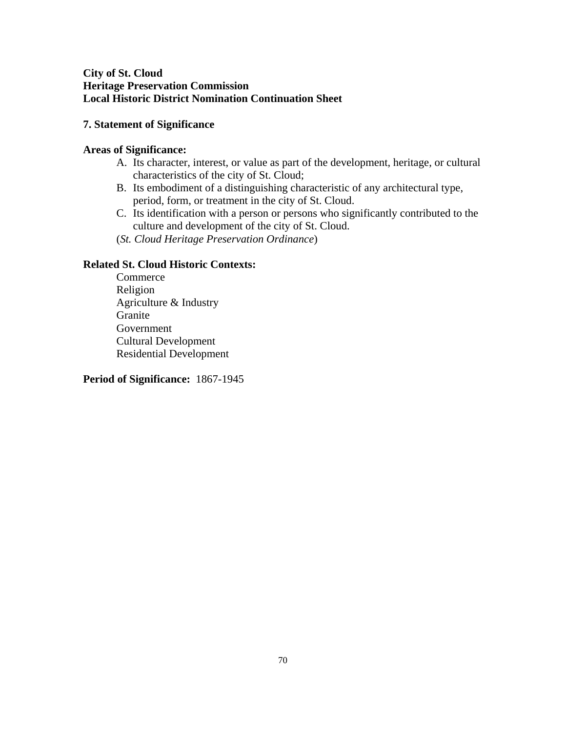# **City of St. Cloud Heritage Preservation Commission Local Historic District Nomination Continuation Sheet**

# **7. Statement of Significance**

# **Areas of Significance:**

- A. Its character, interest, or value as part of the development, heritage, or cultural characteristics of the city of St. Cloud;
- B. Its embodiment of a distinguishing characteristic of any architectural type, period, form, or treatment in the city of St. Cloud.
- C. Its identification with a person or persons who significantly contributed to the culture and development of the city of St. Cloud.
- (*St. Cloud Heritage Preservation Ordinance*)

## **Related St. Cloud Historic Contexts:**

Commerce Religion Agriculture & Industry Granite Government Cultural Development Residential Development

## **Period of Significance:** 1867-1945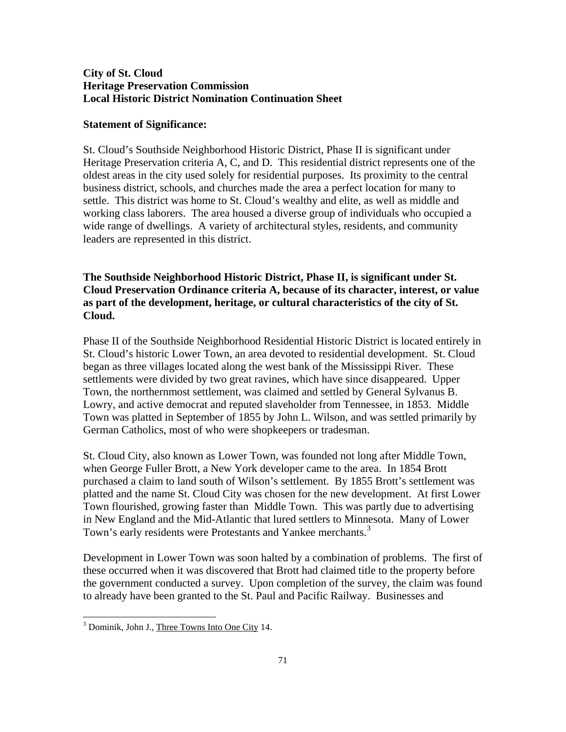## **City of St. Cloud Heritage Preservation Commission Local Historic District Nomination Continuation Sheet**

#### **Statement of Significance:**

St. Cloud's Southside Neighborhood Historic District, Phase II is significant under Heritage Preservation criteria A, C, and D. This residential district represents one of the oldest areas in the city used solely for residential purposes. Its proximity to the central business district, schools, and churches made the area a perfect location for many to settle. This district was home to St. Cloud's wealthy and elite, as well as middle and working class laborers. The area housed a diverse group of individuals who occupied a wide range of dwellings. A variety of architectural styles, residents, and community leaders are represented in this district.

# **The Southside Neighborhood Historic District, Phase II, is significant under St. Cloud Preservation Ordinance criteria A, because of its character, interest, or value as part of the development, heritage, or cultural characteristics of the city of St. Cloud.**

Phase II of the Southside Neighborhood Residential Historic District is located entirely in St. Cloud's historic Lower Town, an area devoted to residential development. St. Cloud began as three villages located along the west bank of the Mississippi River. These settlements were divided by two great ravines, which have since disappeared. Upper Town, the northernmost settlement, was claimed and settled by General Sylvanus B. Lowry, and active democrat and reputed slaveholder from Tennessee, in 1853. Middle Town was platted in September of 1855 by John L. Wilson, and was settled primarily by German Catholics, most of who were shopkeepers or tradesman.

St. Cloud City, also known as Lower Town, was founded not long after Middle Town, when George Fuller Brott, a New York developer came to the area. In 1854 Brott purchased a claim to land south of Wilson's settlement. By 1855 Brott's settlement was platted and the name St. Cloud City was chosen for the new development. At first Lower Town flourished, growing faster than Middle Town. This was partly due to advertising in New England and the Mid-Atlantic that lured settlers to Minnesota. Many of Lower Town's early residents were Protestants and Yankee merchants.<sup>[3](#page-70-0)</sup>

Development in Lower Town was soon halted by a combination of problems. The first of these occurred when it was discovered that Brott had claimed title to the property before the government conducted a survey. Upon completion of the survey, the claim was found to already have been granted to the St. Paul and Pacific Railway. Businesses and

<span id="page-70-0"></span><sup>&</sup>lt;sup>3</sup> Dominik, John J., Three Towns Into One City 14.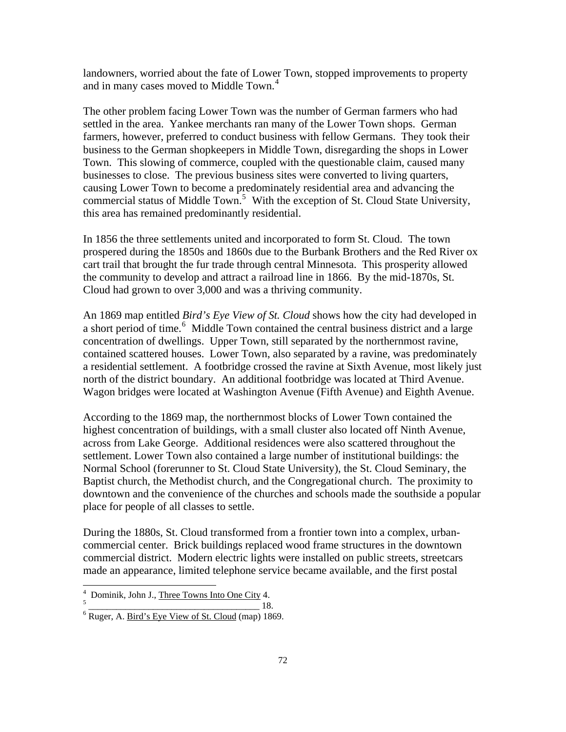landowners, worried about the fate of Lower Town, stopped improvements to property and in many cases moved to Middle Town.<sup>[4](#page-71-0)</sup>

The other problem facing Lower Town was the number of German farmers who had settled in the area. Yankee merchants ran many of the Lower Town shops. German farmers, however, preferred to conduct business with fellow Germans. They took their business to the German shopkeepers in Middle Town, disregarding the shops in Lower Town. This slowing of commerce, coupled with the questionable claim, caused many businesses to close. The previous business sites were converted to living quarters, causing Lower Town to become a predominately residential area and advancing the commercial status of Middle Town.<sup>[5](#page-71-1)</sup> With the exception of St. Cloud State University, this area has remained predominantly residential.

In 1856 the three settlements united and incorporated to form St. Cloud. The town prospered during the 1850s and 1860s due to the Burbank Brothers and the Red River ox cart trail that brought the fur trade through central Minnesota. This prosperity allowed the community to develop and attract a railroad line in 1866. By the mid-1870s, St. Cloud had grown to over 3,000 and was a thriving community.

An 1869 map entitled *Bird's Eye View of St. Cloud* shows how the city had developed in a short period of time.<sup>[6](#page-71-2)</sup> Middle Town contained the central business district and a large concentration of dwellings. Upper Town, still separated by the northernmost ravine, contained scattered houses. Lower Town, also separated by a ravine, was predominately a residential settlement. A footbridge crossed the ravine at Sixth Avenue, most likely just north of the district boundary. An additional footbridge was located at Third Avenue. Wagon bridges were located at Washington Avenue (Fifth Avenue) and Eighth Avenue.

According to the 1869 map, the northernmost blocks of Lower Town contained the highest concentration of buildings, with a small cluster also located off Ninth Avenue, across from Lake George. Additional residences were also scattered throughout the settlement. Lower Town also contained a large number of institutional buildings: the Normal School (forerunner to St. Cloud State University), the St. Cloud Seminary, the Baptist church, the Methodist church, and the Congregational church. The proximity to downtown and the convenience of the churches and schools made the southside a popular place for people of all classes to settle.

During the 1880s, St. Cloud transformed from a frontier town into a complex, urbancommercial center. Brick buildings replaced wood frame structures in the downtown commercial district. Modern electric lights were installed on public streets, streetcars made an appearance, limited telephone service became available, and the first postal

 $\overline{a}$ 

<span id="page-71-0"></span> $\frac{4}{5}$  Dominik, John J., <u>Three Towns Into One City</u> 4.

<span id="page-71-2"></span><span id="page-71-1"></span> $\frac{1}{6}$  Ruger, A. <u>Bird's Eye View of St. Cloud</u> (map) 1869.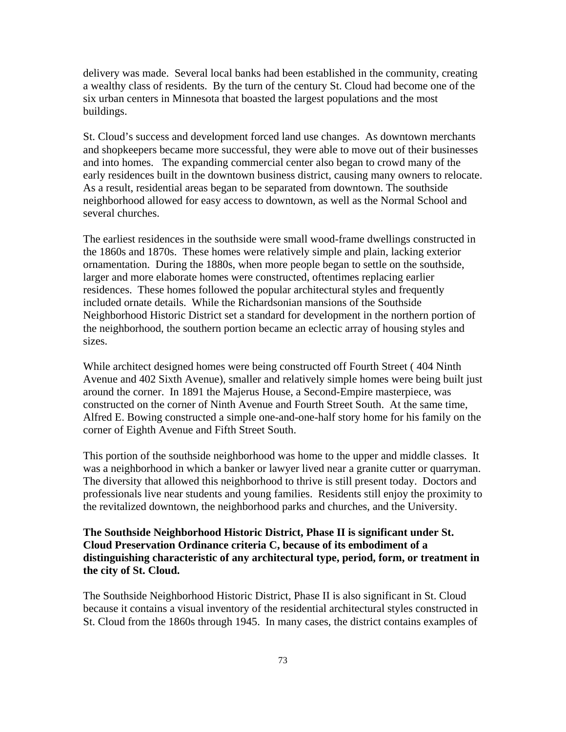delivery was made. Several local banks had been established in the community, creating a wealthy class of residents. By the turn of the century St. Cloud had become one of the six urban centers in Minnesota that boasted the largest populations and the most buildings.

St. Cloud's success and development forced land use changes. As downtown merchants and shopkeepers became more successful, they were able to move out of their businesses and into homes. The expanding commercial center also began to crowd many of the early residences built in the downtown business district, causing many owners to relocate. As a result, residential areas began to be separated from downtown. The southside neighborhood allowed for easy access to downtown, as well as the Normal School and several churches.

The earliest residences in the southside were small wood-frame dwellings constructed in the 1860s and 1870s. These homes were relatively simple and plain, lacking exterior ornamentation. During the 1880s, when more people began to settle on the southside, larger and more elaborate homes were constructed, oftentimes replacing earlier residences. These homes followed the popular architectural styles and frequently included ornate details. While the Richardsonian mansions of the Southside Neighborhood Historic District set a standard for development in the northern portion of the neighborhood, the southern portion became an eclectic array of housing styles and sizes.

While architect designed homes were being constructed off Fourth Street ( 404 Ninth Avenue and 402 Sixth Avenue), smaller and relatively simple homes were being built just around the corner. In 1891 the Majerus House, a Second-Empire masterpiece, was constructed on the corner of Ninth Avenue and Fourth Street South. At the same time, Alfred E. Bowing constructed a simple one-and-one-half story home for his family on the corner of Eighth Avenue and Fifth Street South.

This portion of the southside neighborhood was home to the upper and middle classes. It was a neighborhood in which a banker or lawyer lived near a granite cutter or quarryman. The diversity that allowed this neighborhood to thrive is still present today. Doctors and professionals live near students and young families. Residents still enjoy the proximity to the revitalized downtown, the neighborhood parks and churches, and the University.

## **The Southside Neighborhood Historic District, Phase II is significant under St. Cloud Preservation Ordinance criteria C, because of its embodiment of a distinguishing characteristic of any architectural type, period, form, or treatment in the city of St. Cloud.**

The Southside Neighborhood Historic District, Phase II is also significant in St. Cloud because it contains a visual inventory of the residential architectural styles constructed in St. Cloud from the 1860s through 1945. In many cases, the district contains examples of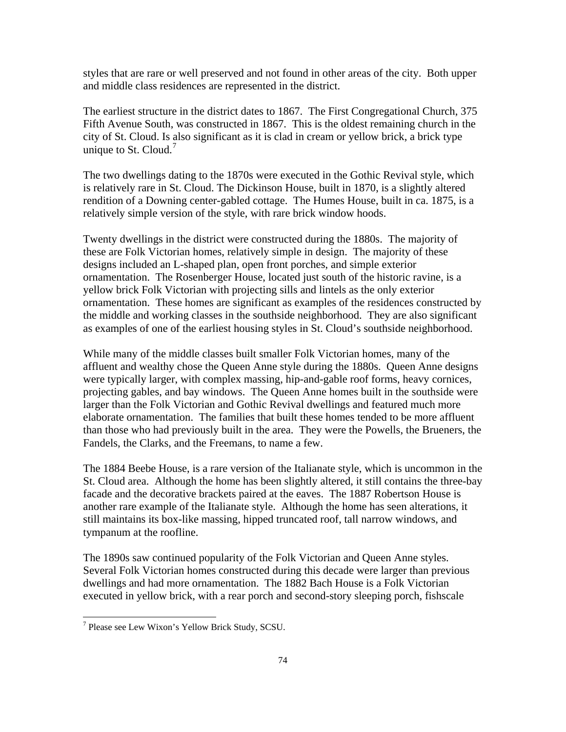styles that are rare or well preserved and not found in other areas of the city. Both upper and middle class residences are represented in the district.

The earliest structure in the district dates to 1867. The First Congregational Church, 375 Fifth Avenue South, was constructed in 1867. This is the oldest remaining church in the city of St. Cloud. Is also significant as it is clad in cream or yellow brick, a brick type unique to St. Cloud.<sup>[7](#page-73-0)</sup>

The two dwellings dating to the 1870s were executed in the Gothic Revival style, which is relatively rare in St. Cloud. The Dickinson House, built in 1870, is a slightly altered rendition of a Downing center-gabled cottage. The Humes House, built in ca. 1875, is a relatively simple version of the style, with rare brick window hoods.

Twenty dwellings in the district were constructed during the 1880s. The majority of these are Folk Victorian homes, relatively simple in design. The majority of these designs included an L-shaped plan, open front porches, and simple exterior ornamentation. The Rosenberger House, located just south of the historic ravine, is a yellow brick Folk Victorian with projecting sills and lintels as the only exterior ornamentation. These homes are significant as examples of the residences constructed by the middle and working classes in the southside neighborhood. They are also significant as examples of one of the earliest housing styles in St. Cloud's southside neighborhood.

While many of the middle classes built smaller Folk Victorian homes, many of the affluent and wealthy chose the Queen Anne style during the 1880s. Queen Anne designs were typically larger, with complex massing, hip-and-gable roof forms, heavy cornices, projecting gables, and bay windows. The Queen Anne homes built in the southside were larger than the Folk Victorian and Gothic Revival dwellings and featured much more elaborate ornamentation. The families that built these homes tended to be more affluent than those who had previously built in the area. They were the Powells, the Brueners, the Fandels, the Clarks, and the Freemans, to name a few.

The 1884 Beebe House, is a rare version of the Italianate style, which is uncommon in the St. Cloud area. Although the home has been slightly altered, it still contains the three-bay facade and the decorative brackets paired at the eaves. The 1887 Robertson House is another rare example of the Italianate style. Although the home has seen alterations, it still maintains its box-like massing, hipped truncated roof, tall narrow windows, and tympanum at the roofline.

The 1890s saw continued popularity of the Folk Victorian and Queen Anne styles. Several Folk Victorian homes constructed during this decade were larger than previous dwellings and had more ornamentation. The 1882 Bach House is a Folk Victorian executed in yellow brick, with a rear porch and second-story sleeping porch, fishscale

<span id="page-73-0"></span> 7 Please see Lew Wixon's Yellow Brick Study, SCSU.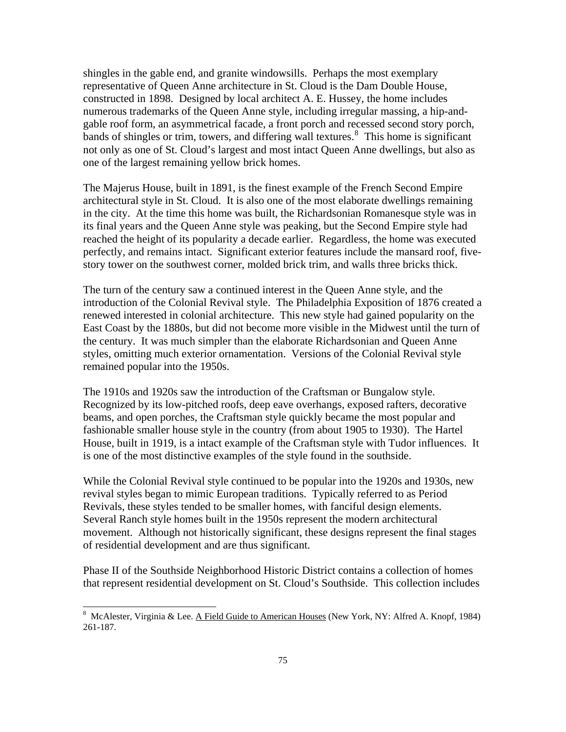shingles in the gable end, and granite windowsills. Perhaps the most exemplary representative of Queen Anne architecture in St. Cloud is the Dam Double House, constructed in 1898. Designed by local architect A. E. Hussey, the home includes numerous trademarks of the Queen Anne style, including irregular massing, a hip-andgable roof form, an asymmetrical facade, a front porch and recessed second story porch, bands of shingles or trim, towers, and differing wall textures. $8$  This home is significant not only as one of St. Cloud's largest and most intact Queen Anne dwellings, but also as one of the largest remaining yellow brick homes.

The Majerus House, built in 1891, is the finest example of the French Second Empire architectural style in St. Cloud. It is also one of the most elaborate dwellings remaining in the city. At the time this home was built, the Richardsonian Romanesque style was in its final years and the Queen Anne style was peaking, but the Second Empire style had reached the height of its popularity a decade earlier. Regardless, the home was executed perfectly, and remains intact. Significant exterior features include the mansard roof, fivestory tower on the southwest corner, molded brick trim, and walls three bricks thick.

The turn of the century saw a continued interest in the Queen Anne style, and the introduction of the Colonial Revival style. The Philadelphia Exposition of 1876 created a renewed interested in colonial architecture. This new style had gained popularity on the East Coast by the 1880s, but did not become more visible in the Midwest until the turn of the century. It was much simpler than the elaborate Richardsonian and Queen Anne styles, omitting much exterior ornamentation. Versions of the Colonial Revival style remained popular into the 1950s.

The 1910s and 1920s saw the introduction of the Craftsman or Bungalow style. Recognized by its low-pitched roofs, deep eave overhangs, exposed rafters, decorative beams, and open porches, the Craftsman style quickly became the most popular and fashionable smaller house style in the country (from about 1905 to 1930). The Hartel House, built in 1919, is a intact example of the Craftsman style with Tudor influences. It is one of the most distinctive examples of the style found in the southside.

While the Colonial Revival style continued to be popular into the 1920s and 1930s, new revival styles began to mimic European traditions. Typically referred to as Period Revivals, these styles tended to be smaller homes, with fanciful design elements. Several Ranch style homes built in the 1950s represent the modern architectural movement. Although not historically significant, these designs represent the final stages of residential development and are thus significant.

Phase II of the Southside Neighborhood Historic District contains a collection of homes that represent residential development on St. Cloud's Southside. This collection includes

 $\overline{a}$ 

<span id="page-74-0"></span><sup>&</sup>lt;sup>8</sup> McAlester, Virginia & Lee. A Field Guide to American Houses (New York, NY: Alfred A. Knopf, 1984) 261-187.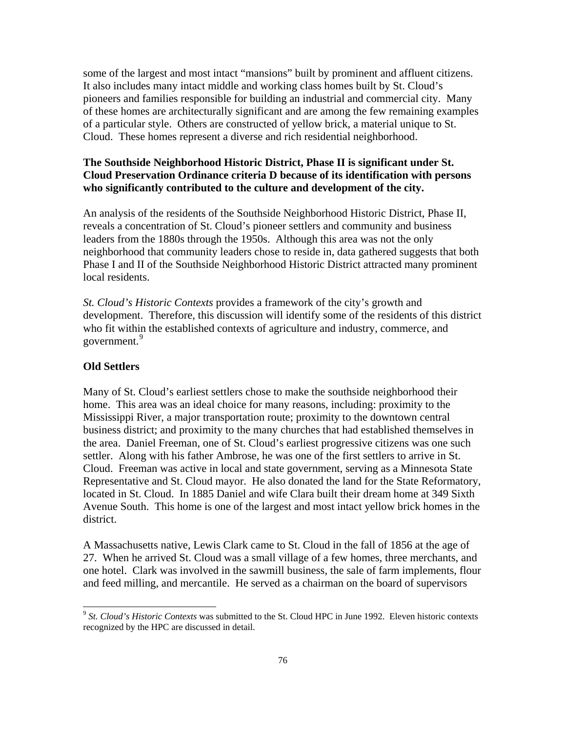some of the largest and most intact "mansions" built by prominent and affluent citizens. It also includes many intact middle and working class homes built by St. Cloud's pioneers and families responsible for building an industrial and commercial city. Many of these homes are architecturally significant and are among the few remaining examples of a particular style. Others are constructed of yellow brick, a material unique to St. Cloud. These homes represent a diverse and rich residential neighborhood.

## **The Southside Neighborhood Historic District, Phase II is significant under St. Cloud Preservation Ordinance criteria D because of its identification with persons who significantly contributed to the culture and development of the city.**

An analysis of the residents of the Southside Neighborhood Historic District, Phase II, reveals a concentration of St. Cloud's pioneer settlers and community and business leaders from the 1880s through the 1950s. Although this area was not the only neighborhood that community leaders chose to reside in, data gathered suggests that both Phase I and II of the Southside Neighborhood Historic District attracted many prominent local residents.

*St. Cloud's Historic Contexts* provides a framework of the city's growth and development. Therefore, this discussion will identify some of the residents of this district who fit within the established contexts of agriculture and industry, commerce, and government.<sup>[9](#page-75-0)</sup>

#### **Old Settlers**

 $\overline{a}$ 

Many of St. Cloud's earliest settlers chose to make the southside neighborhood their home. This area was an ideal choice for many reasons, including: proximity to the Mississippi River, a major transportation route; proximity to the downtown central business district; and proximity to the many churches that had established themselves in the area. Daniel Freeman, one of St. Cloud's earliest progressive citizens was one such settler. Along with his father Ambrose, he was one of the first settlers to arrive in St. Cloud. Freeman was active in local and state government, serving as a Minnesota State Representative and St. Cloud mayor. He also donated the land for the State Reformatory, located in St. Cloud. In 1885 Daniel and wife Clara built their dream home at 349 Sixth Avenue South. This home is one of the largest and most intact yellow brick homes in the district.

A Massachusetts native, Lewis Clark came to St. Cloud in the fall of 1856 at the age of 27. When he arrived St. Cloud was a small village of a few homes, three merchants, and one hotel. Clark was involved in the sawmill business, the sale of farm implements, flour and feed milling, and mercantile. He served as a chairman on the board of supervisors

<span id="page-75-0"></span><sup>9</sup> *St. Cloud's Historic Contexts* was submitted to the St. Cloud HPC in June 1992. Eleven historic contexts recognized by the HPC are discussed in detail.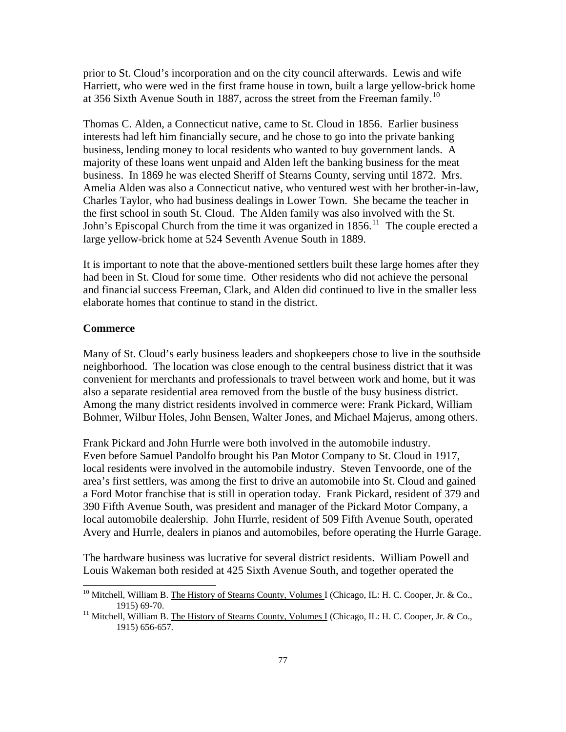prior to St. Cloud's incorporation and on the city council afterwards. Lewis and wife Harriett, who were wed in the first frame house in town, built a large yellow-brick home at 356 Sixth Avenue South in 1887, across the street from the Freeman family.<sup>[10](#page-76-0)</sup>

Thomas C. Alden, a Connecticut native, came to St. Cloud in 1856. Earlier business interests had left him financially secure, and he chose to go into the private banking business, lending money to local residents who wanted to buy government lands. A majority of these loans went unpaid and Alden left the banking business for the meat business. In 1869 he was elected Sheriff of Stearns County, serving until 1872. Mrs. Amelia Alden was also a Connecticut native, who ventured west with her brother-in-law, Charles Taylor, who had business dealings in Lower Town. She became the teacher in the first school in south St. Cloud. The Alden family was also involved with the St. John's Episcopal Church from the time it was organized in  $1856$ .<sup>[11](#page-76-1)</sup> The couple erected a large yellow-brick home at 524 Seventh Avenue South in 1889.

It is important to note that the above-mentioned settlers built these large homes after they had been in St. Cloud for some time. Other residents who did not achieve the personal and financial success Freeman, Clark, and Alden did continued to live in the smaller less elaborate homes that continue to stand in the district.

#### **Commerce**

 $\overline{a}$ 

Many of St. Cloud's early business leaders and shopkeepers chose to live in the southside neighborhood. The location was close enough to the central business district that it was convenient for merchants and professionals to travel between work and home, but it was also a separate residential area removed from the bustle of the busy business district. Among the many district residents involved in commerce were: Frank Pickard, William Bohmer, Wilbur Holes, John Bensen, Walter Jones, and Michael Majerus, among others.

Frank Pickard and John Hurrle were both involved in the automobile industry. Even before Samuel Pandolfo brought his Pan Motor Company to St. Cloud in 1917, local residents were involved in the automobile industry. Steven Tenvoorde, one of the area's first settlers, was among the first to drive an automobile into St. Cloud and gained a Ford Motor franchise that is still in operation today. Frank Pickard, resident of 379 and 390 Fifth Avenue South, was president and manager of the Pickard Motor Company, a local automobile dealership. John Hurrle, resident of 509 Fifth Avenue South, operated Avery and Hurrle, dealers in pianos and automobiles, before operating the Hurrle Garage.

The hardware business was lucrative for several district residents. William Powell and Louis Wakeman both resided at 425 Sixth Avenue South, and together operated the

<span id="page-76-0"></span><sup>&</sup>lt;sup>10</sup> Mitchell, William B. The History of Stearns County, Volumes I (Chicago, IL: H. C. Cooper, Jr. & Co., 1915) 69-70.<br><sup>11</sup> Mitchell, William B. The History of Stearns County, Volumes I (Chicago, IL: H. C. Cooper, Jr. & Co.,

<span id="page-76-1"></span><sup>1915) 656-657.</sup>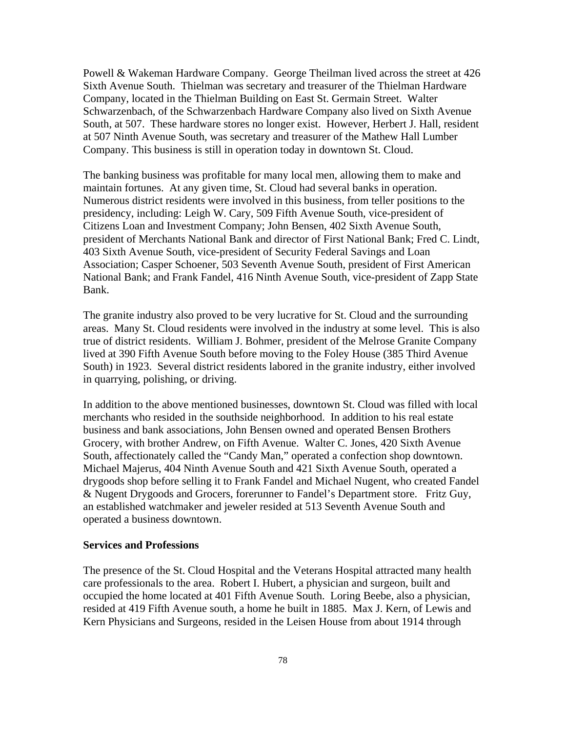Powell & Wakeman Hardware Company. George Theilman lived across the street at 426 Sixth Avenue South. Thielman was secretary and treasurer of the Thielman Hardware Company, located in the Thielman Building on East St. Germain Street. Walter Schwarzenbach, of the Schwarzenbach Hardware Company also lived on Sixth Avenue South, at 507. These hardware stores no longer exist. However, Herbert J. Hall, resident at 507 Ninth Avenue South, was secretary and treasurer of the Mathew Hall Lumber Company. This business is still in operation today in downtown St. Cloud.

The banking business was profitable for many local men, allowing them to make and maintain fortunes. At any given time, St. Cloud had several banks in operation. Numerous district residents were involved in this business, from teller positions to the presidency, including: Leigh W. Cary, 509 Fifth Avenue South, vice-president of Citizens Loan and Investment Company; John Bensen, 402 Sixth Avenue South, president of Merchants National Bank and director of First National Bank; Fred C. Lindt, 403 Sixth Avenue South, vice-president of Security Federal Savings and Loan Association; Casper Schoener, 503 Seventh Avenue South, president of First American National Bank; and Frank Fandel, 416 Ninth Avenue South, vice-president of Zapp State Bank.

The granite industry also proved to be very lucrative for St. Cloud and the surrounding areas. Many St. Cloud residents were involved in the industry at some level. This is also true of district residents. William J. Bohmer, president of the Melrose Granite Company lived at 390 Fifth Avenue South before moving to the Foley House (385 Third Avenue South) in 1923. Several district residents labored in the granite industry, either involved in quarrying, polishing, or driving.

In addition to the above mentioned businesses, downtown St. Cloud was filled with local merchants who resided in the southside neighborhood. In addition to his real estate business and bank associations, John Bensen owned and operated Bensen Brothers Grocery, with brother Andrew, on Fifth Avenue. Walter C. Jones, 420 Sixth Avenue South, affectionately called the "Candy Man," operated a confection shop downtown. Michael Majerus, 404 Ninth Avenue South and 421 Sixth Avenue South, operated a drygoods shop before selling it to Frank Fandel and Michael Nugent, who created Fandel & Nugent Drygoods and Grocers, forerunner to Fandel's Department store. Fritz Guy, an established watchmaker and jeweler resided at 513 Seventh Avenue South and operated a business downtown.

#### **Services and Professions**

The presence of the St. Cloud Hospital and the Veterans Hospital attracted many health care professionals to the area. Robert I. Hubert, a physician and surgeon, built and occupied the home located at 401 Fifth Avenue South. Loring Beebe, also a physician, resided at 419 Fifth Avenue south, a home he built in 1885. Max J. Kern, of Lewis and Kern Physicians and Surgeons, resided in the Leisen House from about 1914 through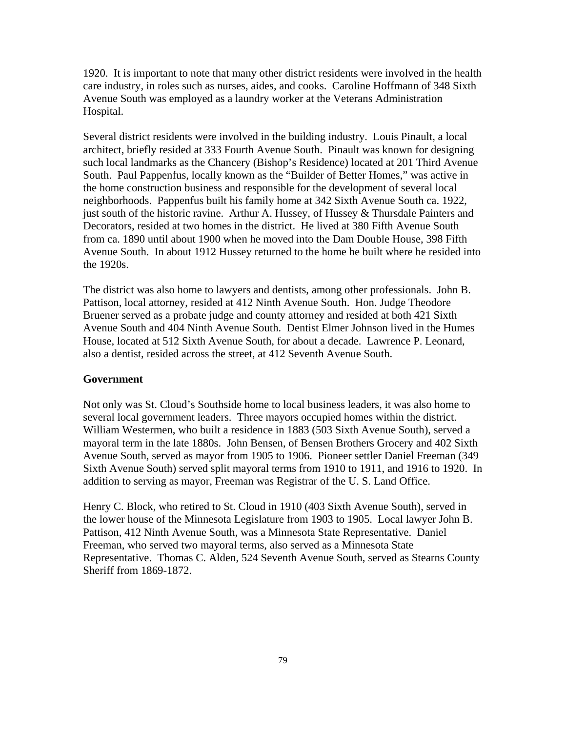1920. It is important to note that many other district residents were involved in the health care industry, in roles such as nurses, aides, and cooks. Caroline Hoffmann of 348 Sixth Avenue South was employed as a laundry worker at the Veterans Administration Hospital.

Several district residents were involved in the building industry. Louis Pinault, a local architect, briefly resided at 333 Fourth Avenue South. Pinault was known for designing such local landmarks as the Chancery (Bishop's Residence) located at 201 Third Avenue South. Paul Pappenfus, locally known as the "Builder of Better Homes," was active in the home construction business and responsible for the development of several local neighborhoods. Pappenfus built his family home at 342 Sixth Avenue South ca. 1922, just south of the historic ravine. Arthur A. Hussey, of Hussey & Thursdale Painters and Decorators, resided at two homes in the district. He lived at 380 Fifth Avenue South from ca. 1890 until about 1900 when he moved into the Dam Double House, 398 Fifth Avenue South. In about 1912 Hussey returned to the home he built where he resided into the 1920s.

The district was also home to lawyers and dentists, among other professionals. John B. Pattison, local attorney, resided at 412 Ninth Avenue South. Hon. Judge Theodore Bruener served as a probate judge and county attorney and resided at both 421 Sixth Avenue South and 404 Ninth Avenue South. Dentist Elmer Johnson lived in the Humes House, located at 512 Sixth Avenue South, for about a decade. Lawrence P. Leonard, also a dentist, resided across the street, at 412 Seventh Avenue South.

#### **Government**

Not only was St. Cloud's Southside home to local business leaders, it was also home to several local government leaders. Three mayors occupied homes within the district. William Westermen, who built a residence in 1883 (503 Sixth Avenue South), served a mayoral term in the late 1880s. John Bensen, of Bensen Brothers Grocery and 402 Sixth Avenue South, served as mayor from 1905 to 1906. Pioneer settler Daniel Freeman (349 Sixth Avenue South) served split mayoral terms from 1910 to 1911, and 1916 to 1920. In addition to serving as mayor, Freeman was Registrar of the U. S. Land Office.

Henry C. Block, who retired to St. Cloud in 1910 (403 Sixth Avenue South), served in the lower house of the Minnesota Legislature from 1903 to 1905. Local lawyer John B. Pattison, 412 Ninth Avenue South, was a Minnesota State Representative. Daniel Freeman, who served two mayoral terms, also served as a Minnesota State Representative. Thomas C. Alden, 524 Seventh Avenue South, served as Stearns County Sheriff from 1869-1872.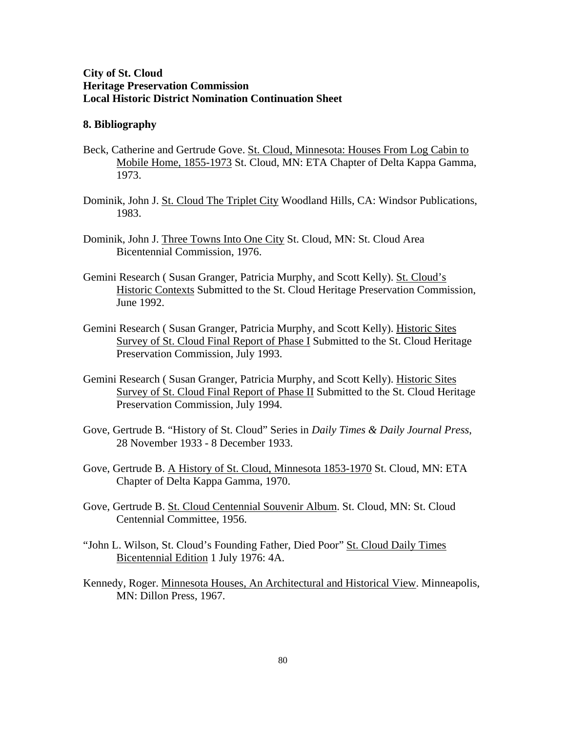### **City of St. Cloud Heritage Preservation Commission Local Historic District Nomination Continuation Sheet**

#### **8. Bibliography**

- Beck, Catherine and Gertrude Gove. St. Cloud, Minnesota: Houses From Log Cabin to Mobile Home, 1855-1973 St. Cloud, MN: ETA Chapter of Delta Kappa Gamma, 1973.
- Dominik, John J. St. Cloud The Triplet City Woodland Hills, CA: Windsor Publications, 1983.
- Dominik, John J. Three Towns Into One City St. Cloud, MN: St. Cloud Area Bicentennial Commission, 1976.
- Gemini Research ( Susan Granger, Patricia Murphy, and Scott Kelly). St. Cloud's Historic Contexts Submitted to the St. Cloud Heritage Preservation Commission, June 1992.
- Gemini Research ( Susan Granger, Patricia Murphy, and Scott Kelly). Historic Sites Survey of St. Cloud Final Report of Phase I Submitted to the St. Cloud Heritage Preservation Commission, July 1993.
- Gemini Research ( Susan Granger, Patricia Murphy, and Scott Kelly). Historic Sites Survey of St. Cloud Final Report of Phase II Submitted to the St. Cloud Heritage Preservation Commission, July 1994.
- Gove, Gertrude B. "History of St. Cloud" Series in *Daily Times & Daily Journal Press*, 28 November 1933 - 8 December 1933.
- Gove, Gertrude B. A History of St. Cloud, Minnesota 1853-1970 St. Cloud, MN: ETA Chapter of Delta Kappa Gamma, 1970.
- Gove, Gertrude B. St. Cloud Centennial Souvenir Album. St. Cloud, MN: St. Cloud Centennial Committee, 1956.
- "John L. Wilson, St. Cloud's Founding Father, Died Poor" St. Cloud Daily Times Bicentennial Edition 1 July 1976: 4A.
- Kennedy, Roger. Minnesota Houses, An Architectural and Historical View. Minneapolis, MN: Dillon Press, 1967.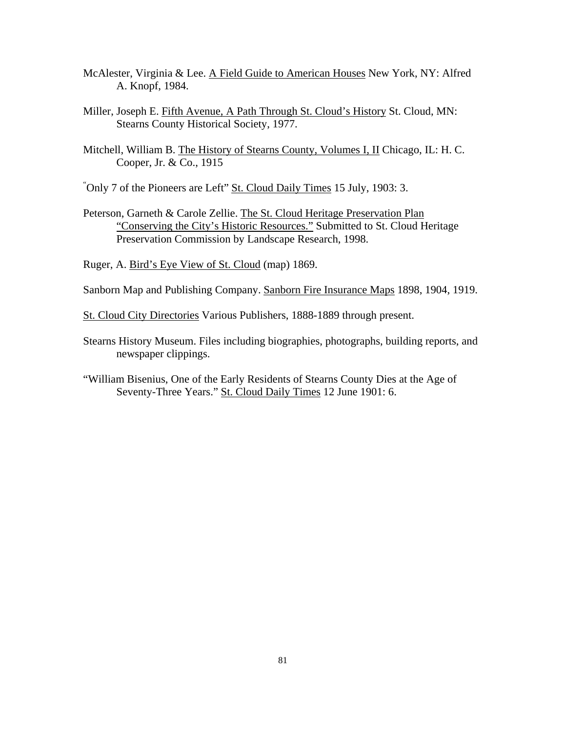- McAlester, Virginia & Lee. A Field Guide to American Houses New York, NY: Alfred A. Knopf, 1984.
- Miller, Joseph E. Fifth Avenue, A Path Through St. Cloud's History St. Cloud, MN: Stearns County Historical Society, 1977.
- Mitchell, William B. The History of Stearns County, Volumes I, II Chicago, IL: H. C. Cooper, Jr. & Co., 1915
- "Only 7 of the Pioneers are Left" St. Cloud Daily Times 15 July, 1903: 3.
- Peterson, Garneth & Carole Zellie. The St. Cloud Heritage Preservation Plan "Conserving the City's Historic Resources." Submitted to St. Cloud Heritage Preservation Commission by Landscape Research, 1998.

Ruger, A. Bird's Eye View of St. Cloud (map) 1869.

Sanborn Map and Publishing Company. Sanborn Fire Insurance Maps 1898, 1904, 1919.

St. Cloud City Directories Various Publishers, 1888-1889 through present.

- Stearns History Museum. Files including biographies, photographs, building reports, and newspaper clippings.
- "William Bisenius, One of the Early Residents of Stearns County Dies at the Age of Seventy-Three Years." St. Cloud Daily Times 12 June 1901: 6.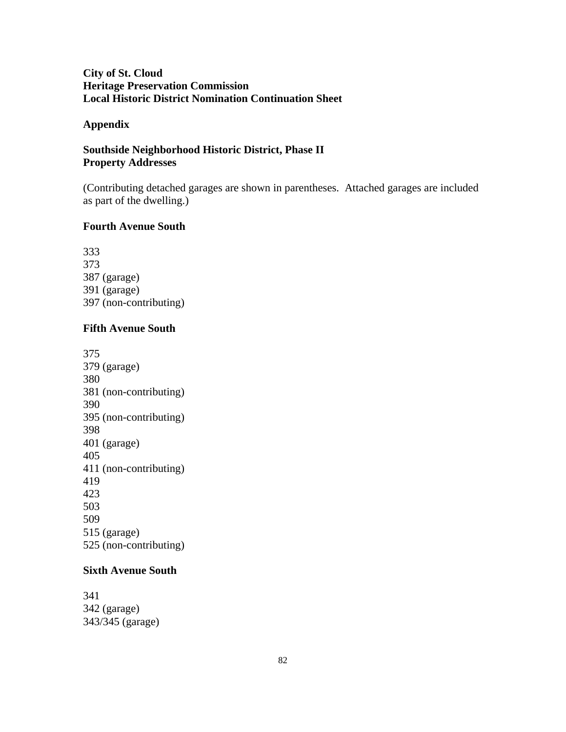## **City of St. Cloud Heritage Preservation Commission Local Historic District Nomination Continuation Sheet**

#### **Appendix**

## **Southside Neighborhood Historic District, Phase II Property Addresses**

(Contributing detached garages are shown in parentheses. Attached garages are included as part of the dwelling.)

#### **Fourth Avenue South**

333 373 387 (garage) 391 (garage) 397 (non-contributing)

#### **Fifth Avenue South**

### **Sixth Avenue South**

341 342 (garage) 343/345 (garage)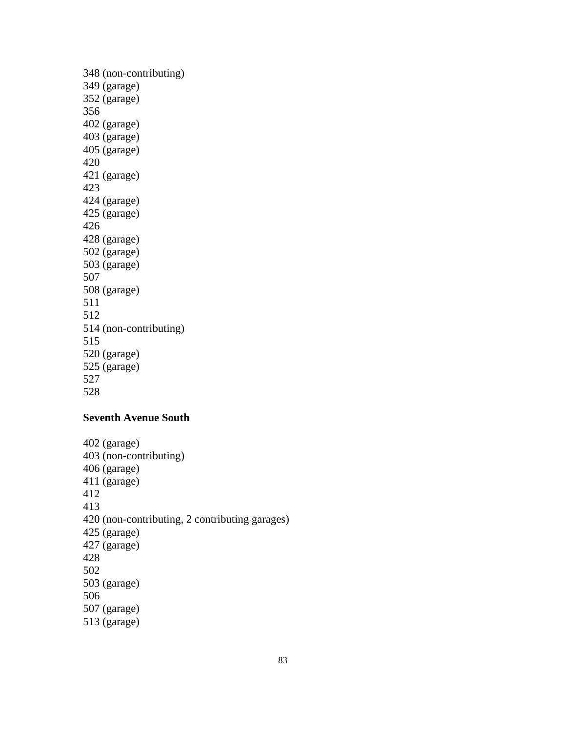### **Seventh Avenue South**

402 (garage) 403 (non-contributing) 406 (garage) 411 (garage) 412 413 420 (non-contributing, 2 contributing garages) 425 (garage) 427 (garage) 428 502 503 (garage) 506 507 (garage) 513 (garage)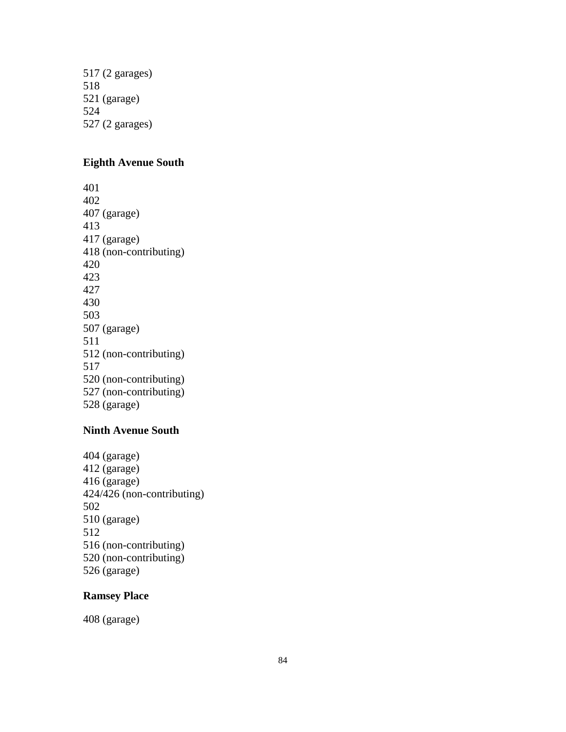517 (2 garages) 518 521 (garage) 524 527 (2 garages)

## **Eighth Avenue South**

#### **Ninth Avenue South**

404 (garage) 412 (garage) 416 (garage) 424/426 (non-contributing) 502 510 (garage) 512 516 (non-contributing) 520 (non-contributing) 526 (garage)

### **Ramsey Place**

408 (garage)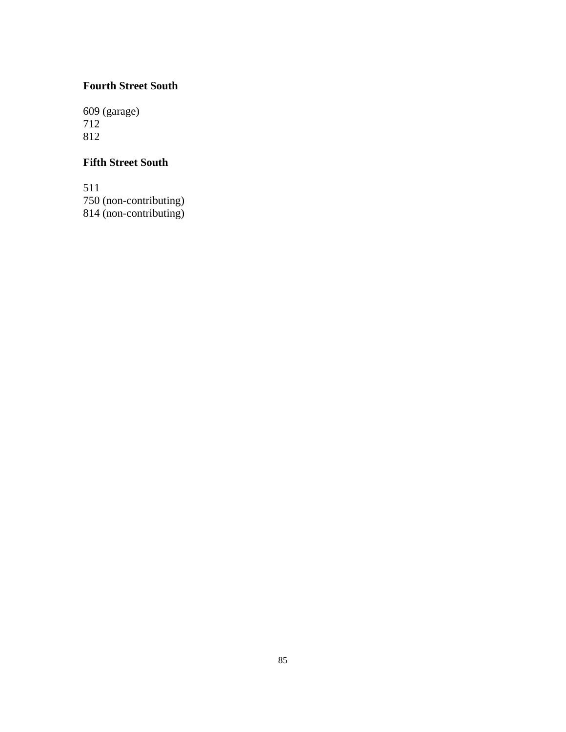## **Fourth Street South**

609 (garage) 712 812

## **Fifth Street South**

511 750 (non-contributing) 814 (non-contributing)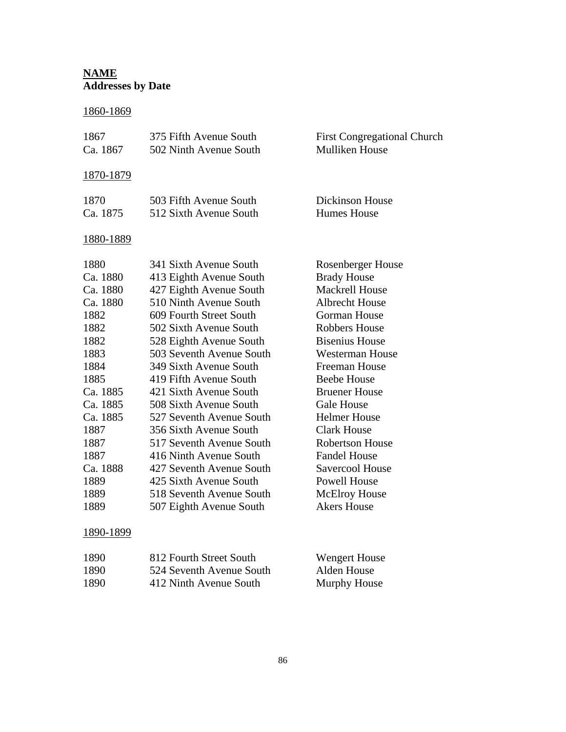# **NAME Addresses by Date**

## 1860-1869

| 1867<br>Ca. 1867                                                                                                                                                                                      | 375 Fifth Avenue South<br>502 Ninth Avenue South                                                                                                                                                                                                                                                                                                                                                                                                                                                                                                    | <b>First Congregational Church</b><br>Mulliken House                                                                                                                                                                                                                                                                                                                                                                                                                         |
|-------------------------------------------------------------------------------------------------------------------------------------------------------------------------------------------------------|-----------------------------------------------------------------------------------------------------------------------------------------------------------------------------------------------------------------------------------------------------------------------------------------------------------------------------------------------------------------------------------------------------------------------------------------------------------------------------------------------------------------------------------------------------|------------------------------------------------------------------------------------------------------------------------------------------------------------------------------------------------------------------------------------------------------------------------------------------------------------------------------------------------------------------------------------------------------------------------------------------------------------------------------|
| <u>1870-1879</u>                                                                                                                                                                                      |                                                                                                                                                                                                                                                                                                                                                                                                                                                                                                                                                     |                                                                                                                                                                                                                                                                                                                                                                                                                                                                              |
| 1870<br>Ca. 1875                                                                                                                                                                                      | 503 Fifth Avenue South<br>512 Sixth Avenue South                                                                                                                                                                                                                                                                                                                                                                                                                                                                                                    | <b>Dickinson House</b><br><b>Humes House</b>                                                                                                                                                                                                                                                                                                                                                                                                                                 |
| 1880-1889                                                                                                                                                                                             |                                                                                                                                                                                                                                                                                                                                                                                                                                                                                                                                                     |                                                                                                                                                                                                                                                                                                                                                                                                                                                                              |
| 1880<br>Ca. 1880<br>Ca. 1880<br>Ca. 1880<br>1882<br>1882<br>1882<br>1883<br>1884<br>1885<br>Ca. 1885<br>Ca. 1885<br>Ca. 1885<br>1887<br>1887<br>1887<br>Ca. 1888<br>1889<br>1889<br>1889<br>1890-1899 | 341 Sixth Avenue South<br>413 Eighth Avenue South<br>427 Eighth Avenue South<br>510 Ninth Avenue South<br>609 Fourth Street South<br>502 Sixth Avenue South<br>528 Eighth Avenue South<br>503 Seventh Avenue South<br>349 Sixth Avenue South<br>419 Fifth Avenue South<br>421 Sixth Avenue South<br>508 Sixth Avenue South<br>527 Seventh Avenue South<br>356 Sixth Avenue South<br>517 Seventh Avenue South<br>416 Ninth Avenue South<br>427 Seventh Avenue South<br>425 Sixth Avenue South<br>518 Seventh Avenue South<br>507 Eighth Avenue South | <b>Rosenberger House</b><br><b>Brady House</b><br><b>Mackrell House</b><br><b>Albrecht House</b><br><b>Gorman House</b><br><b>Robbers House</b><br><b>Bisenius House</b><br>Westerman House<br><b>Freeman House</b><br><b>Beebe House</b><br><b>Bruener House</b><br><b>Gale House</b><br><b>Helmer House</b><br><b>Clark House</b><br><b>Robertson House</b><br><b>Fandel House</b><br>Savercool House<br><b>Powell House</b><br><b>McElroy House</b><br><b>Akers House</b> |
|                                                                                                                                                                                                       |                                                                                                                                                                                                                                                                                                                                                                                                                                                                                                                                                     |                                                                                                                                                                                                                                                                                                                                                                                                                                                                              |

| 1890 | 812 Fourth Street South  | Wengert House |
|------|--------------------------|---------------|
| 1890 | 524 Seventh Avenue South | Alden House   |
| 1890 | 412 Ninth Avenue South   | Murphy House  |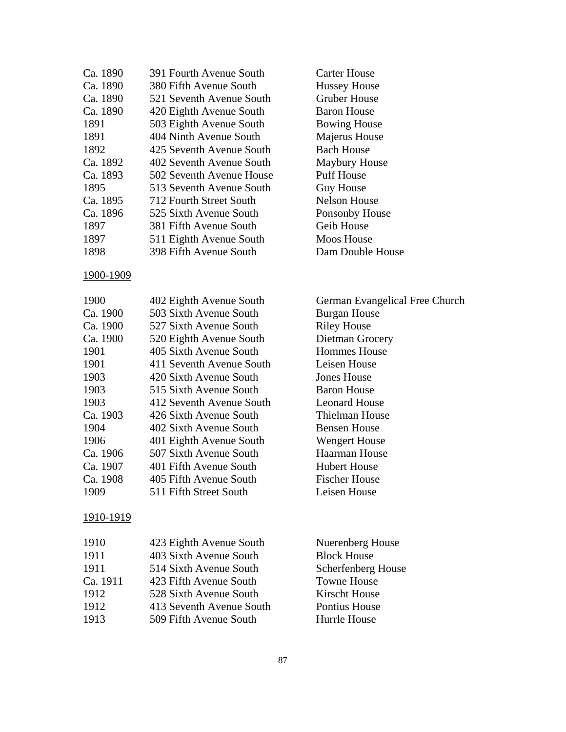| Ca. 1890 | 391 Fourth Avenue South  |
|----------|--------------------------|
| Ca. 1890 | 380 Fifth Avenue South   |
| Ca. 1890 | 521 Seventh Avenue South |
| Ca. 1890 | 420 Eighth Avenue South  |
| 1891     | 503 Eighth Avenue South  |
| 1891     | 404 Ninth Avenue South   |
| 1892     | 425 Seventh Avenue South |
| Ca. 1892 | 402 Seventh Avenue South |
| Ca. 1893 | 502 Seventh Avenue House |
| 1895     | 513 Seventh Avenue South |
| Ca. 1895 | 712 Fourth Street South  |
| Ca. 1896 | 525 Sixth Avenue South   |
| 1897     | 381 Fifth Avenue South   |
| 1897     | 511 Eighth Avenue South  |
| 1898     | 398 Fifth Avenue South   |

#### 1900-1909

| 1900     | 402 Eighth Avenue South  |
|----------|--------------------------|
| Ca. 1900 | 503 Sixth Avenue South   |
| Ca. 1900 | 527 Sixth Avenue South   |
| Ca. 1900 | 520 Eighth Avenue South  |
| 1901     | 405 Sixth Avenue South   |
| 1901     | 411 Seventh Avenue South |
| 1903     | 420 Sixth Avenue South   |
| 1903     | 515 Sixth Avenue South   |
| 1903     | 412 Seventh Avenue South |
| Ca. 1903 | 426 Sixth Avenue South   |
| 1904     | 402 Sixth Avenue South   |
| 1906     | 401 Eighth Avenue South  |
| Ca. 1906 | 507 Sixth Avenue South   |
| Ca. 1907 | 401 Fifth Avenue South   |
| Ca. 1908 | 405 Fifth Avenue South   |
| 1909     | 511 Fifth Street South   |

#### 1910-1919

| 1910     | 423 Eighth Avenue South  | Nuerenberg House          |
|----------|--------------------------|---------------------------|
| 1911     | 403 Sixth Avenue South   | <b>Block House</b>        |
| 1911     | 514 Sixth Avenue South   | <b>Scherfenberg House</b> |
| Ca. 1911 | 423 Fifth Avenue South   | <b>Towne House</b>        |
| 1912     | 528 Sixth Avenue South   | <b>Kirscht House</b>      |
| 1912     | 413 Seventh Avenue South | Pontius House             |
| 1913     | 509 Fifth Avenue South   | Hurrle House              |

Carter House Hussey House Gruber House Baron House **Bowing House** Majerus House Bach House Maybury House Puff House Guy House Nelson House Ponsonby House Geib House

Moos House<br>Dam Double House

Burgan House Riley House Dietman Grocery Hommes House Leisen House Jones House Baron House Leonard House Thielman House Bensen House Wengert House Haarman House Hubert House Fischer House Leisen House

German Evangelical Free Church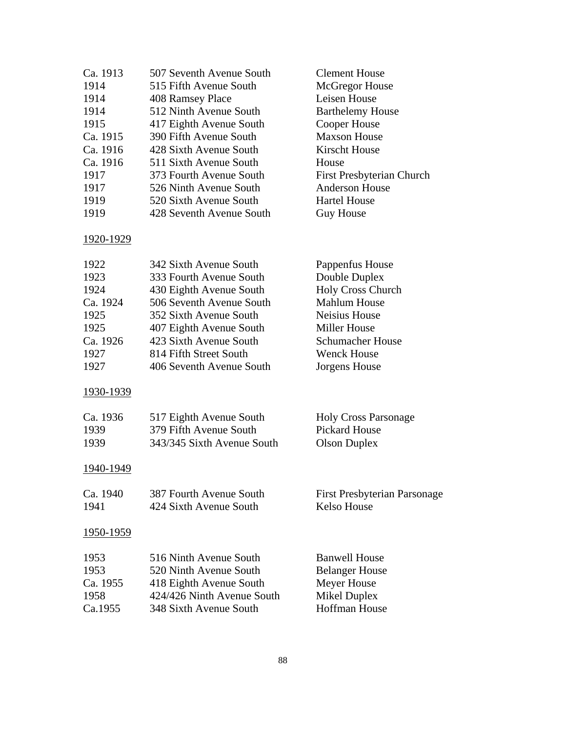| Ca. 1913         | 507 Seventh Avenue South   | <b>Clement House</b>                |
|------------------|----------------------------|-------------------------------------|
| 1914             | 515 Fifth Avenue South     | McGregor House                      |
| 1914             | 408 Ramsey Place           | Leisen House                        |
| 1914             | 512 Ninth Avenue South     | <b>Barthelemy House</b>             |
| 1915             | 417 Eighth Avenue South    | Cooper House                        |
| Ca. 1915         | 390 Fifth Avenue South     | <b>Maxson House</b>                 |
| Ca. 1916         | 428 Sixth Avenue South     | <b>Kirscht House</b>                |
| Ca. 1916         | 511 Sixth Avenue South     | House                               |
| 1917             | 373 Fourth Avenue South    | First Presbyterian Church           |
| 1917             | 526 Ninth Avenue South     | <b>Anderson House</b>               |
| 1919             | 520 Sixth Avenue South     | <b>Hartel House</b>                 |
| 1919             | 428 Seventh Avenue South   | <b>Guy House</b>                    |
| 1920-1929        |                            |                                     |
| 1922             | 342 Sixth Avenue South     | Pappenfus House                     |
| 1923             | 333 Fourth Avenue South    | Double Duplex                       |
| 1924             | 430 Eighth Avenue South    | <b>Holy Cross Church</b>            |
| Ca. 1924         | 506 Seventh Avenue South   | <b>Mahlum House</b>                 |
| 1925             | 352 Sixth Avenue South     | Neisius House                       |
| 1925             | 407 Eighth Avenue South    | <b>Miller House</b>                 |
| Ca. 1926         | 423 Sixth Avenue South     | Schumacher House                    |
| 1927             | 814 Fifth Street South     | <b>Wenck House</b>                  |
| 1927             | 406 Seventh Avenue South   | Jorgens House                       |
| 1930-1939        |                            |                                     |
| Ca. 1936         | 517 Eighth Avenue South    | <b>Holy Cross Parsonage</b>         |
| 1939             | 379 Fifth Avenue South     | <b>Pickard House</b>                |
| 1939             | 343/345 Sixth Avenue South | <b>Olson Duplex</b>                 |
| 1940-1949        |                            |                                     |
| Ca. 1940         | 387 Fourth Avenue South    | <b>First Presbyterian Parsonage</b> |
| 1941             | 424 Sixth Avenue South     | Kelso House                         |
| <u>1950-1959</u> |                            |                                     |
| 1953             | 516 Ninth Avenue South     | <b>Banwell House</b>                |
| 1953             | 520 Ninth Avenue South     | <b>Belanger House</b>               |
| Ca. 1955         | 418 Eighth Avenue South    | Meyer House                         |
| 1958             | 424/426 Ninth Avenue South | <b>Mikel Duplex</b>                 |
| Ca.1955          | 348 Sixth Avenue South     | <b>Hoffman House</b>                |
|                  |                            |                                     |